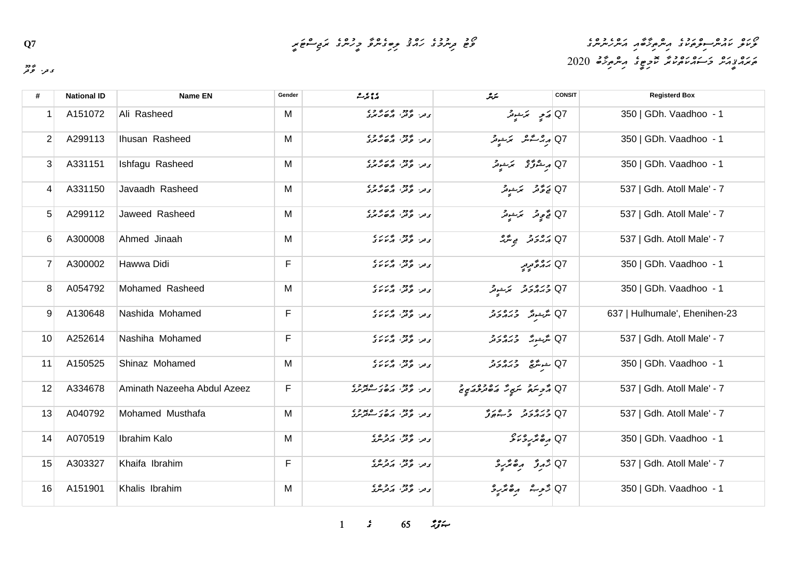*sCw7q7s5w7m< o<n9nOoAw7o< sCq;mAwBoEw7q<m; wBm;vB* م من المرة المرة المرة المرجع المرجع المرجع في 2020<br>مجم*د المريض المرجع المرجع المرجع المرجع المراجع المراجع الم*رجع

| #              | <b>National ID</b> | Name EN                     | Gender      | بروبره                                        | سربر                                                  | <b>CONSIT</b> | <b>Registerd Box</b>          |
|----------------|--------------------|-----------------------------|-------------|-----------------------------------------------|-------------------------------------------------------|---------------|-------------------------------|
|                | A151072            | Ali Rasheed                 | M           | وتر وده ورود و .<br>وتر وتر، م <i>ن مر</i> س  | Q7 <i>أَمَّةٍ مَنْ</i> شِيْدُ                         |               | 350   GDh. Vaadhoo - 1        |
| $\overline{2}$ | A299113            | Ihusan Rasheed              | M           | وتر وده ورود ود<br>دتر وتر مصر برد            | Q7 مەشەھرى سىنىدى <i>گ</i>                            |               | 350   GDh. Vaadhoo - 1        |
| 3              | A331151            | Ishfagu Rasheed             | M           | وفر وده ورود ود                               | Q7 م شورٌ و سَمَ سَمَدٍ مِرْ                          |               | 350   GDh. Vaadhoo - 1        |
| 4              | A331150            | Javaadh Rasheed             | M           | وتر ودو ورود ور<br>وتر وتر مضر برو            | Q7 <i>فَاقَرَّةً مَرْ</i> شِي <i>دُ</i> ّ             |               | 537   Gdh. Atoll Male' - 7    |
| 5              | A299112            | Jaweed Rasheed              | M           |                                               |                                                       |               | 537   Gdh. Atoll Male' - 7    |
| 6              | A300008            | Ahmed Jinaah                | M           | ى تىر بەلىقى ئەرىرى                           | Q7 <i>كەنگە كى قى ماڭ</i> ر                           |               | 537   Gdh. Atoll Male' - 7    |
| $\overline{7}$ | A300002            | Hawwa Didi                  | $\mathsf F$ | ى تىر بەلىقى ئەزىر ئ                          | Q7   ئەۋگەربىر                                        |               | 350   GDh. Vaadhoo - 1        |
| 8              | A054792            | Mohamed Rasheed             | M           | ى تىر بەلتى بەر بەر ب                         | Q7 <i>ۇنزۇدۇ تۇ</i> شىر                               |               | 350   GDh. Vaadhoo - 1        |
| 9              | A130648            | Nashida Mohamed             | $\mathsf F$ | ى تىر بە ئەرىرى                               | Q7 مُرْجِعة <i>وَكَاهُ وَفَ</i>                       |               | 637   Hulhumale', Ehenihen-23 |
| 10             | A252614            | Nashiha Mohamed             | $\mathsf F$ | ى تىر بە ئەرىرى                               | Q7 مُرْجِدِبُّ وَيَرْدُونَرْ                          |               | 537   Gdh. Atoll Male' - 7    |
| 11             | A150525            | Shinaz Mohamed              | M           | ى تىر بەردە ئەرىر ئ                           | Q7 شومترچ د <i>جر ج</i> و جر                          |               | 350   GDh. Vaadhoo - 1        |
| 12             | A334678            | Aminath Nazeeha Abdul Azeez | F           | و در در ه دره ده.<br>د در گانر، ارهای سوترس   | Q7 أُمُّ جِسَمَةٌ سَمِيٌّ مُدَّة مِنْ مُرْجَمَةٍ مِنْ |               | 537   Gdh. Atoll Male' - 7    |
| 13             | A040792            | Mohamed Musthafa            | M           | و در ۱۶۷ در در ۲۶۷۵<br>دند وګر، منصوب سوتوبرو | Q7 <i>ۋېزودتو ۋېروژ</i>                               |               | 537   Gdh. Atoll Male' - 7    |
| 14             | A070519            | Ibrahim Kalo                | M           | ړو وه ده ده ده ده د                           | Q7 <sub>مو</sub> ڭ ئ <sub>رىر</sub> 2 ئەكتى           |               | 350   GDh. Vaadhoo - 1        |
| 15             | A303327            | Khaifa Ibrahim              | F           | وتر وده روه و<br>وتر وتر پرترس                | Q7 <i>جَمبوڙ م</i> ِ <i>ھوڻي</i> و                    |               | 537   Gdh. Atoll Male' - 7    |
| 16             | A151901            | Khalis Ibrahim              | M           | ى تەرەپ بەرەپى<br>ئەتىر: ئۇتىر: بەتەرىپى      | Q7 <i>ڈوبڈ م</i> یھ <i>گرد</i> و                      |               | 350   GDh. Vaadhoo - 1        |

*1 s* **65**  $294$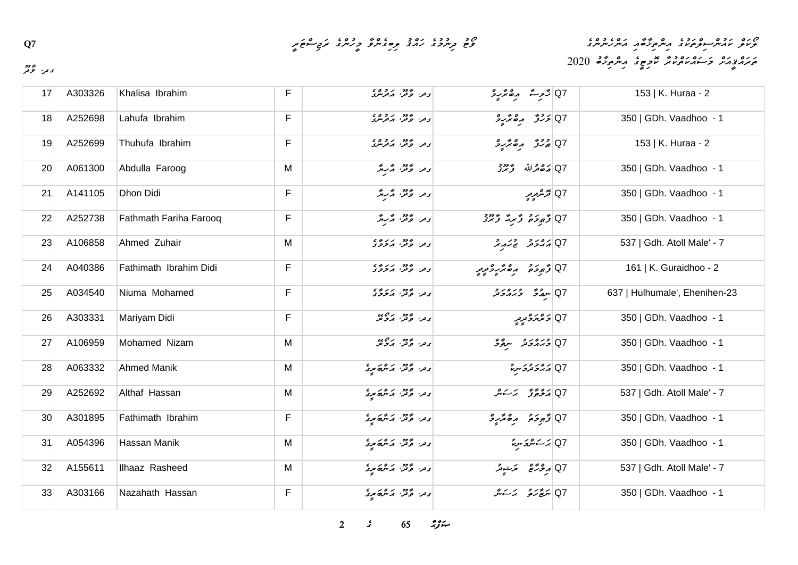*sCw7q7s5w7m< o<n9nOoAw7o< sCq;mAwBoEw7q<m; wBm;vB* م من المرة المرة المرة المرجع المرجع المرجع في 2020<br>مجم*د المريض المرجع المرجع المرجع المرجع المراجع المراجع الم*رجع

| 17 | A303326 | Khalisa Ibrahim        | F           | ى قرا ئەڭ كەتترىشى كە                                                                                                                                                                                                               | Q7 <i>ڈوبڈ م</i> یھ <i>گرد</i> و                                                                    | 153   K. Huraa - 2            |
|----|---------|------------------------|-------------|-------------------------------------------------------------------------------------------------------------------------------------------------------------------------------------------------------------------------------------|-----------------------------------------------------------------------------------------------------|-------------------------------|
| 18 | A252698 | Lahufa Ibrahim         | $\mathsf F$ | ى تىر بە ئەسىر ئەسىرى ئەسىرى ئەسىرى ئەسىرى ئەسىرى ئەسىرى ئەسىرى ئەسىرى ئەسىرى ئەسىرى ئەسلام ئەسلام ئ                                                                                                                                | Q7 كَرْتْرٌ مِنْ مَّرْرِدْ                                                                          | 350   GDh. Vaadhoo - 1        |
| 19 | A252699 | Thuhufa Ibrahim        | F           | وفر . ح.و. م. و. ه. ع.<br>المحمد : ح. ح. م. فرس بر المحمد                                                                                                                                                                           | Q7 <i>وڭۇ مەمگرى</i><br>                                                                            | 153   K. Huraa - 2            |
| 20 | A061300 | Abdulla Faroog         | M           | دىن ئۇقرا ئەرىگە                                                                                                                                                                                                                    | Q7 كەھ قىراللە ئ <i>ۇنىزى</i>                                                                       | 350   GDh. Vaadhoo - 1        |
| 21 | A141105 | Dhon Didi              | F           | دىن ئۇنىن ئەرىگە                                                                                                                                                                                                                    | Q7 كَرْتْرْمْدِيرِ                                                                                  | 350   GDh. Vaadhoo - 1        |
| 22 | A252738 | Fathmath Fariha Farooq | $\mathsf F$ | ى قىزا ئۇقىرا ئەرىگە                                                                                                                                                                                                                | Q7 <i>وَّجِ وَحَمْ</i> وَسِنَّہُ وَسَمَّدَ                                                          | 350   GDh. Vaadhoo - 1        |
| 23 | A106858 | Ahmed Zuhair           | M           | وتر: ه <sup>وده</sup> ، کرون و<br>وتر: ه <sup>و</sup> گ ، کر <i>و</i> ژ و                                                                                                                                                           | Q7 كەبرى قارىم ئىسىر ئىس                                                                            | 537   Gdh. Atoll Male' - 7    |
| 24 | A040386 | Fathimath Ibrahim Didi | F           | وتر: ه <sup>وده</sup> ، کرون و                                                                                                                                                                                                      | Q7 <i>وَّجِودَةُ بِرەْ مَرَّبِ</i> وَمِرْمِرِ                                                       | 161   K. Guraidhoo - 2        |
| 25 | A034540 | Niuma Mohamed          | $\mathsf F$ | رىر ئەش كەنزە ئ                                                                                                                                                                                                                     | Q7 سمه محمد المحمد المحمد المحمد المحمد المحمد المحمد المحمد المحمد المحمد المحمد المحمد المحمد الم | 637   Hulhumale', Ehenihen-23 |
| 26 | A303331 | Mariyam Didi           | F           | ى تىر بە ھەر بەت بەت بەت بەت بىر                                                                                                                                                                                                    | Q7 كەنگە <i>كە</i> ردىر                                                                             | 350   GDh. Vaadhoo - 1        |
| 27 | A106959 | Mohamed Nizam          | M           | ى تىر بەردە بەر بىرى<br>ئ                                                                                                                                                                                                           | Q7 <i>جَدَمْ \$2.5 سِهُّ</i> رُ                                                                     | 350   GDh. Vaadhoo - 1        |
| 28 | A063332 | <b>Ahmed Manik</b>     | M           | ى قرار ئەرەپ كە ئەرى                                                                                                                                                                                                                | Q7 كەش <sub>ە</sub> ئەرىخ سرى <i>ت</i> ا                                                            | 350   GDh. Vaadhoo - 1        |
| 29 | A252692 | Althaf Hassan          | M           | ى قرار ئەدەر كەش ئەرى                                                                                                                                                                                                               | Q7 كەنزى <i>نى ئەسەنل</i>                                                                           | 537   Gdh. Atoll Male' - 7    |
| 30 | A301895 | Fathimath Ibrahim      | F           | ى قرار ئەدەر كەش ئەرى                                                                                                                                                                                                               | Q7 <i>وَّجِوَدَةُ م</i> ِنْ مُرْسِرَدُّ                                                             | 350   GDh. Vaadhoo - 1        |
| 31 | A054396 | Hassan Manik           | M           | ى قرار ئەرەپ ئەرەپ ئە                                                                                                                                                                                                               | Q7 ئەسەئىدى بىر <i>ى</i>                                                                            | 350   GDh. Vaadhoo - 1        |
| 32 | A155611 | Ilhaaz Rasheed         | M           | ومن حرمن كما يتها برو                                                                                                                                                                                                               | Q7 م <i>وڭنج - مَرْشِ</i> مْر                                                                       | 537   Gdh. Atoll Male' - 7    |
| 33 | A303166 | Nazahath Hassan        | F           | ر مرد است به در در در در در است براست براست براست براست براست براست براست براست براست براست براست بر<br>براست براست براست براست براست براست براست براست براست براست براست براست براست براست براست براست براست براست بر<br>براست برا | Q7 <i>سَنَجْ رَحْمَدُ بِرَسَ</i> سَر                                                                | 350   GDh. Vaadhoo - 1        |

**2** *s* **65** *z s*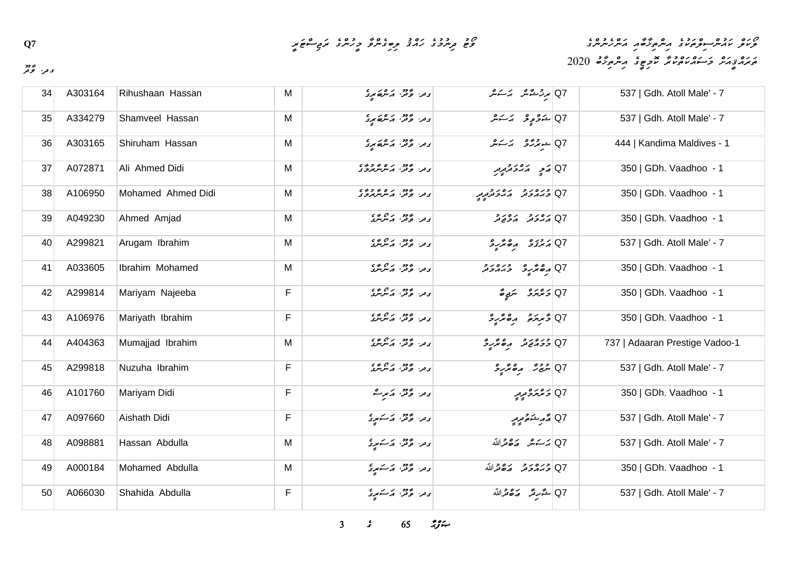*sCw7q7s5w7m< o<n9nOoAw7o< sCq;mAwBoEw7q<m; wBm;vB* م من المرة المرة المرة المرجع المرجع المرجع في 2020<br>مجم*د المريض المرجع المرجع المرجع المرجع المراجع المراجع الم*رجع

| 34 | A303164 | Rihushaan Hassan   | M           | ى قرا ئۇقرا كەشھەتبى                                 | Q7 ىرزىقەش ب <sub>ى</sub> رىكەش           | 537   Gdh. Atoll Male' - 7     |
|----|---------|--------------------|-------------|------------------------------------------------------|-------------------------------------------|--------------------------------|
| 35 | A334279 | Shamveel Hassan    | M           | ومن حرمن كما يتها برو                                | Q7 شۇم <sub>ۇ</sub> بۇ ب <sub>ى</sub> كىر | 537   Gdh. Atoll Male' - 7     |
| 36 | A303165 | Shiruham Hassan    | M           | ومن حقر بما مصامره                                   | Q7 ج <i>و پر برگ بر سک</i> ر              | 444   Kandima Maldives - 1     |
| 37 | A072871 | Ali Ahmed Didi     | M           | دىن گەدەر بەھ دەر<br>دىن گەنگە ئەسەسىملەر د          | Q7 كەي كەنگە <i>كەنگەن</i> دىر            | 350   GDh. Vaadhoo - 1         |
| 38 | A106950 | Mohamed Ahmed Didi | M           | دى دە رەپەدە ،<br>دىن ئۇن مەسەس <i>ىرى</i> دى        | Q7 <i>وُټرونو پروگونونو</i>               | 350   GDh. Vaadhoo - 1         |
| 39 | A049230 | Ahmed Amjad        | M           | ى تىر بە ئۇتى كەنگەنگە ئە                            | Q7 كەبرو كەر كەن ئالىرى ئىس               | 350   GDh. Vaadhoo - 1         |
| 40 | A299821 | Arugam Ibrahim     | M           | ى قرار ئەدەر بار ئارى<br>ئاقىرا ئۇقىرا بار ئىرلىرىگە | Q7 <i>كەندۇ ھەمگى</i> رۇ                  | 537   Gdh. Atoll Male' - 7     |
| 41 | A033605 | Ibrahim Mohamed    | M           | ى تىر بە ئۇتى كەرگە ئەنگە ئە                         | Q7 مەھم <i>گرى</i> ئەممەدىر               | 350   GDh. Vaadhoo - 1         |
| 42 | A299814 | Mariyam Najeeba    | $\mathsf F$ | ى قىز ئەقتى، ئەشرىكى ئە                              | Q7 <i>وَ بُرْدَرْ بَنْ بِهِ هُ</i> ّ      | 350   GDh. Vaadhoo - 1         |
| 43 | A106976 | Mariyath Ibrahim   | $\mathsf F$ | ى قىز بەڭ ئەسكەن ئەن                                 | Q7 <i>وَّ بروزه وه مَّرْب</i>             | 350   GDh. Vaadhoo - 1         |
| 44 | A404363 | Mumajjad Ibrahim   | M           | ى قرار ئەدەر بەر ئەنگەنى ئە                          |                                           | 737   Adaaran Prestige Vadoo-1 |
| 45 | A299818 | Nuzuha Ibrahim     | F           | ړی ده.<br>دی وګڼ پرسرس                               | Q7 ىرىم ئىر مەمگ <i>رى</i> 3              | 537   Gdh. Atoll Male' - 7     |
| 46 | A101760 | Mariyam Didi       | $\mathsf F$ | ى قراء ئەتتى، كەيمەت                                 | Q7   <i>ئى ئەتر</i> ۇ م <sub>و</sub> مو   | 350   GDh. Vaadhoo - 1         |
| 47 | A097660 | Aishath Didi       | $\mathsf F$ | ى قىز اڭ قىلىم كەسىسى تەرىپى كە                      | Q7 ۾ پرڪو <i>چوپ</i> ر                    | 537   Gdh. Atoll Male' - 7     |
| 48 | A098881 | Hassan Abdulla     | M           | ى قىز اڭ قىلىم كەسىسى تەرىپى كە                      | Q7 كەسكەش كەھەتراللە                      | 537   Gdh. Atoll Male' - 7     |
| 49 | A000184 | Mohamed Abdulla    | M           | ا د مرد او در مرد د مرد استانتوری ا                  | Q7 322 مَرَّة مَرَّة اللَّه               | 350   GDh. Vaadhoo - 1         |
| 50 | A066030 | Shahida Abdulla    | F           | ى قىز اڭ قىلىم كەسىسى تەرىپى كە                      | Q7 ڪري <i>گر مک</i> ھوگرالله              | 537   Gdh. Atoll Male' - 7     |

**3** *s* **65** *z***<sub>***s***</sub>** *s*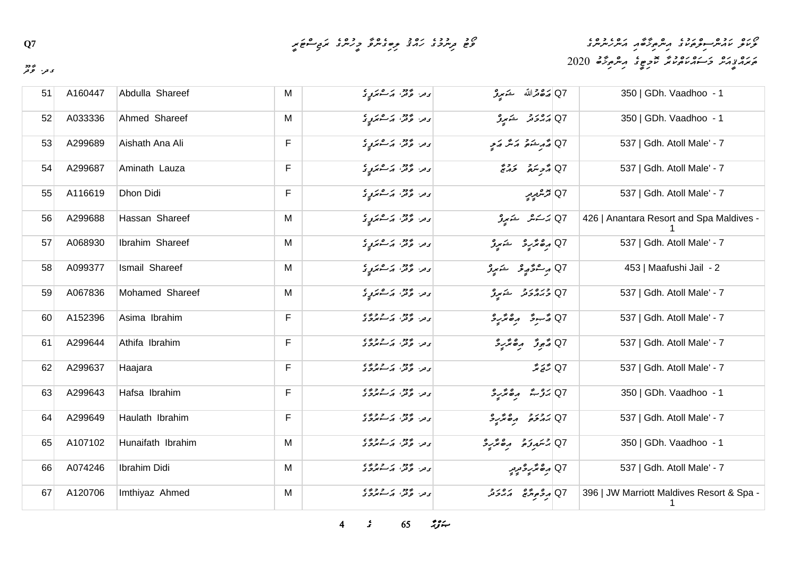*sCw7q7s5w7m< o<n9nOoAw7o< sCq;mAwBoEw7q<m; wBm;vB* م من المرة المرة المرة المرجع المرجع المرجع في 2020<br>مجم*د المريض المرجع المرجع المرجع المرجع المراجع المراجع الم*رجع

| 51 | A160447 | Abdulla Shareef   | M            | ا <sub>م</sub> حد المح <sup>ود</sup> المرکب محمد به محمد به محمد به محمد به محمد الله به الله محمد الله محمد الله محمد الله محمد ال | Q7 كەڭداللە خ <i>ەمبى</i> ر                    | 350   GDh. Vaadhoo - 1                    |
|----|---------|-------------------|--------------|-------------------------------------------------------------------------------------------------------------------------------------|------------------------------------------------|-------------------------------------------|
| 52 | A033336 | Ahmed Shareef     | M            | ى قرار ئەھمىي ئەسكىمى ئەسكىرى ئە                                                                                                    | Q7 <i>مَدْدَة.</i> سَمَعِيقُ                   | 350   GDh. Vaadhoo - 1                    |
| 53 | A299689 | Aishath Ana Ali   | $\mathsf{F}$ | دىن گەنتى، كەسەمبىرى                                                                                                                | Q7 مەم ئىسىم كەنگە ك <i>ەي</i>                 | 537   Gdh. Atoll Male' - 7                |
| 54 | A299687 | Aminath Lauza     | $\mathsf F$  | ى قرار ئەھمىي ئەسكىمى ئەسكىرى ئە                                                                                                    | Q7 مُّجِسَعُ مَحَمَّةً                         | 537   Gdh. Atoll Male' - 7                |
| 55 | A116619 | Dhon Didi         | $\mathsf F$  | ى تىر بەلىش كەنتىرى كەنتىرى                                                                                                         | Q7 كَرْسْرْمِرِيرِ                             | 537   Gdh. Atoll Male' - 7                |
| 56 | A299688 | Hassan Shareef    | M            | ى قرار ئەھمىي ئەسكىمى ئەسكىرى ئە                                                                                                    | Q7 كەستەملە ئىق <i>مىر</i> ۇ                   | 426   Anantara Resort and Spa Maldives -  |
| 57 | A068930 | Ibrahim Shareef   | M            | ى تىر بەدە كەسەتلەر ئ                                                                                                               | Q7 م <i>ەھترى</i> رو شىمبىرو                   | 537   Gdh. Atoll Male' - 7                |
| 58 | A099377 | Ismail Shareef    | M            | ى تىر بەدە كەسەتلەر ئ                                                                                                               | Q7 م <i>وس<sup>و</sup>ۇم</i> ۇ شىرۇ            | 453   Maafushi Jail - 2                   |
| 59 | A067836 | Mohamed Shareef   | M            | دىن گەنتى، كەسىمىتى تە                                                                                                              | Q7 <i>\$ بَەمْ جَمْرٍ</i> مَسَمَّ <i>بِروْ</i> | 537   Gdh. Atoll Male' - 7                |
| 60 | A152396 | Asima Ibrahim     | $\mathsf F$  | وتر، وده در دوه د<br>دتر، وتر، بر شوپروی                                                                                            | Q7 مُّ بِيعُ مِنْ مُدَرِدُ                     | 537   Gdh. Atoll Male' - 7                |
| 61 | A299644 | Athifa Ibrahim    | $\mathsf F$  | وتر وده د دوه و<br>وتر وتر کارگروی                                                                                                  |                                                | 537   Gdh. Atoll Male' - 7                |
| 62 | A299637 | Haajara           | F            | ړي ه وه د د وه وه<br>دي وګر، مرسود د                                                                                                | Q7 أَرُّجَ تَرُ                                | 537   Gdh. Atoll Male' - 7                |
| 63 | A299643 | Hafsa Ibrahim     | $\mathsf F$  | وتر، وده در دوه د<br>دتر، وتر، بر شوپروی                                                                                            | Q7 ئەۋىبە مەھەرد                               | 350   GDh. Vaadhoo - 1                    |
| 64 | A299649 | Haulath Ibrahim   | F            | ى قرار 1979 كى سىرى ئ                                                                                                               | Q7 <i>بَهُ دَوَءٌ وَ هُنَّرِدُ</i>             | 537   Gdh. Atoll Male' - 7                |
| 65 | A107102 | Hunaifath Ibrahim | M            | وتر وده د دوه د<br>وتر وتر کاستون                                                                                                   | Q7 ئ <i>ىتروۋە مەھترى</i> ۋ                    | 350   GDh. Vaadhoo - 1                    |
| 66 | A074246 | Ibrahim Didi      | M            | ود. ود د دوه د<br>دىن وتر، م سىرد د                                                                                                 | Q7 <sub>مر</sub> ھ ئر پ <sub>ر</sub> و مړمړ    | 537   Gdh. Atoll Male' - 7                |
| 67 | A120706 | Imthiyaz Ahmed    | M            | ړی ده د ده ده ده ده د                                                                                                               | Q7 مەھ <i>ومى ئەمەدە</i> ر                     | 396   JW Marriott Maldives Resort & Spa - |

*4 s* 65 *i*<sub>Si</sub>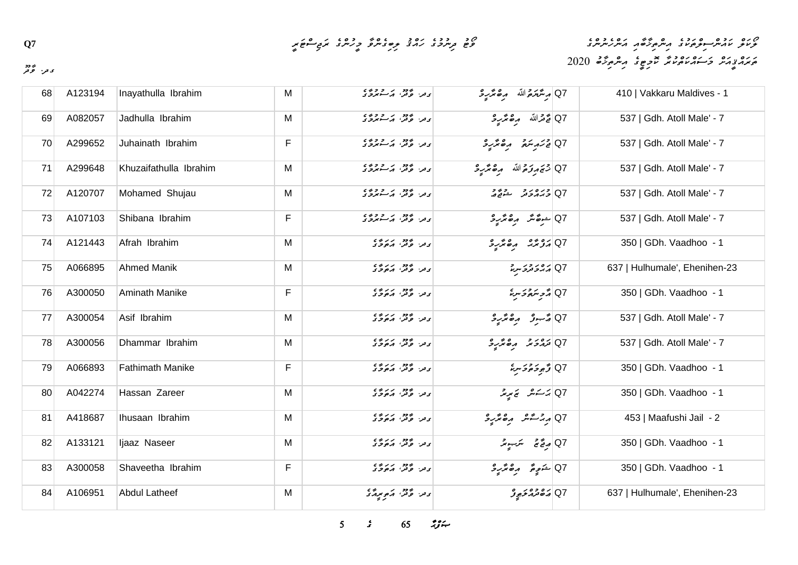*sCw7q7s5w7m< o<n9nOoAw7o< sCq;mAwBoEw7q<m; wBm;vB* م من المرة المرة المرة المرجع المرجع المرجع في 2020<br>مجم*د المريض المرجع المرجع المرجع المرجع المراجع المراجع الم*رجع

| 68 | A123194 | Inayathulla Ibrahim     | M           | وتر، وده د دوه و<br>وتر، وتر، بر سوپروی                                                                             | Q7 م <i>ېنتونتم</i> الله م <i>ېنتونت</i> و          | 410   Vakkaru Maldives - 1    |
|----|---------|-------------------------|-------------|---------------------------------------------------------------------------------------------------------------------|-----------------------------------------------------|-------------------------------|
| 69 | A082057 | Jadhulla Ibrahim        | M           | وفرز الموجود المراجع والمجاني<br>المحلود المحافظ المحمد والمحمد والمحمد والمحمد المحمد والمحمد المحمد المحمد المحمد |                                                     | 537   Gdh. Atoll Male' - 7    |
| 70 | A299652 | Juhainath Ibrahim       | F           | وتر، وده در دوه و<br>دتر، وتر، بر شوبروی                                                                            | Q7 <i>في ترم متع</i> قر مرك <i> مركز ب</i> ر        | 537   Gdh. Atoll Male' - 7    |
| 71 | A299648 | Khuzaifathulla Ibrahim  | M           | ى قرار ئەسىر ئەرەپ ئە                                                                                               | Q7 تَزَيَم مِرَوَّةً اللَّهُ مَنْ صَغَّرَ فِي الْمَ | 537   Gdh. Atoll Male' - 7    |
| 72 | A120707 | Mohamed Shujau          | M           | وتر گ <sup>ور</sup> پر دون د<br>وتر گ <sup>و</sup> ن پر شمروی                                                       | $222 - 222$                                         | 537   Gdh. Atoll Male' - 7    |
| 73 | A107103 | Shibana Ibrahim         | $\mathsf F$ | دىن ئەدەر بەر دەرى<br>دىن ئەتىر، بەستەبىرى ي                                                                        | Q7 جى <i>ھىگە مەھگرى</i><br>                        | 537   Gdh. Atoll Male' - 7    |
| 74 | A121443 | Afrah Ibrahim           | M           | وتر وده کرده و<br>وتر وګر منور و                                                                                    | Q7 <i>مَرْتَمَّدُ مِـ مَحْرِجُ</i>                  | 350   GDh. Vaadhoo - 1        |
| 75 | A066895 | <b>Ahmed Manik</b>      | M           | وتر ودو.<br>دتر گرفر، مرکوری                                                                                        | Q7 كەندى قرىم سرى <i>ڭ</i>                          | 637   Hulhumale', Ehenihen-23 |
| 76 | A300050 | Aminath Manike          | F           | وتر ودو.<br>دتر گرفر، مرکوری                                                                                        | Q7   ئەجە ئىرى ئەرىئە                               | 350   GDh. Vaadhoo - 1        |
| 77 | A300054 | Asif Ibrahim            | M           | ى قرار ئەرەبىرى<br>ئى قىراش كەن ئەرەبىرى                                                                            | Q7 كەسىر ئەھەمگە يەھ                                | 537   Gdh. Atoll Male' - 7    |
| 78 | A300056 | Dhammar Ibrahim         | M           | ى قرار ئەرەبىرى<br>ئى قىراش كەن ئەرەبىرى                                                                            | Q7 <i>فهدف به هغرب</i> و                            | 537   Gdh. Atoll Male' - 7    |
| 79 | A066893 | <b>Fathimath Manike</b> | F           | وتر وده کرده و<br>وتر وګر منور و                                                                                    | Q7 <i>وُّهِ دَهُ دَ</i> سِرْ                        | 350   GDh. Vaadhoo - 1        |
| 80 | A042274 | Hassan Zareer           | M           | ى تىر بەرگە ئەرگە ئەتەر<br>ئ                                                                                        | Q7   يَرْسَدُ سَيَ <sub>مَح</sub> رِ مَرْ           | 350   GDh. Vaadhoo - 1        |
| 81 | A418687 | Ihusaan Ibrahim         | M           | ى قرار ئەرەبىرى<br>ئى قىراش كەن ئەرەبىرى                                                                            | Q7 مەنىسى مەھمەر 2                                  | 453   Maafushi Jail - 2       |
| 82 | A133121 | Ijaaz Naseer            | M           | ى قرار ئەرەبىرى<br>ئى قىراش كەن ئەرەبىرى                                                                            | Q7 مەيغ تەسىيەتمە                                   | 350   GDh. Vaadhoo - 1        |
| 83 | A300058 | Shaveetha Ibrahim       | $\mathsf F$ | وتر گروه کرده و<br>کاتر گرفتن از کارو ک                                                                             | Q7 شَوِءٌ مِرْحَمَّدِدْ                             | 350   GDh. Vaadhoo - 1        |
| 84 | A106951 | <b>Abdul Latheef</b>    | M           | ى قرار ئەدەر بەر ئەس                                                                                                | Q7 <i>مَـُـوَدْ دُبِّوِ</i> رْ                      | 637   Hulhumale', Ehenihen-23 |

 $5$   $5$   $65$   $25$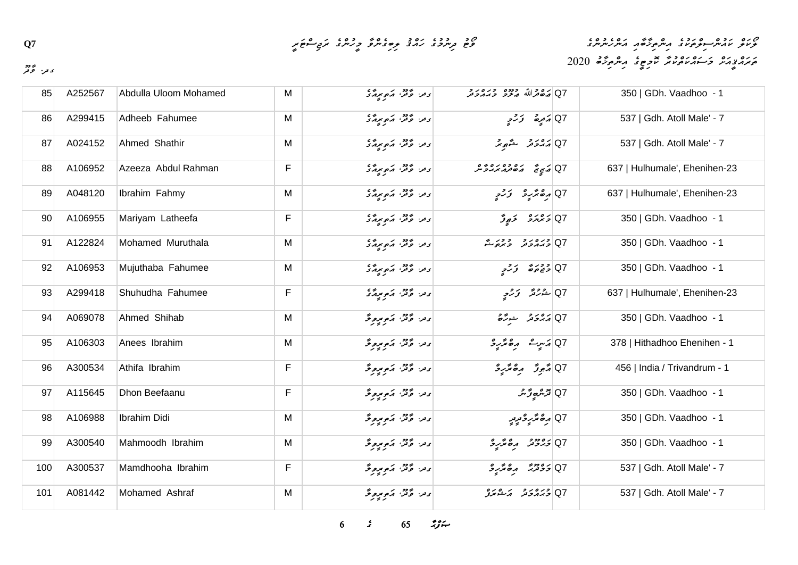*sCw7q7s5w7m< o<n9nOoAw7o< sCq;mAwBoEw7q<m; wBm;vB* م من المرة المرة المرة المرجع المرجع المرجع في 2020<br>مجم*د المريض المرجع المرجع المرجع المرجع المراجع المراجع الم*رجع

| 85  | A252567 | Abdulla Uloom Mohamed | M           | دىن ئۇتر، كەم بىرلەك        | Q7 كَرْهُ مِّرْ اللَّهُ مَرْكَزَّ وَبَرْمُ وَرَوْ | 350   GDh. Vaadhoo - 1        |
|-----|---------|-----------------------|-------------|-----------------------------|---------------------------------------------------|-------------------------------|
| 86  | A299415 | Adheeb Fahumee        | M           | ى تىر بەدە بەتە بەتە ئ      | Q7 <i>أمَّ بوءةً وَكَ</i> حٍ                      | 537   Gdh. Atoll Male' - 7    |
| 87  | A024152 | Ahmed Shathir         | M           | ى تىر بەدە بەتە بەتە ئ      | Q7 <i>مەشكە ئىشقى</i> ئىش                         | 537   Gdh. Atoll Male' - 7    |
| 88  | A106952 | Azeeza Abdul Rahman   | F           | ومن المجميح المتجام المجامح | Q7 <i>בُبِي 5 - בَ פּיר בִי ב</i>                 | 637   Hulhumale', Ehenihen-23 |
| 89  | A048120 | Ibrahim Fahmy         | M           | ومن ود من من المن           | Q7 مەھم <i>گىر</i> ئۇر <i>قى</i>                  | 637   Hulhumale', Ehenihen-23 |
| 90  | A106955 | Mariyam Latheefa      | $\mathsf F$ | ى قرار ئەدەر بەر ئەيدارى    | Q7 <i>5 بۇيۇق قەپۇ</i>                            | 350   GDh. Vaadhoo - 1        |
| 91  | A122824 | Mohamed Muruthala     | M           | ى مەسىمى ئىس ئىس ئىس        | Q7 <i>وبرودو وور</i> يد                           | 350   GDh. Vaadhoo - 1        |
| 92  | A106953 | Mujuthaba Fahumee     | M           |                             | Q7 دقى ئۇ ئۇر <i>قى</i>                           | 350   GDh. Vaadhoo - 1        |
| 93  | A299418 | Shuhudha Fahumee      | $\mathsf F$ | ى قرار ئەدەر بەر ئەيدارى    | Q7 ش <i>ۇرۇ ۋرقى</i>                              | 637   Hulhumale', Ehenihen-23 |
| 94  | A069078 | Ahmed Shihab          | M           | ءَ په دُور کام موجو څ       | $Q7 = 22.5$                                       | 350   GDh. Vaadhoo - 1        |
| 95  | A106303 | Anees Ibrahim         | M           | ءَ په دُور کام موجو څ       | Q7 كەس <sub>ى</sub> پ مەھەر ي                     | 378   Hithadhoo Ehenihen - 1  |
| 96  | A300534 | Athifa Ibrahim        | F           | دىن گەنتى، مەھ مرەر ئى      | Q7 مَّمِوَّرٌ مِـ صَمَّرٍ حُ                      | 456   India / Trivandrum - 1  |
| 97  | A115645 | Dhon Beefaanu         | F           | ى قرار ئۇقرا مەم بورگە      | Q7 ترى <i>مبوڙىتر</i>                             | 350   GDh. Vaadhoo - 1        |
| 98  | A106988 | Ibrahim Didi          | M           | ى قرار ئۇقرار كەم بوھ گ     | Q7   پر <i>ی نگر پ</i> وٹر پر                     | 350   GDh. Vaadhoo - 1        |
| 99  | A300540 | Mahmoodh Ibrahim      | M           | دىن گەنتى، مەھ مرەر ئى      | Q7 <i>وبرونز م</i> و <i>مرد</i> و                 | 350   GDh. Vaadhoo - 1        |
| 100 | A300537 | Mamdhooha Ibrahim     | F           | ءَ په دُور کام موجو څ       | Q7 دومبر مەمگرى                                   | 537   Gdh. Atoll Male' - 7    |
| 101 | A081442 | Mohamed Ashraf        | M           | دىن ئۇتىن مەم مورىگى        | Q7 <i>وټرونو پر شهرو</i>                          | 537   Gdh. Atoll Male' - 7    |

 $6$   $\cancel{5}$   $65$   $\cancel{25}$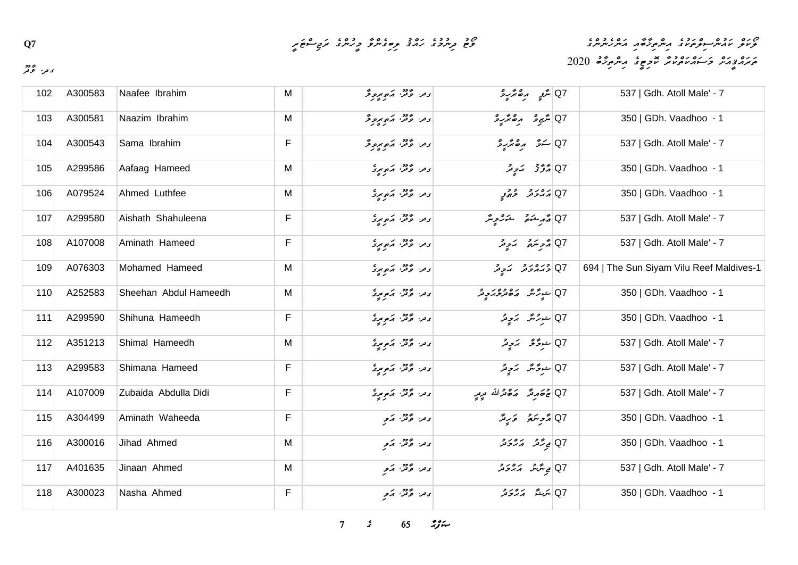*sCw7q7s5w7m< o<n9nOoAw7o< sCq;mAwBoEw7q<m; wBm;vB* م من المرة المرة المرة المرجع المرجع المرجع في 2020<br>مجم*د المريض المرجع المرجع المرجع المرجع المراجع المراجع الم*رجع

| 102 | A300583 | Naafee Ibrahim        | M           | دىن ئۇنز، مەم برە ئى                                                                                           | Q7 ي <i>نْدِ م</i> ِ مُ <i>جَرِّد</i> ِ              | 537   Gdh. Atoll Male' - 7               |
|-----|---------|-----------------------|-------------|----------------------------------------------------------------------------------------------------------------|------------------------------------------------------|------------------------------------------|
| 103 | A300581 | Naazim Ibrahim        | M           | ى تەرەپ ئەھم بىر ئەستىر ئىستان ئىستان ئىستان ئىستان ئىستان ئىستان ئىستان ئىستان ئىستان ئىستان ئىستان ئىستان ئى |                                                      | 350   GDh. Vaadhoo - 1                   |
| 104 | A300543 | Sama Ibrahim          | $\mathsf F$ | دىن گەنتى، مەھ بىرە ئ                                                                                          | Q7 سَتَرَ مِنْ مِرْدِدْ                              | 537   Gdh. Atoll Male' - 7               |
| 105 | A299586 | Aafaag Hameed         | M           | دىن گەنش، مەم مرد                                                                                              | Q7 مَرَّزَّۃٌ مَرِمَّرٌ                              | 350   GDh. Vaadhoo - 1                   |
| 106 | A079524 | Ahmed Luthfee         | M           | ى قراء ھاتى گە ئەمەسىرى                                                                                        | Q7 <i>كەندى قىمۇتى</i>                               | 350   GDh. Vaadhoo - 1                   |
| 107 | A299580 | Aishath Shahuleena    | $\mathsf F$ | ى قراء ھاتى گە ئەمەسىرى                                                                                        | Q7 <i>مُّەرِحْمَةْ</i> حَ <i>مُرْمُوِسُّ</i> ر       | 537   Gdh. Atoll Male' - 7               |
| 108 | A107008 | Aminath Hameed        | $\mathsf F$ | دىن گەنش، مەم مورى                                                                                             | Q7 مُّحِسَّعَ بَحِيقَ                                | 537   Gdh. Atoll Male' - 7               |
| 109 | A076303 | Mohamed Hameed        | M           | دىن گەنش، مەم مورى                                                                                             | Q7 <i>\$ \$ \$ \$ \$ \$ \$ \$ \$</i>                 | 694   The Sun Siyam Vilu Reef Maldives-1 |
| 110 | A252583 | Sheehan Abdul Hameedh | M           | ا دىن ئۇقرا مەم بىرد                                                                                           | Q7 خېر <i>گىل مۇھەرگەنج</i> وتر                      | 350   GDh. Vaadhoo - 1                   |
| 111 | A299590 | Shihuna Hameedh       | $\mathsf F$ | رو. دود. کم در د                                                                                               | Q7 ش <i>ېرنىگە بۇچەڭ</i>                             | 350   GDh. Vaadhoo - 1                   |
| 112 | A351213 | Shimal Hameedh        | M           | ى قرار ئۇقرار كەم بولى                                                                                         | Q7 ش <sub>و</sub> وگر کام <sub>ی</sub> وگر           | 537   Gdh. Atoll Male' - 7               |
| 113 | A299583 | Shimana Hameed        | F           | دىن ئۇتىر، كەم بىرى                                                                                            | Q7 ش <sub>و</sub> گەنگە كەچ <sup>ى</sup> گە          | 537   Gdh. Atoll Male' - 7               |
| 114 | A107009 | Zubaida Abdulla Didi  | $\mathsf F$ | دىن گەنش، مەم مورى                                                                                             | Q7 تج <b>َ صَهرِ مَدَّ صَفَّ</b> رُ اللَّهُ مَرِمِرِ | 537   Gdh. Atoll Male' - 7               |
| 115 | A304499 | Aminath Waheeda       | F           | ى قرار مەقترى كەتتى با                                                                                         | Q7 م <i>ُّ حِيدَة مَ حَي</i> دَ                      | 350   GDh. Vaadhoo - 1                   |
| 116 | A300016 | Jihad Ahmed           | M           | ى قرار ئەدەر كەتى                                                                                              | Q7 م <i>ې دگەنگە</i> دىكەنگەنگە                      | 350   GDh. Vaadhoo - 1                   |
| 117 | A401635 | Jinaan Ahmed          | M           | د مرد عمقر المرکم و                                                                                            | Q7 <sub>مې</sub> تر <i>تر د تر د قر</i>              | 537   Gdh. Atoll Male' - 7               |
| 118 | A300023 | Nasha Ahmed           | $\mathsf F$ | ى تىر ، ئۇتىر ، مەنى                                                                                           | Q7 سَرْڪْ     مَا يُرْحَ مَرْ                        | 350   GDh. Vaadhoo - 1                   |

*7 sC 65 nNw?mS*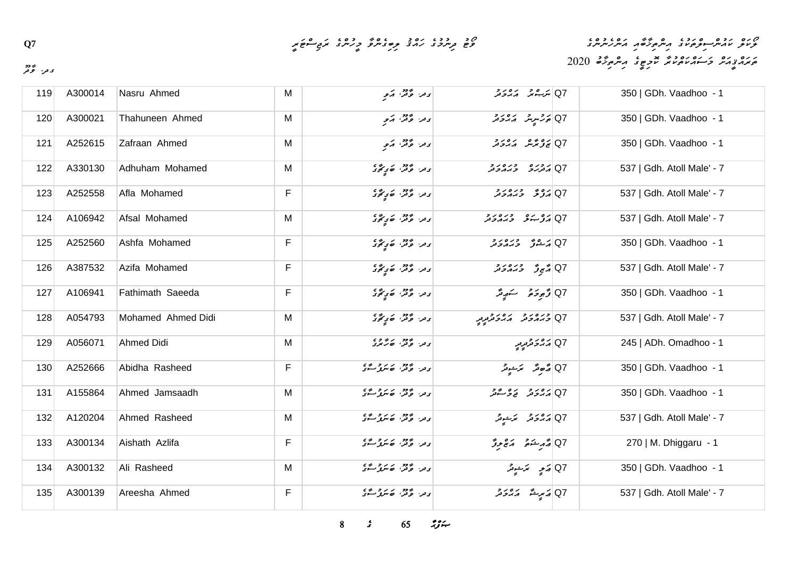*sCw7q7s5w7m< o<n9nOoAw7o< sCq;mAwBoEw7q<m; wBm;vB* م من المرة المرة المرة المرجع المرجع المرجع في 2020<br>مجم*د المريض المرجع المرجع المرجع المرجع المراجع المراجع الم*رجع

| 119 | A300014 | Nasru Ahmed        | M            | ى قراش بھى بەر كەنبى                     | Q7 س <i>ربەتى مەدى ق</i> ر              | 350   GDh. Vaadhoo - 1     |
|-----|---------|--------------------|--------------|------------------------------------------|-----------------------------------------|----------------------------|
| 120 | A300021 | Thahuneen Ahmed    | M            | ى قراش كانترا كام بكرم                   | Q7 كوڭىرىد <i>ۇ كەبم</i> ۇتر            | 350   GDh. Vaadhoo - 1     |
| 121 | A252615 | Zafraan Ahmed      | M            | ى قرار ئەدەر كەت بىلى                    | Q7 ئ <sub>ۇ</sub> ترىئر مەردىر          | 350   GDh. Vaadhoo - 1     |
| 122 | A330130 | Adhuham Mohamed    | M            | <sub>ى</sub> بىر بەردە ئەسىمى ئە         | Q7 كەندىرە مەدەرە                       | 537   Gdh. Atoll Male' - 7 |
| 123 | A252558 | Afla Mohamed       | F            | ر پر دور<br>روز کوتر، ت <i>ھ پا</i> نگوی | Q7 كۇنۇ ئ <i>ۇندۇن</i> ر                | 537   Gdh. Atoll Male' - 7 |
| 124 | A106942 | Afsal Mohamed      | M            | ى تىر بەدىن كەنى كۆك                     | Q7 كەربىي ھەدەر د                       | 537   Gdh. Atoll Male' - 7 |
| 125 | A252560 | Ashfa Mohamed      | F            | ى قرار ئەدەر ئەسىمى ئە                   | Q7 كەشتۇ <i>دېم</i> ەدىر                | 350   GDh. Vaadhoo - 1     |
| 126 | A387532 | Azifa Mohamed      | F            | ى تىر بەردە<br>ئىس ئۇنىر كەنتى كەنتى     | Q7 گەيوگە ئ <i>ەندە ئە</i> ر            | 537   Gdh. Atoll Male' - 7 |
| 127 | A106941 | Fathimath Saeeda   | F            | ر در گرده<br>روز گرفر، گروگری            | Q7 <i>وَّجِوَدَةْ</i> سَه <i>ُ مِدْ</i> | 350   GDh. Vaadhoo - 1     |
| 128 | A054793 | Mohamed Ahmed Didi | M            | ى قرار ئەدەر ئەسىمى ئە                   | Q7 <i>وُټرونو پروژونونو</i> پر          | 537   Gdh. Atoll Male' - 7 |
| 129 | A056071 | <b>Ahmed Didi</b>  | M            | و در دور<br>و در گرفر، ن گرمزی           | Q7 كەرگە <i>قەبوب</i> و                 | 245   ADh. Omadhoo - 1     |
| 130 | A252666 | Abidha Rasheed     | F            | ى تەرەپ ئەسىرى ئەت                       | Q7 مُه صِمَّر سَمَ شَوِمْرَ             | 350   GDh. Vaadhoo - 1     |
| 131 | A155864 | Ahmed Jamsaadh     | M            | ر در دو نه ده ده د                       | Q7 <i>كەنگە كەنگە ئى</i> ر              | 350   GDh. Vaadhoo - 1     |
| 132 | A120204 | Ahmed Rasheed      | M            | ى قرار ئەرەر ئەرەر ئەرە                  | Q7 <i>مُ بُرْدَ مُدْ م</i> ُ سُوِمُرُ   | 537   Gdh. Atoll Male' - 7 |
| 133 | A300134 | Aishath Azlifa     | F            | ى تەرەپ بەر دەپ ئ                        | Q7 مەم شەھ مەنى <i>ج</i> وڭر            | 270   M. Dhiggaru - 1      |
| 134 | A300132 | Ali Rasheed        | $\mathsf{M}$ | د در ده در دره در د                      | Q7 <i>أَهُ مِي مَدَ</i> شِيقَرُ         | 350   GDh. Vaadhoo - 1     |
| 135 | A300139 | Areesha Ahmed      | F            | ى تىر بەردە بەر ئەتتى                    | Q7 كەيرىش <i>ە كەندى قى</i> ر           | 537   Gdh. Atoll Male' - 7 |

**8** *s* **65** *n***<sub>y</sub> <b>***s*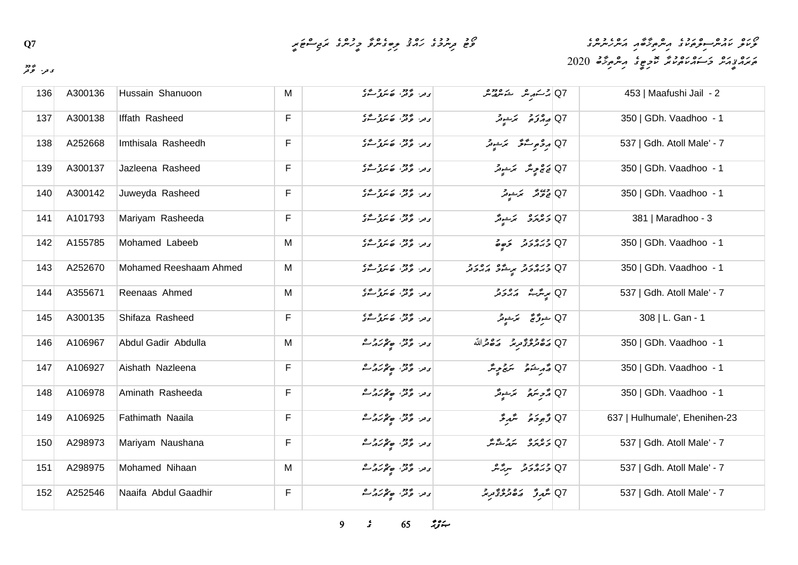*sCw7q7s5w7m< o<n9nOoAw7o< sCq;mAwBoEw7q<m; wBm;vB* م من المرة المرة المرة المرجع المرجع المرجع في 2020<br>مجم*د المريض المرجع المرجع المرجع المرجع المراجع المراجع الم*رجع

| 136 | A300136 | Hussain Shanuoon       | M | ى تەرەپ كە كەرەپ كە ئ                                                                                | Q7 يُرْسَمْ مِيْتَ مَسْتَمْدَ مَسْرَ مِيْتَ مِيْتَ مِيْتَ مِيْتَ مِيْتَ مِيْتَ مِيْتَ مِيْتَ مِيْتَ | 453   Maafushi Jail - 2       |
|-----|---------|------------------------|---|------------------------------------------------------------------------------------------------------|-----------------------------------------------------------------------------------------------------|-------------------------------|
| 137 | A300138 | Iffath Rasheed         | F | وفرز المرود المرور المرد<br>وفرز المحافرة المصري والمستوى                                            | Q7 <i>مەمۇمۇ بىرىشى</i> ر                                                                           | 350   GDh. Vaadhoo - 1        |
| 138 | A252668 | Imthisala Rasheedh     | F | ى قرار ئەرەر ئەرەپ ئەرەپ كەر                                                                         | Q7 م <sub>و</sub> قوم مُنَّوَّ - مَرْش <sub>و</sub> مْر                                             | 537   Gdh. Atoll Male' - 7    |
| 139 | A300137 | Jazleena Rasheed       | F | ى قرار ئەرەر ئەرەپ ئەرەپ كەرگە ئەر                                                                   | Q7 <i>في جمع بير مكر خير فر</i>                                                                     | 350   GDh. Vaadhoo - 1        |
| 140 | A300142 | Juweyda Rasheed        | F | ى تىر بەردە ئەسىرى ئىسى                                                                              | Q7 ف <sub>ے ح</sub> وثر کرشوٹر                                                                      | 350   GDh. Vaadhoo - 1        |
| 141 | A101793 | Mariyam Rasheeda       | F | ى تىر بەللەر ئەرەپ ئەرە                                                                              | Q7 <i>كا بمريرى - بم</i> َ ش <sub>و</sub> مَّر                                                      | 381   Maradhoo - 3            |
| 142 | A155785 | Mohamed Labeeb         | M | ى تىر بەتتى كەردە ئەت                                                                                | Q7 <i>وَبَهُ دَوَ دَوِهُ</i>                                                                        | 350   GDh. Vaadhoo - 1        |
| 143 | A252670 | Mohamed Reeshaam Ahmed | M | وتر کوتر، ن <i>ے سرق شی</i>                                                                          | Q7 <i>وبروبر و برح</i> گو بربروتر                                                                   | 350   GDh. Vaadhoo - 1        |
| 144 | A355671 | Reenaas Ahmed          | M | ى قرار ئەرەر ئەرەپ ئەرەپ كەرگە ئەر                                                                   | Q7 برى <i>گەش كەندۇ</i> تر                                                                          | 537   Gdh. Atoll Male' - 7    |
| 145 | A300135 | Shifaza Rasheed        | F | ى تەرەپ ئەرەپ ئەرەپ ئەرەپ ئەرەپ ئەرەپ ئەرەپ كەرىپ كەنتى ئەرەپ كەرەپ كەرەپ كەرەپ كەرەپ كەرەپ كەرەپ كە | Q7 سورٌ مَمَ سَمَسُومَرُ                                                                            | 308   L. Gan - 1              |
| 146 | A106967 | Abdul Gadir Abdulla    | M | ى مى ئۇنى ئەم ئەرمى                                                                                  | Q7 مَەھىر ئۇ ئوبىر مەھىراللە                                                                        | 350   GDh. Vaadhoo - 1        |
| 147 | A106927 | Aishath Nazleena       | F | ى مى ئۇنى ئەم ئەرمى                                                                                  | Q7 <i>مۇم شۇم ئىتم بې</i> تىر                                                                       | 350   GDh. Vaadhoo - 1        |
| 148 | A106978 | Aminath Rasheeda       | F | ى مى ئەدەر ھەم كەر ھ                                                                                 | Q7 م <i>ُّ جِي مَعْ مَجْ</i> مِنْ مِنْ                                                              | 350   GDh. Vaadhoo - 1        |
| 149 | A106925 | Fathimath Naaila       | F | ى تىر ھۆر ھەممەر 2 ھ                                                                                 | Q7 <i>وَّجِوحَةْ سَمَدِ مَّ</i>                                                                     | 637   Hulhumale', Ehenihen-23 |
| 150 | A298973 | Mariyam Naushana       | F | ى مەدەبىي ھەم بەر ق                                                                                  | Q7 <i>كَمْ بَرْدَةْ</i> سَ <sub>مَ</sub> رْشَمَّسَّ                                                 | 537   Gdh. Atoll Male' - 7    |
| 151 | A298975 | Mohamed Nihaan         | M | ى مى ئۇنى ئەم ئەركىسى                                                                                | Q7 <i>\$22 مردٌ م</i> ر                                                                             | 537   Gdh. Atoll Male' - 7    |
| 152 | A252546 | Naaifa Abdul Gaadhir   | F | ى مى ئەدە ھەم كەر م                                                                                  | Q7 <i>سَّم</i> ُ وَ مَصْرُوتَوْ مِرْ مَرْ                                                           | 537   Gdh. Atoll Male' - 7    |

*9 s* 65 *i*<sub>S</sub> $\approx$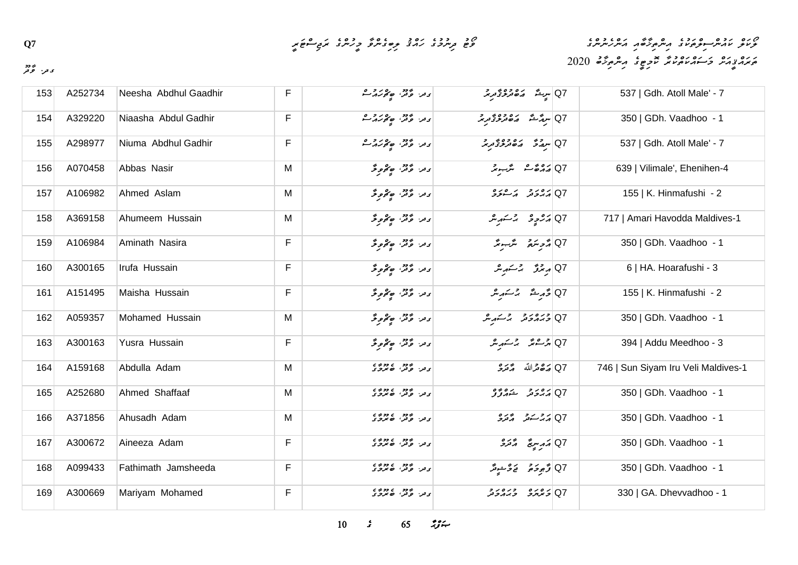*sCw7q7s5w7m< o<n9nOoAw7o< sCq;mAwBoEw7q<m; wBm;vB* م من المرة المرة المرة المرجع المرجع المرجع في 2020<br>مجم*د المريض المرجع المرجع المرجع المرجع المراجع المراجع الم*رجع

| 153 | A252734 | Neesha Abdhul Gaadhir | F           | ىر ئۇن ھەركەت                                      | Q7 سرىن <i>گە كەھەر ئۇ توپر</i>                                                                               | 537   Gdh. Atoll Male' - 7          |
|-----|---------|-----------------------|-------------|----------------------------------------------------|---------------------------------------------------------------------------------------------------------------|-------------------------------------|
| 154 | A329220 | Niaasha Abdul Gadhir  | F           | ومن ود و در ده                                     | Q7 سرمَّتْ مەھىر ئۇمرىر                                                                                       | 350   GDh. Vaadhoo - 1              |
| 155 | A298977 | Niuma Abdhul Gadhir   | F           | ى تىر ئەدە ئەم ئەر ئە                              | Q7 سهرگ مەھىر ئۇ تېرىر<br>Q7                                                                                  | 537   Gdh. Atoll Male' - 7          |
| 156 | A070458 | Abbas Nasir           | M           | ى تىر بۇ تۈرگۈچ ئى                                 | Q7 <i>مەشق شىبى</i> ر                                                                                         | 639   Vilimale', Ehenihen-4         |
| 157 | A106982 | Ahmed Aslam           | M           | ى تىر بۇ تۈرگۈچ ئىچ بولى                           | Q7 كەبرى قىم كەنگە ئىسلان ئىسلان ئىسلان ئىسلان ئىسلان ئىسلان ئىسلان ئىسلان ئىسلان ئىسلان ئىسلان ئىسلان ئىسلان | 155   K. Hinmafushi - 2             |
| 158 | A369158 | Ahumeem Hussain       | M           | ى تىر بۇ تۈرگۈچ ئىچ بولى                           | Q7 كەر <sub>گىچ</sub> ى ئەسكىرىكە                                                                             | 717   Amari Havodda Maldives-1      |
| 159 | A106984 | Aminath Nasira        | F           | رىر ئ <sup>ەدە</sup> ، ھ <sup>ى</sup> گەمەگە       | Q7 م <i>گرم متعرض مگرسومگ</i> ر                                                                               | 350   GDh. Vaadhoo - 1              |
| 160 | A300165 | Irufa Hussain         | F           | ىرىد ئۇقرا ئەمم ئۇ                                 | Q7 م <i>ېنگى جىسىمبى</i> ر                                                                                    | 6   HA. Hoarafushi - 3              |
| 161 | A151495 | Maisha Hussain        | $\mathsf F$ | <sub>ى</sub> ر ئۆت <sub>، ھ</sub> ۆرگە             | Q7 گەرىش ئەسكەرى <i>گ</i>                                                                                     | 155   K. Hinmafushi - 2             |
| 162 | A059357 | Mohamed Hussain       | M           | دىن ئۇقتى ھەممىر ئى                                | Q7 <i>ويرودو بي شهر مر</i>                                                                                    | 350   GDh. Vaadhoo - 1              |
| 163 | A300163 | Yusra Hussain         | $\mathsf F$ | ى تىر بۇ تۈرگۈچ ئى                                 | Q7 ىر شەئىر ب <sub>ى</sub> شەمەيىر                                                                            | 394   Addu Meedhoo - 3              |
| 164 | A159168 | Abdulla Adam          | M           | و در ورو ده ده ده ده و.<br>د در و در صور د         | Q7 كَرْجْ مْرْ لِلّه مْ مُرْمَرْدْ                                                                            | 746   Sun Siyam Iru Veli Maldives-1 |
| 165 | A252680 | Ahmed Shaffaaf        | M           | وتر وده وده و<br>دتر وتر هرد د                     | Q7 كەبرو ھەر <i>ۇۋ</i>                                                                                        | 350   GDh. Vaadhoo - 1              |
| 166 | A371856 | Ahusadh Adam          | M           | و در ورده و دره دارد.<br>د در و در ص در د          | Q7 كەيمە <i>شەرق</i>                                                                                          | 350   GDh. Vaadhoo - 1              |
| 167 | A300672 | Aineeza Adam          | F           | و در ورو ده ده در در دارد.<br>د در او در است در در | Q7 مَەسِيعٌ مَّ مَدَّ                                                                                         | 350   GDh. Vaadhoo - 1              |
| 168 | A099433 | Fathimath Jamsheeda   | F           | و در ورده و دره دارد.<br>د در و در ص در د          | Q7 <i>وَّجِ حَمَّى ف</i> َ حُشِيشً                                                                            | 350   GDh. Vaadhoo - 1              |
| 169 | A300669 | Mariyam Mohamed       | F           | و در دون<br>د در گرد صور د                         | Q7 <i>בֿימת כנ</i> מכת                                                                                        | 330   GA. Dhevvadhoo - 1            |

 $10$  *s*  $65$   $23$   $\div$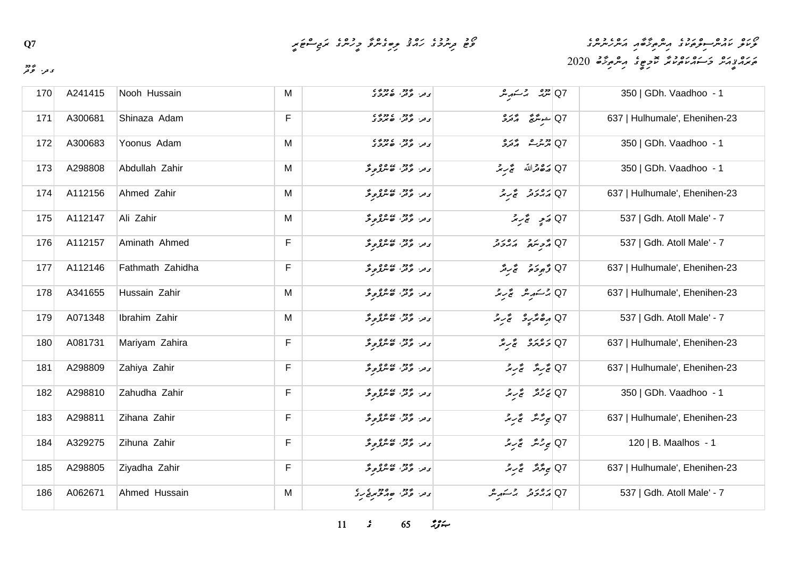*sCw7q7s5w7m< o<n9nOoAw7o< sCq;mAwBoEw7q<m; wBm;vB* م من المرة المرة المرة المرجع المرجع المرجع في 2020<br>مجم*د المريض المرجع المرجع المرجع المرجع المراجع المراجع الم*رجع

| 170 | A241415 | Nooh Hussain     | M           | وتر وده وده و<br>وتر وتر <i>ه برو</i> و  | Q7 ميرچ جي شهر مير                                                                                   | 350   GDh. Vaadhoo - 1        |
|-----|---------|------------------|-------------|------------------------------------------|------------------------------------------------------------------------------------------------------|-------------------------------|
| 171 | A300681 | Shinaza Adam     | F           | و در دو دود د<br>د در و در صدر د         | Q7 شوشج گ <sup>و</sup> ترد                                                                           | 637   Hulhumale', Ehenihen-23 |
| 172 | A300683 | Yoonus Adam      | M           | و در ورده و دره دارد.<br>د در و در صور د | Q7 برير محمد محمد محمد المحمد المحمد المحمد السياسية بن المحمد السياسية المحمد السياسية السياسية الم | 350   GDh. Vaadhoo - 1        |
| 173 | A298808 | Abdullah Zahir   | M           | ى تىر بەتتىن ھەرۋە بۇ                    | Q7 مَەھىراللە ئ <sub>ى</sub> ب                                                                       | 350   GDh. Vaadhoo - 1        |
| 174 | A112156 | Ahmed Zahir      | M           | ى تىر بەتتىن ھەر بەتتى                   | Q7 <i>كەندى كى</i> رىتى                                                                              | 637   Hulhumale', Ehenihen-23 |
| 175 | A112147 | Ali Zahir        | M           | ى تىر بەتتىن ھەر بەتتى                   | Q7 <i>ھَي پُجُرِيمُ</i>                                                                              | 537   Gdh. Atoll Male' - 7    |
| 176 | A112157 | Aminath Ahmed    | F           | ى تىر بەتەر بەرە بەتەر بەتەر بەتەر بەت   | Q7 مُجِسَع <i>ة مَدْحَد</i> ْ                                                                        | 537   Gdh. Atoll Male' - 7    |
| 177 | A112146 | Fathmath Zahidha | F           | ى تىر بەتەر بەرە بەتەر بەتەر بەتەر بەت   | Q7 <i>وَّجِوحَةْ</i> تَجْرِمَّدُ                                                                     | 637   Hulhumale', Ehenihen-23 |
| 178 | A341655 | Hussain Zahir    | M           | ى تىر بەدە بەھ 2 بۇ ئى                   | Q7 بر <i>شهر مرگه چ ب</i> ر بر                                                                       | 637   Hulhumale', Ehenihen-23 |
| 179 | A071348 | Ibrahim Zahir    | M           | ى تىر بەتەر شەھ بەتى بەتى                | Q7 مەھ <i>مگىي</i> ئىسىمىسى ئىس                                                                      | 537   Gdh. Atoll Male' - 7    |
| 180 | A081731 | Mariyam Zahira   | F           | ى تىر بەتەر بەرە بەتەر بەتەر بەتەر بەت   | Q7 كەندىر ئىگە بىر                                                                                   | 637   Hulhumale', Ehenihen-23 |
| 181 | A298809 | Zahiya Zahir     | F           | ى تىر بەدە بە ەە ئەتە                    | Q7 تج س <i>برڈ</i> تج س <i>بر</i>                                                                    | 637   Hulhumale', Ehenihen-23 |
| 182 | A298810 | Zahudha Zahir    | $\mathsf F$ | ى تىر بەتەر بەرە بەتە                    | Q7 يَحْرَشَ يَحْرِيمُ                                                                                | 350   GDh. Vaadhoo - 1        |
| 183 | A298811 | Zihana Zahir     | F           | ى تىر بەتتىن ھەر بەتتى                   | Q7 <sub>مح</sub> رشمہ گ <sup>ے</sup> سم                                                              | 637   Hulhumale', Ehenihen-23 |
| 184 | A329275 | Zihuna Zahir     | F           | ى تىر بەتەر بەرە بەتە                    | Q7 <sub>مج</sub> رشر گ <sub>ھ</sub> ریز                                                              | 120   B. Maalhos - 1          |
| 185 | A298805 | Ziyadha Zahir    | F           | ى تىر بەتەر بەرە بەتەر بەتەر بەتەر بەت   | Q7 <sub>مج</sub> ېزىنگە ئىچ س <sub>ى</sub> رىگە                                                      | 637   Hulhumale', Ehenihen-23 |
| 186 | A062671 | Ahmed Hussain    | M           | وفر وقرا مورد ودور و د                   | Q7 <i>مەدەر بى-مەيىر</i>                                                                             | 537   Gdh. Atoll Male' - 7    |

 $11$  *s* 65  $23$   $\div$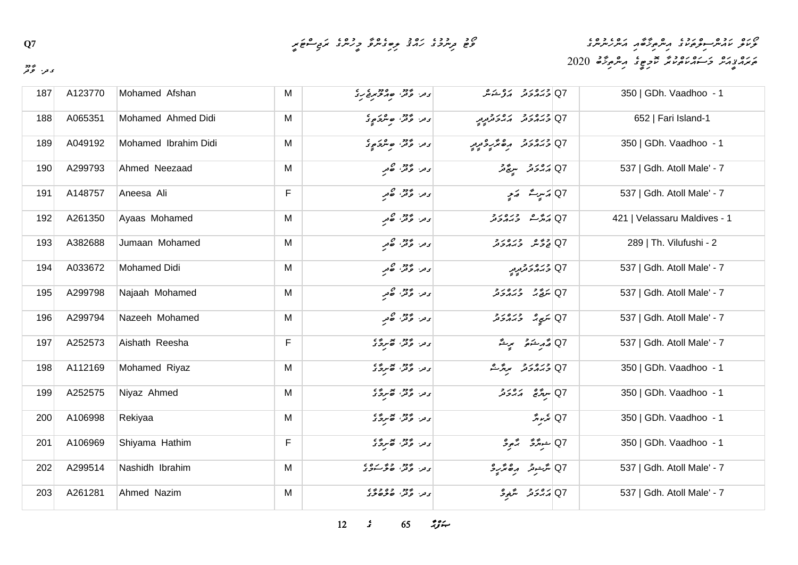*sCw7q7s5w7m< o<n9nOoAw7o< sCq;mAwBoEw7q<m; wBm;vB* م من المرة المرة المرة المرجع المرجع المرجع في 2020<br>مجم*د المريض المرجع المرجع المرجع المرجع المراجع المراجع الم*رجع

| 187 | A123770 | Mohamed Afshan       | M | دور کوتر، صهر محموم در در د                     | Q7 <i>ۋېزودو دو</i> شك                      | 350   GDh. Vaadhoo - 1       |
|-----|---------|----------------------|---|-------------------------------------------------|---------------------------------------------|------------------------------|
| 188 | A065351 | Mohamed Ahmed Didi   | M | رىر ئەدە ئەسكەم ئ                               | Q7 <i>בּ ג' ב</i> כל, ג' ג' בולקיק.         | 652   Fari Island-1          |
| 189 | A049192 | Mohamed Ibrahim Didi | M | ى تىر ئەدە ئەسكەت ئ                             | Q7 <i>בُגُרْכُتْرَ بِرەڭگِرِ</i> دُّتِيْتِر | 350   GDh. Vaadhoo - 1       |
| 190 | A299793 | Ahmed Neezaad        | M |                                                 | Q7 <i>كەنگە كەنگە</i> ئىس بىرىگە ئىر        | 537   Gdh. Atoll Male' - 7   |
| 191 | A148757 | Aneesa Ali           | F | ى تىر بە ئەتىر ھىمبر                            | Q7  كەسپەستە     كەمچ                       | 537   Gdh. Atoll Male' - 7   |
| 192 | A261350 | Ayaas Mohamed        | M | <sub>ى قر</sub> . ئەدە مى<br>ئ                  | Q7 كەنگە ئەيرەر ئىس                         | 421   Velassaru Maldives - 1 |
| 193 | A382688 | Jumaan Mohamed       | M | <sub>ى قر</sub> . ئ <sup>ەدە</sup> ، ئەتر.      | Q7 في <i>وَسُمْ وَسُمْ</i> وَمْرَ           | 289   Th. Vilufushi - 2      |
| 194 | A033672 | <b>Mohamed Didi</b>  | M |                                                 | Q7 <i>ۇ ئەۋ كەترىرى</i> ر                   | 537   Gdh. Atoll Male' - 7   |
| 195 | A299798 | Najaah Mohamed       | M | ى تىر ، ئۇتىر، ئى تىر                           | Q7 سَمَعٌ بِرَ مَسَ <i>دُونَد</i> ِ         | 537   Gdh. Atoll Male' - 7   |
| 196 | A299794 | Nazeeh Mohamed       | M | ى تىر بە ئەتىمى بىلى                            | Q7 <i>سَيِ رُحْدَ دُو دَو</i>               | 537   Gdh. Atoll Male' - 7   |
| 197 | A252573 | Aishath Reesha       | F | <i>وفر وگر تعریمی</i><br>وفر <i>و</i> گر، صرفری | Q7 م <i>ُّهرِ شَهُمُ</i> سِمِیْتُہ          | 537   Gdh. Atoll Male' - 7   |
| 198 | A112169 | Mohamed Riyaz        | M | ړی وه پورې<br>ري ونر، <i>ه برد</i> ر            | Q7 <i>ۇنەۋەتى بىر ئى</i>                    | 350   GDh. Vaadhoo - 1       |
| 199 | A252575 | Niyaz Ahmed          | M | ړی وه پورې<br>ري وګ                             | Q7 سرگري <i>مرد د</i> و                     | 350   GDh. Vaadhoo - 1       |
| 200 | A106998 | Rekiyaa              | M | ړی وه پورې<br>ري ون                             | Q7 عمر مر                                   | 350   GDh. Vaadhoo - 1       |
| 201 | A106969 | Shiyama Hathim       | F | ړی وه پورې<br>ري وګ                             | Q7 شەن <i>گۇ ئىم</i> وگ                     | 350   GDh. Vaadhoo - 1       |
| 202 | A299514 | Nashidh Ibrahim      | M | ى تەرەپ ئەتەرە ئ                                | Q7 مُرْجِع <i>ة مِـ هُ مُّرِج</i>           | 537   Gdh. Atoll Male' - 7   |
| 203 | A261281 | Ahmed Nazim          | M | و ده ده ده ده ده<br>دند وتر، ه ژه ژو            | Q7 <i>كەنگەنىڭ سگەنچ</i> ى                  | 537   Gdh. Atoll Male' - 7   |

 $12$  *s* 65  $23$   $\div$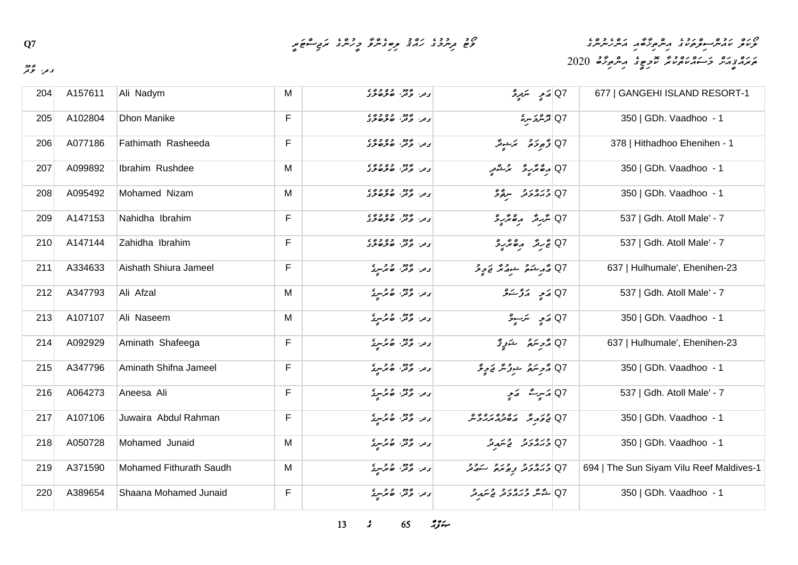*sCw7q7s5w7m< o<n9nOoAw7o< sCq;mAwBoEw7q<m; wBm;vB* م من المرة المرة المرة المرجع المرجع المرجع في 2020<br>مجم*د المريض المرجع المرجع المرجع المرجع المراجع المراجع الم*رجع

| 204 | A157611 | Ali Nadym               | M           | وتر ودو وه وه و<br>وتر وتر صوصور                           | Q7 <i>ڇَ ڇِ سَمِرِي</i>                        | 677   GANGEHI ISLAND RESORT-1            |
|-----|---------|-------------------------|-------------|------------------------------------------------------------|------------------------------------------------|------------------------------------------|
| 205 | A102804 | <b>Dhon Manike</b>      | F           | وتر، و <i>ده وه ووځ</i><br>وتر، <i>و</i> تر، <i>ه</i> څهڅو | Q7   قريفه سرينا                               | 350   GDh. Vaadhoo - 1                   |
| 206 | A077186 | Fathimath Rasheeda      | F           | وتر. ودو وه وه وي<br>وتر. وتر، <b>ه تر <i>ه و</i></b>      | Q7 <i>وُّجِ دَمَّة - مَرْ</i> شِي <i>دَة</i> ُ | 378   Hithadhoo Ehenihen - 1             |
| 207 | A099892 | Ibrahim Rushdee         | M           | ړی وه وه وه ده<br>ری ونر، هڅه څړ                           | Q7 م <i>ەھترى</i> رى برىشور                    | 350   GDh. Vaadhoo - 1                   |
| 208 | A095492 | Mohamed Nizam           | M           | وتر، ودو وه وه.<br>وتر، وتر، ھۆھۈى                         | Q7 <i>جَدَمْ \$2.5 سِهُّ</i> وْ                | 350   GDh. Vaadhoo - 1                   |
| 209 | A147153 | Nahidha Ibrahim         | F           | وتر. ودو وه وه و.<br>وتر. وتر، <b>ص</b> وصوی               | Q7 مَّر <i>َبة م</i> ِ مََّتَّ <i>بِ</i> \$    | 537   Gdh. Atoll Male' - 7               |
| 210 | A147144 | Zahidha Ibrahim         | F           | وتر وده وه وه وي<br>دنر وتر، ه څر ه څرن                    | Q7 تجري <i>ز م</i> ڻ <i>ترب</i> و              | 537   Gdh. Atoll Male' - 7               |
| 211 | A334633 | Aishath Shiura Jameel   | $\mathsf F$ | ى تەرەبىي ئەرەبىي                                          | Q7 م <i>ُمْهِ شَوَمْ مُّومُ</i> مُّوَجِّدً     | 637   Hulhumale', Ehenihen-23            |
| 212 | A347793 | Ali Afzal               | M           | ى تەرەبىي ھەمەسى                                           | Q7 <i>ھَ جِه مَوْ شَوْ</i>                     | 537   Gdh. Atoll Male' - 7               |
| 213 | A107107 | Ali Naseem              | M           | وتر کوتر، گاهرسری                                          | Q7 <i>أَمَّةٍ</i> سَ <i>مَسِ</i> دُّ           | 350   GDh. Vaadhoo - 1                   |
| 214 | A092929 | Aminath Shafeega        | $\mathsf F$ | ى تەرەبىي ئەرەبىي                                          | Q7 مَّ <i>جِ مَنْ هُ</i> مُسَوِيَّةٌ           | 637   Hulhumale', Ehenihen-23            |
| 215 | A347796 | Aminath Shifna Jameel   | F           | ى تەرەبىي ھەمرىنى                                          | Q7 <i>مُّحِسَمُ مُسِوْسُ ف</i> َرِعُ           | 350   GDh. Vaadhoo - 1                   |
| 216 | A064273 | Aneesa Ali              | $\mathsf F$ | ى تەرەبىي ھەمەسى                                           | Q7 ک <sup>ې</sup> پر <i>-گه چ</i>              | 537   Gdh. Atoll Male' - 7               |
| 217 | A107106 | Juwaira Abdul Rahman    | $\mathsf F$ | ى تەرەبىي ئەرەبىي                                          | Q7 <i>ב א</i> ב המשת הסיפה ה                   | 350   GDh. Vaadhoo - 1                   |
| 218 | A050728 | Mohamed Junaid          | M           | ى قرار ئۇقرار ھەتمەس كە                                    | Q7 <i>وبروبرو</i> وتمد                         | 350   GDh. Vaadhoo - 1                   |
| 219 | A371590 | Mohamed Fithurath Saudh | M           | دىن ئۇتىن ئەترىپرى                                         | Q7 <i>ويروبرو وج</i> ير من مروو                | 694   The Sun Siyam Vilu Reef Maldives-1 |
| 220 | A389654 | Shaana Mohamed Junaid   | $\mathsf F$ | ى تەرەبىي ھەمرىنى                                          | Q7 شَمَّرَ وَبَرْدُونَ فَي سَمْدِيْرَ          | 350   GDh. Vaadhoo - 1                   |

 $13$  *s*  $65$  *n***<sub>3</sub>** *n*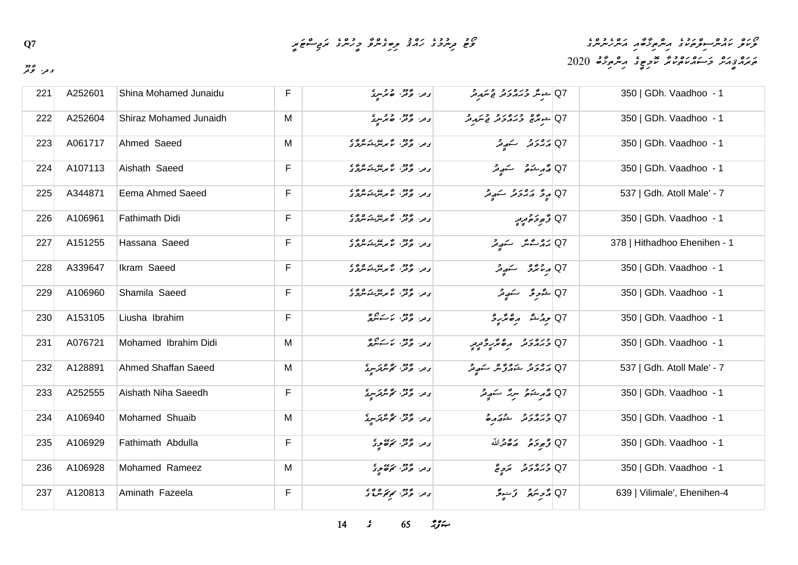*sCw7q7s5w7m< o<n9nOoAw7o< sCq;mAwBoEw7q<m; wBm;vB* م من المرة المرة المرة المرجع المرجع المرجع في 2020<br>مجم*د المريض المرجع المرجع المرجع المرجع المراجع المراجع الم*رجع

| 221 | A252601 | Shina Mohamed Junaidu      | F           | ى تىر بەلىقى ھەمەسىمى                                              | Q7   شونتر و برو د د تم ترم قر          | 350   GDh. Vaadhoo - 1       |
|-----|---------|----------------------------|-------------|--------------------------------------------------------------------|-----------------------------------------|------------------------------|
| 222 | A252604 | Shiraz Mohamed Junaidh     | M           | ى تىر بەلىقى ھەمەسى كە                                             | Q7 شېرنم د <i>جره د د</i> تر مر         | 350   GDh. Vaadhoo - 1       |
| 223 | A061717 | Ahmed Saeed                | M           | وتر گ <sup>ور</sup> و گرمنگریشگر دی.<br>وتر گرمن گرمنگریشگر مرکز و | Q7 <i>مەردى سىمبەن</i>                  | 350   GDh. Vaadhoo - 1       |
| 224 | A107113 | Aishath Saeed              | F           |                                                                    | Q7 مەم ئىقىم سىك <i>رون</i> گە          | 350   GDh. Vaadhoo - 1       |
| 225 | A344871 | Eema Ahmed Saeed           | F           |                                                                    | Q7 م <i>وڈ مک</i> وفٹر سکھیٹر           | 537   Gdh. Atoll Male' - 7   |
| 226 | A106961 | Fathimath Didi             | F           | ى تىر بەشتى كەيدىكە ئەرەپ ئە                                       | Q7 <i>وُّ مِوحَ مُ</i> وْرِمِرِ         | 350   GDh. Vaadhoo - 1       |
| 227 | A151255 | Hassana Saeed              | F           | وتر گردد که برنتوری و ده<br>وتر گرفر گربرنتونترو و                 | Q7 <i>بَہُ مُہُمَّہ سَمِینَہ</i>        | 378   Hithadhoo Ehenihen - 1 |
| 228 | A339647 | Ikram Saeed                | F           | وتر گ <sup>ور</sup> و گرمنگریشگر دی.<br>وتر گرمن گرمنگریشگر مرکز و | Q7 م <i>ېرنىڭىۋە</i> س <i>ەمبەن</i> گە  | 350   GDh. Vaadhoo - 1       |
| 229 | A106960 | Shamila Saeed              | F           | ى تىر بەشتى كەر كەن ئەرەپ ئە                                       | Q7 شَرِوَ سَهِيمُ                       | 350   GDh. Vaadhoo - 1       |
| 230 | A153105 | Liusha Ibrahim             | F           | ى قرار ئەقتى، ئەسكەنلىرى                                           | Q7 مِهْشُدُ مِـ صُغَّبِـ وُ             | 350   GDh. Vaadhoo - 1       |
| 231 | A076721 | Mohamed Ibrahim Didi       | M           | ى قرار ئەقتى، كەسكەنلىرى                                           | Q7 <i>و ډو دی د هغې د</i> وبربر         | 350   GDh. Vaadhoo - 1       |
| 232 | A128891 | <b>Ahmed Shaffan Saeed</b> | M           | دىر بەدە ئەھەر بىرىگە                                              | Q7 <i>كەنگەنگە</i> شەھەر ئىگە سەمدىر    | 537   Gdh. Atoll Male' - 7   |
| 233 | A252555 | Aishath Niha Saeedh        | $\mathsf F$ | ى قىز ئەقىرى كەش قىرتىر سىمى                                       | Q7 مەم ئىككى سىرت سىمرىتىر              | 350   GDh. Vaadhoo - 1       |
| 234 | A106940 | Mohamed Shuaib             | M           | ى قىز ئەقىرى كۆشكەتلىرىگە                                          | $6.62$ $3.002$ $2.007$                  | 350   GDh. Vaadhoo - 1       |
| 235 | A106929 | Fathimath Abdulla          | F           | ر در گرده درد، د                                                   | Q7 <i>وَّجِوَة مَـُهُ</i> قَرَاللَّه    | 350   GDh. Vaadhoo - 1       |
| 236 | A106928 | Mohamed Rameez             | M           | <sub>ى تىر</sub> . ئۇنى ئەق ئەت                                    | Q7 <i>\$22.25 بَرْدِ</i> عُ             | 350   GDh. Vaadhoo - 1       |
| 237 | A120813 | Aminath Fazeela            | F           | ى تىر ئەقتى كىم كىم سىگە ئ                                         | Q7 م <i>ۇمەتىنىڭ قەس</i> و <del>گ</del> | 639   Vilimale', Ehenihen-4  |

 $14$  *s*  $65$  *i***<sub>s</sub>** $\frac{2}{5}$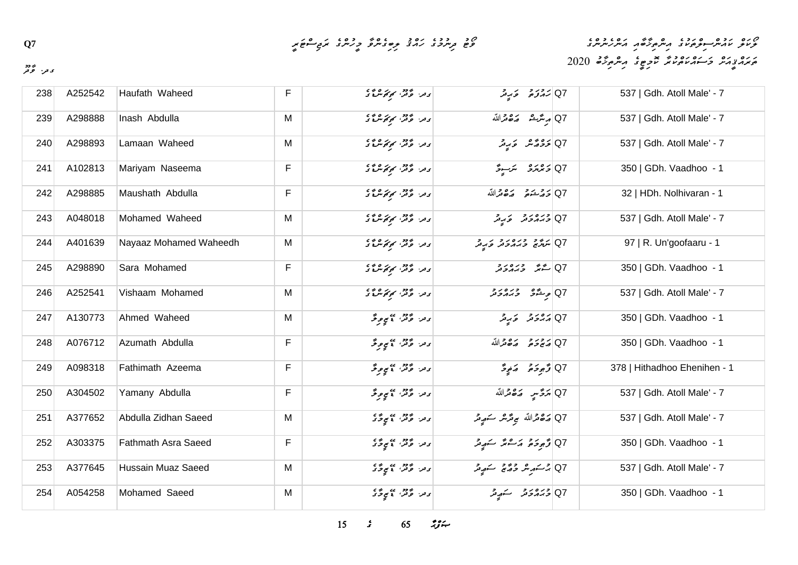*sCw7q7s5w7m< o<n9nOoAw7o< sCq;mAwBoEw7q<m; wBm;vB* م من المرة المرة المرة المرجع المرجع المرجع في 2020<br>مجم*د المريض المرجع المرجع المرجع المرجع المراجع المراجع الم*رجع

| 238 | A252542 | Haufath Waheed             | $\mathsf{F}$ | ى تىر بەردە بەر ئەس ئ       | Q7 <i>كەنى قىمى</i> قر                        | 537   Gdh. Atoll Male' - 7   |
|-----|---------|----------------------------|--------------|-----------------------------|-----------------------------------------------|------------------------------|
| 239 | A298888 | Inash Abdulla              | M            | ى قىز ئەقىرىكى ئەتمەتلىكى ئ | Q7 م <i>بتَرْتْہ مَہُ قَ</i> مَرَاللّٰہ       | 537   Gdh. Atoll Male' - 7   |
| 240 | A298893 | Lamaan Waheed              | M            | ى تىر بەردە بەركەشى ئ       | Q7 <i>كۇۋەتگە ق</i> ەببەتر                    | 537   Gdh. Atoll Male' - 7   |
| 241 | A102813 | Mariyam Naseema            | $\mathsf F$  | ى تىر بەردە بەركەشى ئ       | Q7 ك <i>ر برگرى سى بىرى</i> گە                | 350   GDh. Vaadhoo - 1       |
| 242 | A298885 | Maushath Abdulla           | $\mathsf F$  | ى تىر بەدە بەلگەش ئ         | Q7 كرة شوقو مرك قرالله                        | 32   HDh. Nolhivaran - 1     |
| 243 | A048018 | Mohamed Waheed             | M            | ى تىر بەردە بەركەشى ئ       | Q7 <i>وُبَرُوْدَوْ وَبِ</i> سْ                | 537   Gdh. Atoll Male' - 7   |
| 244 | A401639 | Nayaaz Mohamed Waheedh     | M            | ى تىر بەردە بەركەشى ئ       | Q7 <i>سَرَّدَّة وَبَرْدُوَ</i> تَر وَبِرِثَرَ | 97   R. Un'goofaaru - 1      |
| 245 | A298890 | Sara Mohamed               | $\mathsf F$  | ى قىز ئەقىرىكى ئەتمەتلىكى ئ | Q7 گىنز ئ <i>ۇنەۋەن</i> ر                     | 350   GDh. Vaadhoo - 1       |
| 246 | A252541 | Vishaam Mohamed            | M            | ى تىر بەردە بەركەشى ئ       | Q7 وڅو د <i>ډره د</i> ر                       | 537   Gdh. Atoll Male' - 7   |
| 247 | A130773 | Ahmed Waheed               | M            | ى قرىق ئىم قومى             | Q7 <i>كەنگە كەنگە</i> قىرىد                   | 350   GDh. Vaadhoo - 1       |
| 248 | A076712 | Azumath Abdulla            | $\mathsf F$  | ى تىر بەقتى ، ئام بوقە      | $Q7$ $\approx$ $5.5$ $\approx$ $Q7$           | 350   GDh. Vaadhoo - 1       |
| 249 | A098318 | Fathimath Azeema           | F            | ى قرىق ئاسى قىچ قى          | Q7 <i>وُّجِ حَمَّى مَ</i> جِرً                | 378   Hithadhoo Ehenihen - 1 |
| 250 | A304502 | Yamany Abdulla             | $\mathsf F$  | ى قىز ئۇقتى ، ئام ئوقى      | Q7 مَرَدَّسٍ     رَصُوْراللَّه                | 537   Gdh. Atoll Male' - 7   |
| 251 | A377652 | Abdulla Zidhan Saeed       | M            | ړی وو.<br>دی وی ځې دی       | Q7 كَمْ حْمْدَاللَّه مِومَّرْمْرْ سَمَدٍ مْرَ | 537   Gdh. Atoll Male' - 7   |
| 252 | A303375 | <b>Fathmath Asra Saeed</b> | $\mathsf F$  | ړی وو.<br>دی وی. د د        | Q7 <i>وَّجِعَة مَ</i> سُن <i>ة سَمِي</i> قر   | 350   GDh. Vaadhoo - 1       |
| 253 | A377645 | <b>Hussain Muaz Saeed</b>  | M            | ړی وو.<br>دی وی ځې د        | Q7 برُسَمبر بھر وُرُح سَمبر بھر               | 537   Gdh. Atoll Male' - 7   |
| 254 | A054258 | Mohamed Saeed              | M            | ى تىر بۇ قۇر، ئۇ ئېچ قۇ ئى  | Q7 <i>\$22.2 ئەم</i> ەتر                      | 350   GDh. Vaadhoo - 1       |

 $15$  *s*  $65$   $234$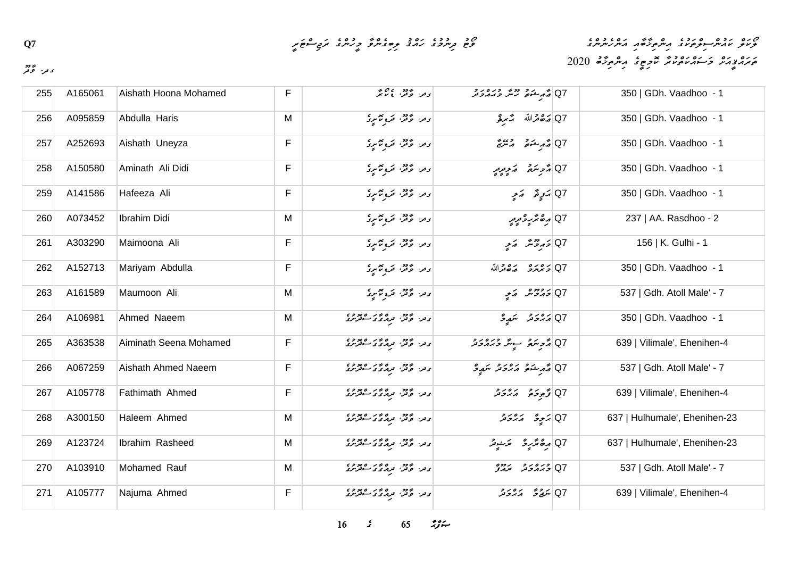*sCw7q7s5w7m< o<n9nOoAw7o< sCq;mAwBoEw7q<m; wBm;vB* م من المرة المرة المرة المرجع المرجع المرجع في 2020<br>مجم*د المريض المرجع المرجع المرجع المرجع المراجع المراجع الم*رجع

| 255 | A165061 | Aishath Hoona Mohamed  | F | ى قرار ئۇقرار ئاراشىتى                                                                                                                                                                                                 | Q7 בה בים כי כי ההכת                        | 350   GDh. Vaadhoo - 1        |
|-----|---------|------------------------|---|------------------------------------------------------------------------------------------------------------------------------------------------------------------------------------------------------------------------|---------------------------------------------|-------------------------------|
| 256 | A095859 | Abdulla Haris          | M | ى قىز ئەقىرى قىرە ئىزىرى                                                                                                                                                                                               | Q7 كەھەراللە گەمبۇ                          | 350   GDh. Vaadhoo - 1        |
| 257 | A252693 | Aishath Uneyza         | F | ا پرس کرده .<br>اردار کردگر، فرونومبری                                                                                                                                                                                 | Q7 مەم شىم مەشرى                            | 350   GDh. Vaadhoo - 1        |
| 258 | A150580 | Aminath Ali Didi       | F | ى قىز ئەقىرى ئىچە ئەسىرى<br>ئ                                                                                                                                                                                          | Q7 <mark>ترْ</mark> حِ سَمَعْ _ مَعِيْدِيدِ | 350   GDh. Vaadhoo - 1        |
| 259 | A141586 | Hafeeza Ali            | F | ى قىز ، ھەتتى ، قىز تەخرى ،                                                                                                                                                                                            | Q7 <i>أَنَّرٍ فَرَ</i> حَمٍ مَسَ            | 350   GDh. Vaadhoo - 1        |
| 260 | A073452 | Ibrahim Didi           | M | ر در گ <sup>ور</sup> ترونزید ک                                                                                                                                                                                         | Q7 <sub>مو</sub> ڭ ئۆر <sub>چوىتى</sub> ر   | 237   AA. Rasdhoo - 2         |
| 261 | A303290 | Maimoona Ali           | F | ى قىز ئەقتى، قرەپچە بولى                                                                                                                                                                                               | Q7 <i>كَهُ دِنْتْهُ مَ</i> حٍ               | 156   K. Gulhi - 1            |
| 262 | A152713 | Mariyam Abdulla        | F | ى قىز ئەقىرى قىرە ئىزىرى                                                                                                                                                                                               | Q7 <i>5 محرمرد من ه</i> م ترالله            | 350   GDh. Vaadhoo - 1        |
| 263 | A161589 | Maumoon Ali            | M | ا دور ان دور<br>ارور ان قوم ان مورد ان در ان                                                                                                                                                                           | Q7 <i>كەنىۋىش مەي</i>                       | 537   Gdh. Atoll Male' - 7    |
| 264 | A106981 | Ahmed Naeem            | M | وتر محمد مصر معدد ع<br>وتر حمد تردوی سیتر دی                                                                                                                                                                           | Q7 <i>222 سَمِي</i> ر                       | 350   GDh. Vaadhoo - 1        |
| 265 | A363538 | Aiminath Seena Mohamed | F | وتر محمد معدد معدد عدد عدد المحمد المحمد المحمد المحمد المحمد المحمد المحمد المحمد المحمد المحمد الم<br>المحمد المحمد المحمد المحمد المحمد المحمد المحمد المحمد المحمد المحمد المحمد المحمد المحمد المحمد المحمد المحم | Q7 مُحِسَمَةٌ سِسَّ وُبَرَمُ وَمَ           | 639   Vilimale', Ehenihen-4   |
| 266 | A067259 | Aishath Ahmed Naeem    | F | وتر محمد معدد معدد عدد عدد المحمد المحمد المحمد المحمد المحمد المحمد المحمد المحمد المحمد المحمد الم<br>المحمد المحمد المحمد المحمد المحمد المحمد المحمد المحمد المحمد المحمد المحمد المحمد المحمد المحمد المحمد المحم | Q7 مەم شەم كەبىرى ئىمبەر                    | 537   Gdh. Atoll Male' - 7    |
| 267 | A105778 | Fathimath Ahmed        | F | وتر محمد مصر معدد ع<br>وتر حمد تردوی سیتر دی                                                                                                                                                                           | Q7 تَ <i>وجو م</i> حوم                      | 639   Vilimale', Ehenihen-4   |
| 268 | A300150 | Haleem Ahmed           | M | وتر محمد مصر معدد ع<br>وتر حمد تردوی سیتر دی                                                                                                                                                                           | Q7 <i>يَجِ</i> وْ كَمَدْدَمْرْ              | 637   Hulhumale', Ehenihen-23 |
| 269 | A123724 | Ibrahim Rasheed        | M | وتر محمد مصر معدد ع<br>وتر حمد تردد و سنتر دو                                                                                                                                                                          | Q7 م <i>ەھترى</i> رى مەسىم                  | 637   Hulhumale', Ehenihen-23 |
| 270 | A103910 | Mohamed Rauf           | M | وتر گرفته از مرد و در در دارد.<br>دانل گرفتن از مرد در کار میلویس                                                                                                                                                      | Q7 <i>בייה בית יירי</i> פ                   | 537   Gdh. Atoll Male' - 7    |
| 271 | A105777 | Najuma Ahmed           | F | وفر کوفر) فرازی در ۲۵ و د<br>د فرانس فرانس و برای در ایران                                                                                                                                                             | Q7 سَهَرَّ <i>مَدْدَنْد</i>                 | 639   Vilimale', Ehenihen-4   |

 $16$  *s*  $65$  *n***<sub>3</sub>** *n*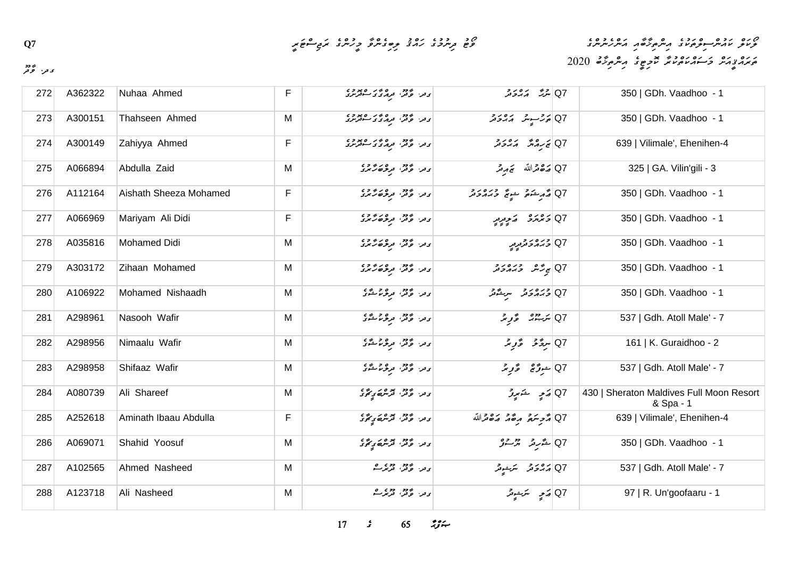*sCw7q7s5w7m< o<n9nOoAw7o< sCq;mAwBoEw7q<m; wBm;vB* م من المرة المرة المرة المرجع المرجع المرجع في 2020<br>مجم*د المريض المرجع المرجع المرجع المرجع المراجع المراجع الم*رجع

| 272 | A362322 | Nuhaa Ahmed            | $\mathsf{F}$ | وتر محمد مصر معدو ع<br>وتر حکمر تردوی سیس در   | Q7 سُرَبَّہ بَرَبَّدَ تَرَ                           | 350   GDh. Vaadhoo - 1                                |
|-----|---------|------------------------|--------------|------------------------------------------------|------------------------------------------------------|-------------------------------------------------------|
| 273 | A300151 | Thahseen Ahmed         | M            | وتر محمد معرف معروفا<br>وتر حمد تردد و سنترس   | Q7 <i>ۇرجىبىر مەدە</i> م                             | 350   GDh. Vaadhoo - 1                                |
| 274 | A300149 | Zahiyya Ahmed          | F            | وتر محمد معروم ورود.<br>وتر حمد تردد و سنتر دو | Q7 ى <i>خ بەنگە ئەنگە</i> تەر                        | 639   Vilimale', Ehenihen-4                           |
| 275 | A066894 | Abdulla Zaid           | M            | وتر ويو.<br>وتر وتر تروه <i>رو و ع</i>         | Q7 مَەھمَّرَاللَّه يَج مِقْر                         | 325   GA. Vilin'gili - 3                              |
| 276 | A112164 | Aishath Sheeza Mohamed | $\mathsf F$  | ى قرار 25%، قرىمى تەرى                         | Q7 مەم شىرىم ئەرەر د                                 | 350   GDh. Vaadhoo - 1                                |
| 277 | A066969 | Mariyam Ali Didi       | $\mathsf F$  | وتر به دو.<br>وتر وتر تروه ربرو                | Q7 <i>و بروي ھي ويوپر</i>                            | 350   GDh. Vaadhoo - 1                                |
| 278 | A035816 | <b>Mohamed Didi</b>    | M            | وتر به دو.<br>وتر وتر، تریخ <i>ص پر</i> و      | Q7 <i>ڈ ټرو څو</i> رمړم                              | 350   GDh. Vaadhoo - 1                                |
| 279 | A303172 | Zihaan Mohamed         | M            | وتر وده دوره ود.<br>وتر وتر تروه ربود          | Q7 ىې <i>گىر دى. دى</i> ر                            | 350   GDh. Vaadhoo - 1                                |
| 280 | A106922 | Mohamed Nishaadh       | M            |                                                | Q7 <i>وُبُرُوُدُوْ</i> سِيشُعْرُ                     | 350   GDh. Vaadhoo - 1                                |
| 281 | A298961 | Nasooh Wafir           | M            | ى قرار ئەدەر بەر ئەلىمى ئە                     | Q7 س <i>ز جيره گرو</i> يز                            | 537   Gdh. Atoll Male' - 7                            |
| 282 | A298956 | Nimaalu Wafir          | M            | ى تىر ھەترىكى تىرى ئىشى ئىچە ئە                | Q7 سر <i>مگر گرونگ</i> ر                             | 161   K. Guraidhoo - 2                                |
| 283 | A298958 | Shifaaz Wafir          | M            | ى تىر ھەتر بىر تورى شىمى                       | Q7 شو <i>رٌ ۾ وُويرُ</i>                             | 537   Gdh. Atoll Male' - 7                            |
| 284 | A080739 | Ali Shareef            | M            | وتر ود بره د د .<br>دتر وتر ترس د گرد          | Q7 كەمچە سىمب <i>وڭ</i>                              | 430   Sheraton Maldives Full Moon Resort<br>& Spa - 1 |
| 285 | A252618 | Aminath Ibaau Abdulla  | $\mathsf{F}$ | وتر ود بره د د .<br>وتر وتر ترس و گرد          | Q7 أُمَّحِ سَمَّدَ مِنْ أَمَّةٌ اللَّهُ مَنْ اللَّهُ | 639   Vilimale', Ehenihen-4                           |
| 286 | A069071 | Shahid Yoosuf          | M            | وفر ودو بوه د ده و<br>وفر وفر ترسمه و گرد      | Q7 ڪمبر <i>هر جو</i> هو                              | 350   GDh. Vaadhoo - 1                                |
| 287 | A102565 | Ahmed Nasheed          | M            | ى تىر بەدەر دەرىم ھ                            | Q7 <i>222 مگرش<sub>و</sub>نژ</i>                     | 537   Gdh. Atoll Male' - 7                            |
| 288 | A123718 | Ali Nasheed            | M            | ړی وو.<br>دی وی ترکر ک                         | Q7 <i>أَمَّةٍ</i> سَمَشِيْتَر                        | 97   R. Un'goofaaru - 1                               |

 $17$  *s* 65  $23$   $\div$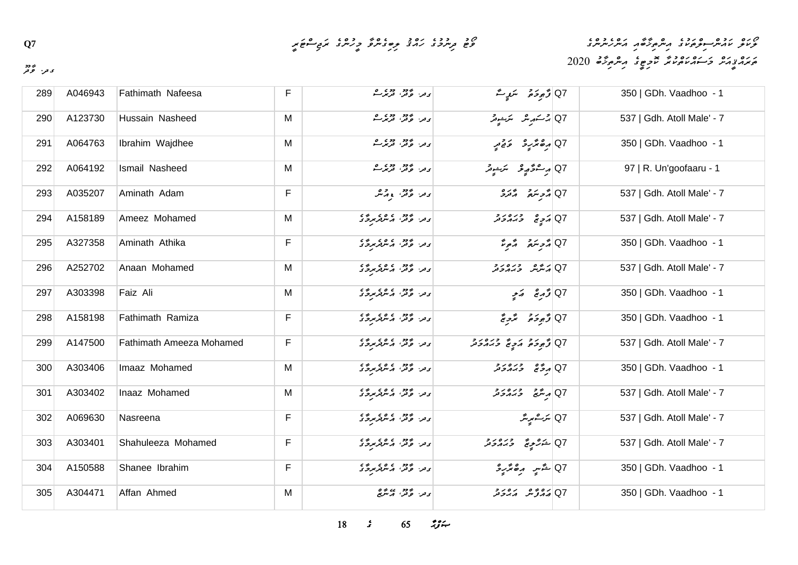*sCw7q7s5w7m< o<n9nOoAw7o< sCq;mAwBoEw7q<m; wBm;vB* م من المرة المرة المرة المرجع المرجع المرجع في 2020<br>مجم*د المريض المرجع المرجع المرجع المرجع المراجع المراجع الم*رجع

| 289 | A046943 | Fathimath Nafeesa        | $\mathsf{F}$ | ى تىر بەدە بەدە ب                                                                                         | Q7 <i>وَّجِ دَمَّةَ سَمِي</i> ّتَهُ                  | 350   GDh. Vaadhoo - 1     |
|-----|---------|--------------------------|--------------|-----------------------------------------------------------------------------------------------------------|------------------------------------------------------|----------------------------|
| 290 | A123730 | Hussain Nasheed          | M            | ى تىر بەدە بەدە يەر                                                                                       | Q7 كەس <i>ەم بىر سىرىشى</i> ر                        | 537   Gdh. Atoll Male' - 7 |
| 291 | A064763 | Ibrahim Wajdhee          | M            | ى قرار 25%، قرىر ك                                                                                        | Q7 م <i>ەھتىپ</i> ۇ كەقەب <sub>ىي</sub>              | 350   GDh. Vaadhoo - 1     |
| 292 | A064192 | Ismail Nasheed           | M            | ى تىر بە ئەترى ھەر ھە                                                                                     | Q7 م <i>وس<sup>و</sup>د گور</i> و گرش <sub>و</sub> ر | 97   R. Un'goofaaru - 1    |
| 293 | A035207 | Aminath Adam             | F            | ى تىر بۇ قۇر بار قىل                                                                                      | Q7 مُجِسَعْهِ مُحَمَّدَةِ                            | 537   Gdh. Atoll Male' - 7 |
| 294 | A158189 | Ameez Mohamed            | M            | دىن ئەدەر يەرە يەرى<br>دىن ئۇتىر، مەسىر <i>مەرىخ</i>                                                      | Q7 <i>كەچ قىمگە قىلى</i>                             | 537   Gdh. Atoll Male' - 7 |
| 295 | A327358 | Aminath Athika           | F            | ى تەرەپ ئەم ئەم ئەم ئەم ئەم ئە                                                                            | Q7 مُرْحِبَهُ مُرْمَّوِيَّة                          | 350   GDh. Vaadhoo - 1     |
| 296 | A252702 | Anaan Mohamed            | M            | ى تەرەپ ئەم ئەم ئەم ئەم ئەم ئە                                                                            | Q7 كەنگەر ئەيمەدىر                                   | 537   Gdh. Atoll Male' - 7 |
| 297 | A303398 | Faiz Ali                 | M            | ى تەرەپ ئەھمى ئەرە                                                                                        | Q7 <i>وُ<sub>م</sub>ِ</i> جَمِي                      | 350   GDh. Vaadhoo - 1     |
| 298 | A158198 | Fathimath Ramiza         | F            | ى تەرەپ ئەم ئەھ ئەرە ئە                                                                                   | Q7 تَ <i>مُّوحَة</i> تَ <i>دَّدِي</i> َّ             | 350   GDh. Vaadhoo - 1     |
| 299 | A147500 | Fathimath Ameeza Mohamed | $\mathsf F$  | دىن ئەدەر يەرە يەرى<br>دىن ئۇتىر، مەسىر <i>مەرىخ</i>                                                      | Q7 زُّجِرَةَ مَرِيَّ دَبَرُونَ                       | 537   Gdh. Atoll Male' - 7 |
| 300 | A303406 | Imaaz Mohamed            | M            | دى دە دە دە دە<br>دىن ئۇنى مەس <i>بىر بو</i> دى                                                           | Q7 م <i>ۇقى دېممۇت</i> ر                             | 350   GDh. Vaadhoo - 1     |
| 301 | A303402 | Inaaz Mohamed            | M            | ى تەرەپ ئەم ئەم ئەم ئەم ئەم ئە                                                                            | Q7 مِتَّرَجَّ حَمَدَهُ حَ <sup>م</sup> َ             | 537   Gdh. Atoll Male' - 7 |
| 302 | A069630 | Nasreena                 | $\mathsf F$  | ى تەرەپ ئەھلى ئەرە                                                                                        | Q7   ىئرىش <sup>ى</sup> رىنگر                        | 537   Gdh. Atoll Male' - 7 |
| 303 | A303401 | Shahuleeza Mohamed       | F            | ى تەرەپ ئەم ئەم ئەم ئەم ئەم ئە                                                                            | Q7 خەرى <sub>چ</sub> ى ئەرەرد                        | 537   Gdh. Atoll Male' - 7 |
| 304 | A150588 | Shanee Ibrahim           | $\mathsf F$  | ى تەرەپ ئەرەبى ئەرەبىي ئەرەبىي ئەرەبىيە ئەرەبىيە ئەرەبىيە ئەرەبىيە ئەرەبىيە ئەرەب ئەرەب ئەرەب ئەرەب ئەرەب | Q7 گەس مەمگرىيى                                      | 350   GDh. Vaadhoo - 1     |
| 305 | A304471 | Affan Ahmed              | M            | ى تىر بە ئەم ئە ئە ئە                                                                                     | Q7 <i>مەۋۋىتى مەدە</i> تر                            | 350   GDh. Vaadhoo - 1     |

 $18$  *s* 65  $23$   $\div$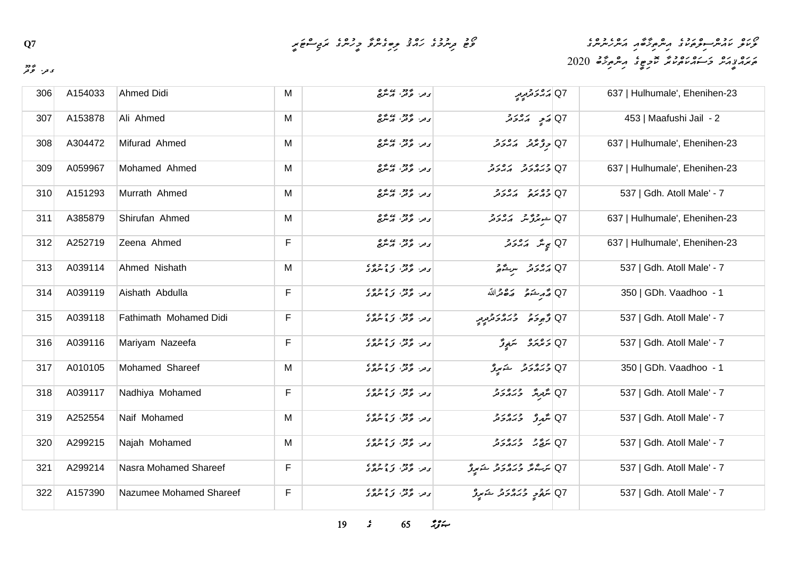*sCw7q7s5w7m< o<n9nOoAw7o< sCq;mAwBoEw7q<m; wBm;vB* م من المرة المرة المرة المرجع المرجع المرجع في 2020<br>مجم*د المريض المرجع المرجع المرجع المرجع المراجع المراجع الم*رجع

| 306 | A154033 | Ahmed Didi              | M           | ى قرىق ئۇيغان ئەرلىكى ئ                                                                      | Q7   كەنگە كەمگە يولىيە                                                                                        | 637   Hulhumale', Ehenihen-23 |
|-----|---------|-------------------------|-------------|----------------------------------------------------------------------------------------------|----------------------------------------------------------------------------------------------------------------|-------------------------------|
| 307 | A153878 | Ali Ahmed               | M           | ى تىر بەشتى ئەرەپى ئە                                                                        |                                                                                                                | 453   Maafushi Jail - 2       |
| 308 | A304472 | Mifurad Ahmed           | M           | ى تىر بە ئەت ئەت ئ                                                                           | Q7 <i>ووْ مَدْوْ مَدْوَ</i> مْرَ                                                                               | 637   Hulhumale', Ehenihen-23 |
| 309 | A059967 | Mohamed Ahmed           | M           | ى قرار ئەرەر ئەن ئەن                                                                         | Q7 <i>בُגُגُّ</i> כ <sup>َ</sup> <i>גُגُ</i> כ <sup>ِג</sup>                                                   | 637   Hulhumale', Ehenihen-23 |
| 310 | A151293 | Murrath Ahmed           | M           | دىر. ئۇتىر، ئ <sup>ىرى</sup> دى                                                              | Q7 <i>בה אם ג' בית</i>                                                                                         | 537   Gdh. Atoll Male' - 7    |
| 311 | A385879 | Shirufan Ahmed          | M           | ى تىر بە ئۇنى ئەر ئەن                                                                        | Q7 جو <i>مرۇ شەركى</i> رگە                                                                                     | 637   Hulhumale', Ehenihen-23 |
| 312 | A252719 | Zeena Ahmed             | F           | ى تىر بەردە بەر بەر                                                                          | Q7 <sub>م</sub> ح م <i>گر مرکر در</i>                                                                          | 637   Hulhumale', Ehenihen-23 |
| 313 | A039114 | Ahmed Nishath           | M           | و در ووه دره وره وه<br>د در گرفتن و د در در                                                  | Q7 <i>كەندى كى</i> ر س <sub>ى</sub> شكە ئى                                                                     | 537   Gdh. Atoll Male' - 7    |
| 314 | A039119 | Aishath Abdulla         | F           | ا دور ان دوره دره دره با<br>ارور ان دور از دارد و در                                         | Q7 <i>مُجْمِسْتَمْ مُ</i> هْمَّداللَّه                                                                         | 350   GDh. Vaadhoo - 1        |
| 315 | A039118 | Fathimath Mohamed Didi  | $\mathsf F$ | وتر کوتر کرون وی<br>دتر گوتر کی شرحانی                                                       | Q7 <i>وَّجِوَدَة حَدَّدْدَ تَرْبِرِيرِ</i>                                                                     | 537   Gdh. Atoll Male' - 7    |
| 316 | A039116 | Mariyam Nazeefa         | $\mathsf F$ | دى دە دەرەرە<br>دىن ئۇنىن ئىقلىرى                                                            | Q7 كەنگەر ئىگەنى ئىگەنى ئىگەنى ئىگەنى ئىگەن ئىگەن ئىگەن ئىگەن ئىگەن ئىگەن ئىگەن ئىگەن ئىگەن ئىگەن قى           | 537   Gdh. Atoll Male' - 7    |
| 317 | A010105 | Mohamed Shareef         | M           | دى دە دەرە<br>دىن ئۇتىن ئى تەسرى د                                                           | Q7 <i>\$ ئەۋدىق</i> خ <i>ەير</i> ۇ                                                                             | 350   GDh. Vaadhoo - 1        |
| 318 | A039117 | Nadhiya Mohamed         | F           | ومر مهم در دره در<br>دمر گرمل کی مرور                                                        | Q7 سَّمِرِيزٌ وَبَرْدُونَزْ                                                                                    | 537   Gdh. Atoll Male' - 7    |
| 319 | A252554 | Naif Mohamed            | M           | ومر مهم د د ده و.<br>دمر گرمل کی مرور                                                        | Q7 سُمبر و محمد المحمد المحمد المحمد المحمد المحمد المحمد المحمد المحمد المحمد المحمد المحمد المحمد المحمد الم | 537   Gdh. Atoll Male' - 7    |
| 320 | A299215 | Najah Mohamed           | M           | ومر به دو به دوه و.<br>دمن کوتمر کوه سرچای                                                   | Q7 <i>بَرَقْ بِرَ وَبَرْ وَجَ</i>                                                                              | 537   Gdh. Atoll Male' - 7    |
| 321 | A299214 | Nasra Mohamed Shareef   | $\mathsf F$ | دىن ئەدەب دەپەرە<br>دىن ئەقىر، ئى قىسىملىرى                                                  |                                                                                                                | 537   Gdh. Atoll Male' - 7    |
| 322 | A157390 | Nazumee Mohamed Shareef | F           | وفرز المرور بر و و بر د<br>المراس المراس المراس و المراجع المراس و المراس و المراس و المراسي | Q7 <i>سَمْوَدٍ وَيَدْوَدُ حَبَيرُوْ</i>                                                                        | 537   Gdh. Atoll Male' - 7    |

*19 s* 65 *if*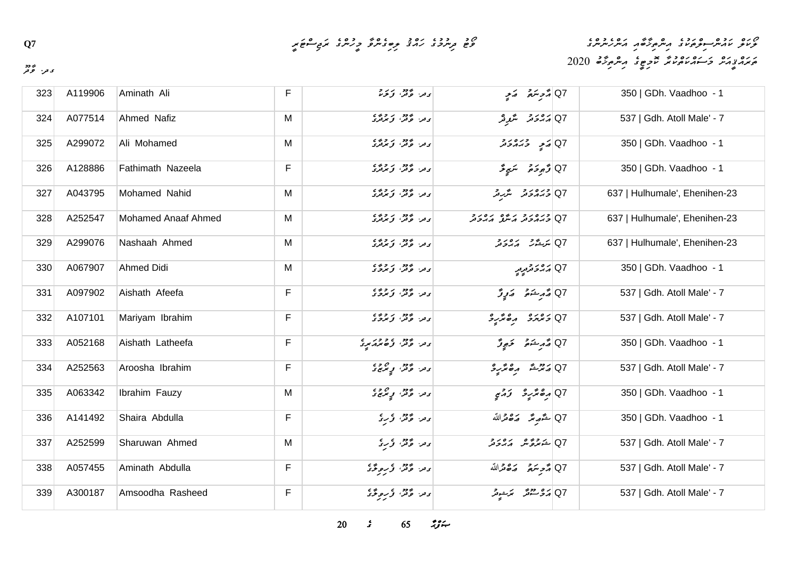*sCw7q7s5w7m< o<n9nOoAw7o< sCq;mAwBoEw7q<m; wBm;vB* م من المرة المرة المرة المرجع المرجع المرجع في 2020<br>مجم*د المريض المرجع المرجع المرجع المرجع المراجع المراجع الم*رجع

| 323 | A119906 | Aminath Ali                | F           | ى تىر بەشتى كەنزىق                                               | Q7 مَّحِسَمَ مَعِ                      | 350   GDh. Vaadhoo - 1        |
|-----|---------|----------------------------|-------------|------------------------------------------------------------------|----------------------------------------|-------------------------------|
| 324 | A077514 | Ahmed Nafiz                | M           | و در دود.<br>د در گرفتر کریمرفری                                 | Q7 <i>مَدْدَة. سُّعِي</i> ةْر          | 537   Gdh. Atoll Male' - 7    |
| 325 | A299072 | Ali Mohamed                | M           | و در دود.<br>د در گرفتر کریمرفری                                 | Q7 <i>مَجِ دْبُهْدَمْ</i>              | 350   GDh. Vaadhoo - 1        |
| 326 | A128886 | Fathimath Nazeela          | $\mathsf F$ | وفر به می دود و<br>دفر گرفتر کو موفری                            | Q7 <i>وُّجِودَةْ</i> سَمِعٍ مَّ        | 350   GDh. Vaadhoo - 1        |
| 327 | A043795 | Mohamed Nahid              | M           | وفر به می دود و<br>دفر گرفتر کو موفری                            | Q7 <i>وُبُرُوُدُو مُرُدِيْر</i>        | 637   Hulhumale', Ehenihen-23 |
| 328 | A252547 | <b>Mohamed Anaaf Ahmed</b> | M           | وتر به دون<br>وتر گرفتر کو مرتزی                                 | Q7 <i>جەمگەن كەشلا كەنگەن</i> د        | 637   Hulhumale', Ehenihen-23 |
| 329 | A299076 | Nashaah Ahmed              | M           | وفر: ح <sup>99</sup> ، وكالروم و<br>وفر: ح <i>وثر، وكالرو</i>    | Q7 سَرْشَرْ - دَرْدَوْرْ               | 637   Hulhumale', Ehenihen-23 |
| 330 | A067907 | <b>Ahmed Didi</b>          | M           | وتر به دو.<br>دتر گرفر، ق بروی                                   | Q7 كەنگە <i>كەترىپ</i> ر               | 350   GDh. Vaadhoo - 1        |
| 331 | A097902 | Aishath Afeefa             | F           | وفر: و <i>ک<sup>و</sup>: وکاروی</i><br>وفر: وکو: وکا <i>بروی</i> | Q7 مەم شىم كەرگە                       | 537   Gdh. Atoll Male' - 7    |
| 332 | A107101 | Mariyam Ibrahim            | $\mathsf F$ | وفر به دون<br>وفر گرفر کو مرحزی                                  | Q7 <i>كا جمهر فه مراقيز كلي</i> ر      | 537   Gdh. Atoll Male' - 7    |
| 333 | A052168 | Aishath Latheefa           | $\mathsf F$ | دىن ئەدە يەدەرىرى<br>دىن ئۇنىر، ئ <i>ۆھ بىرەر بىر</i> ى          | Q7 مُگرِسْتَمْ کَوَ کَوَرَ             | 350   GDh. Vaadhoo - 1        |
| 334 | A252563 | Aroosha Ibrahim            | F           | ړی وي.<br>دی ونش ویری                                            | Q7 كەتترىش <i>ە مەھترى</i> رى          | 537   Gdh. Atoll Male' - 7    |
| 335 | A063342 | Ibrahim Fauzy              | M           | ړی وي.<br>ری وګڼ ویربی                                           | Q7 مەھم <i>گىر ۋە ئى</i> م             | 350   GDh. Vaadhoo - 1        |
| 336 | A141492 | Shaira Abdulla             | F           | دورا ن <sup>ودو</sup> ا وراء                                     | Q7 ش <i>ۇم بۇ مەھەر</i> اللە           | 350   GDh. Vaadhoo - 1        |
| 337 | A252599 | Sharuwan Ahmed             | M           | ى قىز ، ئۇقىر ، ئۇ رى                                            | Q7 شە <i>جۇش مەددى</i> ر               | 537   Gdh. Atoll Male' - 7    |
| 338 | A057455 | Aminath Abdulla            | $\mathsf F$ | ى مەس ئۇقرا كۆر بەرگەنى                                          | Q7 مُجِسَمَ <i>ة مَـُهُ</i> مَّراللَّه | 537   Gdh. Atoll Male' - 7    |
| 339 | A300187 | Amsoodha Rasheed           | F           | دىن ئۇنش كۆرۈنچى                                                 | Q7 <i>كەۋسىقۇ بىرىغ</i> وتر            | 537   Gdh. Atoll Male' - 7    |

 $20$  *s*  $65$  *z*  $29$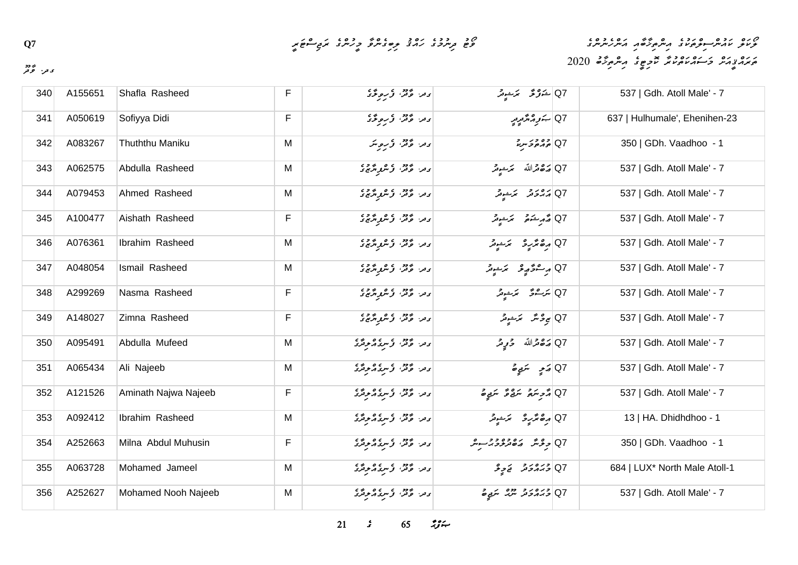*sCw7q7s5w7m< o<n9nOoAw7o< sCq;mAwBoEw7q<m; wBm;vB* م من المرة المرة المرة المرجع المرجع المرجع في 2020<br>مجم*د المريض المرجع المرجع المرجع المرجع المراجع المراجع الم*رجع

| 340 | A155651 | Shafla Rasheed       | $\mathsf F$ | ى مەس ئۇقرا كۆرۈنجى كى                           | Q7 شۇر <i>ۇ تەرىنى</i> دۇر                         | 537   Gdh. Atoll Male' - 7    |
|-----|---------|----------------------|-------------|--------------------------------------------------|----------------------------------------------------|-------------------------------|
| 341 | A050619 | Sofiyya Didi         | F           | ى مەر ئەدەر كۆرۈنگى كە                           | Q7  <i>ښو و</i> گرمړم <u>ر</u>                     | 637   Hulhumale', Ehenihen-23 |
| 342 | A083267 | Thuththu Maniku      | M           | ى قىز ئەقتى، كى بە جەنىك                         | $2.232$ 200 مريز                                   | 350   GDh. Vaadhoo - 1        |
| 343 | A062575 | Abdulla Rasheed      | M           | ى تىر بەلىق كى شەر بەر ئ                         | Q7 كەڭداللە كەخب <i>وت</i> ر                       | 537   Gdh. Atoll Male' - 7    |
| 344 | A079453 | Ahmed Rasheed        | M           | ى تىر بەلگەر ئەرەبى<br>ئەتىر بەلگەر كەنگىرلىرى ئ | Q7 <i>222 كەش</i> وش                               | 537   Gdh. Atoll Male' - 7    |
| 345 | A100477 | Aishath Rasheed      | F           | ى تىر بەلىش كى شەر بەر ئ                         | Q7 <i>مُگهرِ مِنْدَهْوِ</i> مَرَسُوِتْر            | 537   Gdh. Atoll Male' - 7    |
| 346 | A076361 | Ibrahim Rasheed      | M           | ى تىر بەلىش كى شەر بەر ئ                         | Q7 م <i>ەھەردى ترىنىدۇ</i>                         | 537   Gdh. Atoll Male' - 7    |
| 347 | A048054 | Ismail Rasheed       | M           | ى تىر بەلىش كى شەر بەر ئ                         | Q7 م <i>وس<sup>و</sup>د گور</i> مر <sub>شو</sub> ر | 537   Gdh. Atoll Male' - 7    |
| 348 | A299269 | Nasma Rasheed        | F           | ى تىر بەلىش كى شەر بەر ئ                         | Q7 <i>مَرْسُمُوٌ مَرَسُومُرُ</i>                   | 537   Gdh. Atoll Male' - 7    |
| 349 | A148027 | Zimna Rasheed        | F           | ومر کومر وہ دوہ<br>ومرحومی کوشر                  | Q7 <i>م<sub>ح</sub>وثر م</i> مشوقر                 | 537   Gdh. Atoll Male' - 7    |
| 350 | A095491 | Abdulla Mufeed       | M           |                                                  | Q7 كەھەرللە ئ <i>ۇي قر</i>                         | 537   Gdh. Atoll Male' - 7    |
| 351 | A065434 | Ali Najeeb           | M           | ى قرار ئۇقرار قويى ئەرەپ ئەرەپ ئەرە              | Q7 <i>أَمَّةٍ</i> سَمِّعٍ صَّ                      | 537   Gdh. Atoll Male' - 7    |
| 352 | A121526 | Aminath Najwa Najeeb | F           | ى قرار ئۇقرا بۇ سىزە ئەبەتلىكى                   | Q7 أَمُّ حِ سَمَّةً مِّ مَّذَا مَّ سَمَّةٍ صَّ     | 537   Gdh. Atoll Male' - 7    |
| 353 | A092412 | Ibrahim Rasheed      | M           | ى قرار ئۇقرار قويى ئەرەپ ئەرەپ ئەرە              | Q7 <i>برھ مُرْرِ \$ مَرْشِ</i> رْمُر               | 13   HA. Dhidhdhoo - 1        |
| 354 | A252663 | Milna Abdul Muhusin  | F           | رى ئەدەر ئەسىم ئەھرىمى<br>ئ                      | Q7 د ژنگر پر <i>۱۳۶۶ د می</i> گر                   | 350   GDh. Vaadhoo - 1        |
| 355 | A063728 | Mohamed Jameel       | M           | ى قرار ئۇقرار ئۇسىدە ئەھرىمى ئ                   | Q7 <i>\$نەۋەتى غ</i> وق                            | 684   LUX* North Male Atoll-1 |
| 356 | A252627 | Mohamed Nooh Najeeb  | M           | ىمىن ئۇقرا ئۇسىيەم ئوقرى                         | Q7 <i>وُبُرُودو مِيْرٍ سَعِي ص</i> َّ              | 537   Gdh. Atoll Male' - 7    |

 $21$  *s* 65  $23$   $\div$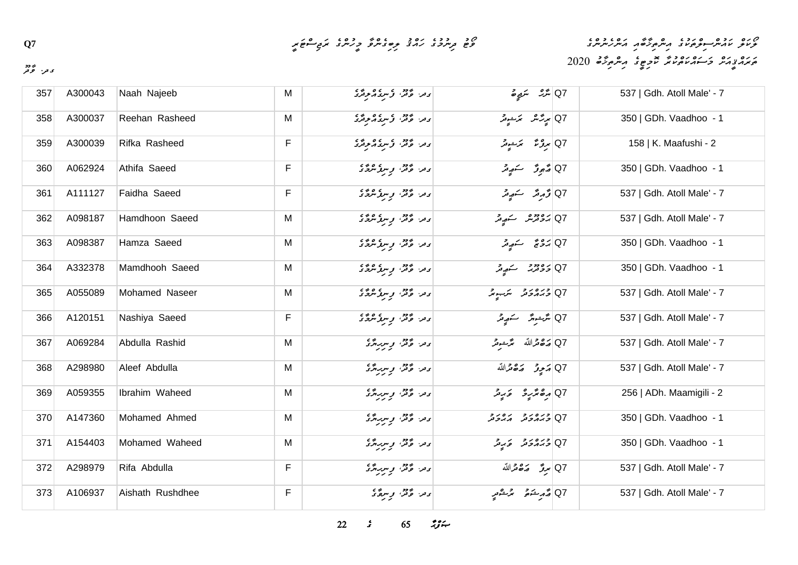*sCw7q7s5w7m< o<n9nOoAw7o< sCq;mAwBoEw7q<m; wBm;vB* م من المرة المرة المرة المرجع المرجع المرجع في 2020<br>مجم*د المريض المرجع المرجع المرجع المرجع المراجع المراجع الم*رجع

| 357 | A300043 | Naah Najeeb      | M           | رىر. ئۇقر، ئ <i>ۇسىدە ئو</i> تگرى                  | Q7 مَرْش سَمِع <b>ِ</b> صَ                    | 537   Gdh. Atoll Male' - 7 |
|-----|---------|------------------|-------------|----------------------------------------------------|-----------------------------------------------|----------------------------|
| 358 | A300037 | Reehan Rasheed   | M           | دىن گەنتر، ئۇسىدە ئەتەرى                           | Q7 مرِ <i>گنگ مَنْ</i> شِرْمُرْ               | 350   GDh. Vaadhoo - 1     |
| 359 | A300039 | Rifka Rasheed    | F           | دور همدي علي ده وروس<br>  دور همدي توسيع مرجع ترد  | Q7 برو <i>نگ برَ</i> شونر                     | 158   K. Maafushi - 2      |
| 360 | A062924 | Athifa Saeed     | $\mathsf F$ | ى تەرەپ ئەرەپ ئەرەپ ئە                             | Q7 <i>مُنْهُوِدٌ</i> سَمَ <i>دٍ مُ</i> رَ     | 350   GDh. Vaadhoo - 1     |
| 361 | A111127 | Faidha Saeed     | F           | دىن ئۇتقى ب <sub>و</sub> سىۋىتر <i>ى</i> دى        | Q7 <i>وٌَم</i> ِینَ سَم <i>ہِینَ</i>          | 537   Gdh. Atoll Male' - 7 |
| 362 | A098187 | Hamdhoon Saeed   | M           | دىن ئۇتتى، بېسىلەشتەن                              | Q7 كەۋقرى <i>گە</i> س <i>ەم</i> بەتر          | 537   Gdh. Atoll Male' - 7 |
| 363 | A098387 | Hamza Saeed      | M           | دىن ئۇتتى، بېستىر سرى د                            | Q7 كەنزىخ سى <i>مبەن</i> ز                    | 350   GDh. Vaadhoo - 1     |
| 364 | A332378 | Mamdhooh Saeed   | M           | دىن ئۇتتى، بېسىلەشتەن                              | Q7 كەنز ئەرگىرىد                              | 350   GDh. Vaadhoo - 1     |
| 365 | A055089 | Mohamed Naseer   | M           | أدفرا المجمج وسير للرحاء                           | Q7 <i>\$ بُرُوْدَ تَدَ سَرَسِيرِيْر</i> ُ     | 537   Gdh. Atoll Male' - 7 |
| 366 | A120151 | Nashiya Saeed    | $\mathsf F$ | دىن گەنتى، ۋىس گەن كە                              | Q7 سُرۡشِہ کُن کے مَہِ مُرۡ                   | 537   Gdh. Atoll Male' - 7 |
| 367 | A069284 | Abdulla Rashid   | M           | رى ئەدە بەس ئ                                      | Q7 كەنقەتقىراللە گەشى <i>مەتى</i>             | 537   Gdh. Atoll Male' - 7 |
| 368 | A298980 | Aleef Abdulla    | M           | دورا او دور سربرگری                                | Q7 ك <sup>ر</sup> موتر كەڭ قىراللە            | 537   Gdh. Atoll Male' - 7 |
| 369 | A059355 | Ibrahim Waheed   | M           | دورا او دور سربر پروژ                              | Q7 مەھە <i>تى</i> ر ئەر ئەر                   | 256   ADh. Maamigili - 2   |
| 370 | A147360 | Mohamed Ahmed    | M           | دىن ئۇنق ۋىبرىرەدى                                 | Q7 <i>בגמבת הפיב</i>                          | 350   GDh. Vaadhoo - 1     |
| 371 | A154403 | Mohamed Waheed   | M           | <sub>ى</sub> مە ئۇن <sup>ق</sup> ۋىر <i>ىدى</i> گى | Q7 <i>\$نەۋۇقى قەب</i> ەتر                    | 350   GDh. Vaadhoo - 1     |
| 372 | A298979 | Rifa Abdulla     | F           | دورا نودوا وسربردگاه                               | Q7 بروَّ   برَگ قرالله                        | 537   Gdh. Atoll Male' - 7 |
| 373 | A106937 | Aishath Rushdhee | F           | ى قراء ئەيمى ئەستىمى ئى                            | Q7 <i>مُگهرِ مِنْدَهْوِ</i> مُحْرَمْتَةِ مِرِ | 537   Gdh. Atoll Male' - 7 |

 $22$  *s*  $65$  *z*  $29$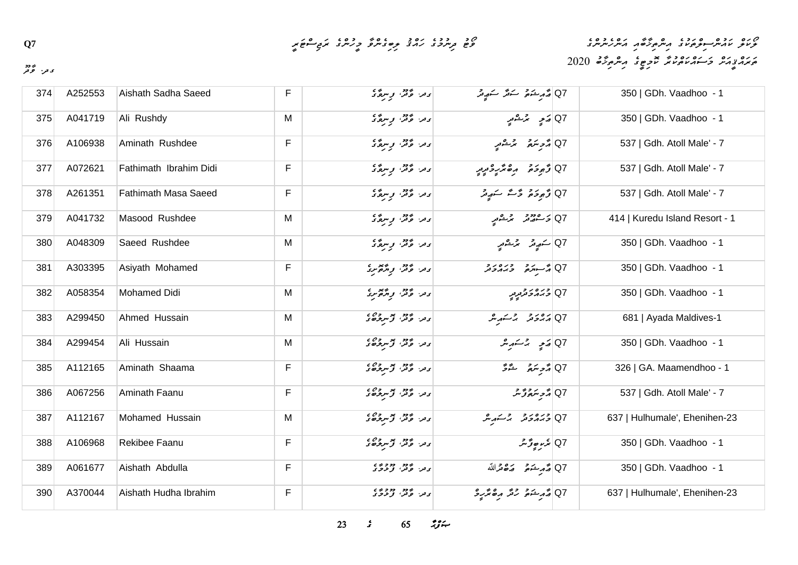*sCw7q7s5w7m< o<n9nOoAw7o< sCq;mAwBoEw7q<m; wBm;vB* م من المرة المرة المرة المرجع المرجع المرجع في 2020<br>مجم*د المريض المرجع المرجع المرجع المرجع المراجع المراجع الم*رجع

| 374 | A252553 | Aishath Sadha Saeed         | F           | رىر. ئۇقر، ب <sub>و</sub> سر <i>ەڭ</i> | Q7 مەم ئىكىمە كىتى كىم يىتى                       | 350   GDh. Vaadhoo - 1         |
|-----|---------|-----------------------------|-------------|----------------------------------------|---------------------------------------------------|--------------------------------|
| 375 | A041719 | Ali Rushdy                  | M           | ى قرا ئۇقرا بولىرىگى كى                | Q7 <i>۾َ ۾ِ</i> - مُرْڪْ <sup>م</sup> ِرِ         | 350   GDh. Vaadhoo - 1         |
| 376 | A106938 | Aminath Rushdee             | $\mathsf F$ | ءمن عص وسرعى                           | Q7 مَّ <i>جِ سَمَّةَ</i> مَحْتَ مِّسْ مِنْ        | 537   Gdh. Atoll Male' - 7     |
| 377 | A072621 | Fathimath Ibrahim Didi      | $\mathsf F$ | ى قراء ئۇنى بەر ئەن                    | Q7 <i>وُجوحَمْ وڤترَّرِ وُدِير</i> ِ              | 537   Gdh. Atoll Male' - 7     |
| 378 | A261351 | <b>Fathimath Masa Saeed</b> | F           | ءمن عص وسرعى                           | Q7 <i>وَّجِ دَمَّة دُبَّةَ</i> سَه <i>ِ م</i> َرْ | 537   Gdh. Atoll Male' - 7     |
| 379 | A041732 | Masood Rushdee              | M           | ى قراشىچە بەللىقى ئاس                  | Q7 كۈشە <i>ر قىلى</i> ئويسىمبو                    | 414   Kuredu Island Resort - 1 |
| 380 | A048309 | Saeed Rushdee               | M           | ى قىز ئۇقتى كۆسىتىگى ك                 | Q7 س <i>َموِیڈ مُرْشُ</i> ورِ                     | 350   GDh. Vaadhoo - 1         |
| 381 | A303395 | Asiyath Mohamed             | F           | ر مرد ده در در د                       | Q7 مُ سِيرَةٍ حَمَدُ مَدَّ                        | 350   GDh. Vaadhoo - 1         |
| 382 | A058354 | <b>Mohamed Didi</b>         | M           | <sub>ى</sub> بىر بەدە بەلگەندى         | Q7 <i>ڈیز وگوٹر</i> وپر                           | 350   GDh. Vaadhoo - 1         |
| 383 | A299450 | Ahmed Hussain               | M           | دىر. ئەدە بىر دە ئ                     | Q7 كەبرى ئەسىر بىر                                | 681   Ayada Maldives-1         |
| 384 | A299454 | Ali Hussain                 | M           | وتر ود به ده د<br>دن وتر توسروه د      | Q7 <i>مَج بِرْسَهِيمْ</i>                         | 350   GDh. Vaadhoo - 1         |
| 385 | A112165 | Aminath Shaama              | F           | دىر. ئەدە سىرەھ                        | Q7 مُجِسَعُ شَدَّدَّ                              | 326   GA. Maamendhoo - 1       |
| 386 | A067256 | Aminath Faanu               | $\mathsf F$ | دىر. ئەدە بىر دە ئ                     | Q7 گەجە ئىن <i>گە ۋ</i> ىتىر                      | 537   Gdh. Atoll Male' - 7     |
| 387 | A112167 | Mohamed Hussain             | M           | دىر. ئۇقتى بويىرون ئ                   | Q7 <i>وُبَدُود و دُسَمب</i>                       | 637   Hulhumale', Ehenihen-23  |
| 388 | A106968 | Rekibee Faanu               | F           | دىر. ئەدە بىر دە بار<br>ئ              | Q7 بۇر <sub>ىي ھ</sub> وڙىتر                      | 350   GDh. Vaadhoo - 1         |
| 389 | A061677 | Aishath Abdulla             | F           | وتر، وجود دوده و<br>وتر، وتر، وتروی    | Q7 مُجمِّدَة مَ <b>صَوَّر</b> اللَّه              | 350   GDh. Vaadhoo - 1         |
| 390 | A370044 | Aishath Hudha Ibrahim       | F           | وتر ودو دوره<br>وتر گرفر، تونونوی      | Q7 مەم شەم ئىگر م <i>ەھگرى</i> 2                  | 637   Hulhumale', Ehenihen-23  |

 $23$  *s*  $65$  *n***<sub>3</sub>**  $\frac{2}{5}$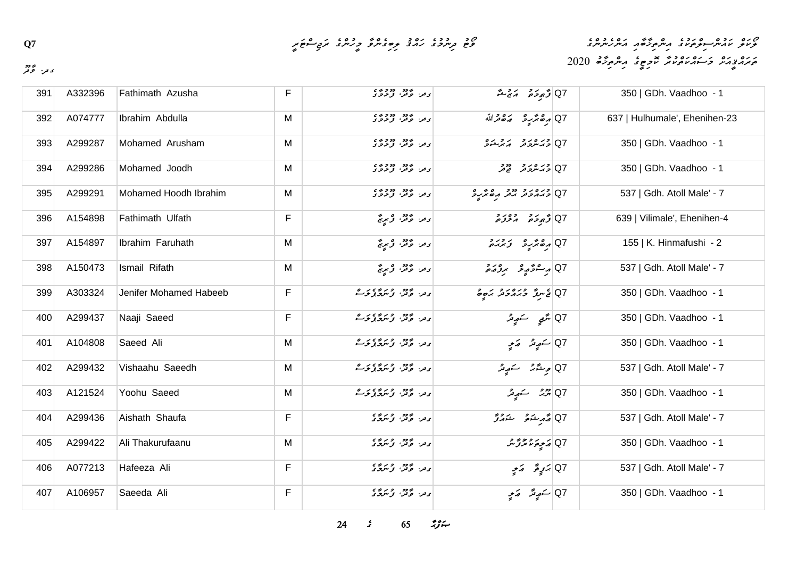*sCw7q7s5w7m< o<n9nOoAw7o< sCq;mAwBoEw7q<m; wBm;vB* م من المرة المرة المرة المرجع المرجع المرجع في 2020<br>مجم*د المريض المرجع المرجع المرجع المرجع المراجع المراجع الم*رجع

| 391 | A332396 | Fathimath Azusha       | $\mathsf F$ | وتر به دوره دوره د<br>د تر کوتر کولوک                                                                          | Q7 <i>وَّهِ دَهْ</i> مَهْ شَهْ               | 350   GDh. Vaadhoo - 1        |
|-----|---------|------------------------|-------------|----------------------------------------------------------------------------------------------------------------|----------------------------------------------|-------------------------------|
| 392 | A074777 | Ibrahim Abdulla        | M           | وتر به دوره دوره د<br>د تر کوتر کوتر د                                                                         | Q7 م <i>وڭ مگرى</i> ھەممەللە                 | 637   Hulhumale', Ehenihen-23 |
| 393 | A299287 | Mohamed Arusham        | M           | و <del>در وده</del> دوه د<br>کلا گرفر، ژنور ک                                                                  | Q7 <i>ۇنزىرى ئىم ئىر شۇ</i>                  | 350   GDh. Vaadhoo - 1        |
| 394 | A299286 | Mohamed Joodh          | M           | وفر المجموع ولادي.<br>وفرا المحافر المحركو و                                                                   | Q7 <i>5 شرق ق</i> وتر                        | 350   GDh. Vaadhoo - 1        |
| 395 | A299291 | Mohamed Hoodh Ibrahim  | M           | ومر به دوم دوم د<br>دمر گرمن تومون                                                                             | Q7 درورو برفر م <i>ەشر</i> و                 | 537   Gdh. Atoll Male' - 7    |
| 396 | A154898 | Fathimath Ulfath       | $\mathsf F$ | ى قرار ئۇقتى، ئۇ ئېرىتج                                                                                        | Q7 <i>وَّجِوحَمْ مُحْرَوْمُ</i>              | 639   Vilimale', Ehenihen-4   |
| 397 | A154897 | Ibrahim Faruhath       | M           | ى قرار ئۇقتى، ئۇ ئېرىتج                                                                                        | Q7 مەھە <i>ترى</i> ر ئىمىدە بىر              | 155   K. Hinmafushi - 2       |
| 398 | A150473 | Ismail Rifath          | M           | ى قرار ئەقتى، ئۇ ئىرىتى                                                                                        | Q7 م <sup>ر</sup> مۇھ <sub>و</sub> تۇ سۆھەتى | 537   Gdh. Atoll Male' - 7    |
| 399 | A303324 | Jenifer Mohamed Habeeb | F           | ى تەرەپ ئەرەپ ئەر                                                                                              | Q7 في سِرَّ كَرَيْرْ كَرَبُّ يَرْجِعْ        | 350   GDh. Vaadhoo - 1        |
| 400 | A299437 | Naaji Saeed            | $\mathsf F$ | ى بىر ئەچىر ئەستەركى ئەسىر                                                                                     | Q7 سَمْعِ سَم <i>ِيد</i> َ                   | 350   GDh. Vaadhoo - 1        |
| 401 | A104808 | Saeed Ali              | M           | ىلار ئۇنقا ئۇستار ئۆزگە                                                                                        | Q7 ڪ <i>مپيٽ مَ</i> حِي                      | 350   GDh. Vaadhoo - 1        |
| 402 | A299432 | Vishaahu Saeedh        | M           | ى تىر بەردە ئەر ئەيدىن كەنت بەر ئەن ئەيدىن ئەن ئەيدىن ئەيدىن ئەيدىن ئەيدىن ئەيدىن ئەيدىن ئۇيغا ئەيدىن ئەيدىن ئ | Q7 مِشَمَّدُ ک <i>می</i> ٹر                  | 537   Gdh. Atoll Male' - 7    |
| 403 | A121524 | Yoohu Saeed            | M           | ى تىر بەقتى كۆشۈرگەشتە                                                                                         | Q7 بزیر ش <i>ه</i> رمتر                      | 350   GDh. Vaadhoo - 1        |
| 404 | A299436 | Aishath Shaufa         | F           | ى قرار ئەدەر بەر ئەرە ئ                                                                                        | Q7 مُدِيسَة شَدَرْرٌ                         | 537   Gdh. Atoll Male' - 7    |
| 405 | A299422 | Ali Thakurufaanu       | M           | وفرز محترض والرمزي<br>وفرز الحاقر المح محرك                                                                    | Q7   ر <i>َجِهِ مَ تَرَدُّ</i> تَرُ          | 350   GDh. Vaadhoo - 1        |
| 406 | A077213 | Hafeeza Ali            | $\mathsf F$ | ى قىز ئەقتى، ئۇ ئىرى ئ                                                                                         | Q7 <i>ڏيِ هُه - مَ</i> حٍ                    | 537   Gdh. Atoll Male' - 7    |
| 407 | A106957 | Saeeda Ali             | F           | وفرز محترض والرمزي<br>وفرز الحاقر المح محرك                                                                    | Q7   سَم <i>ہِ مَدَّ جَمْہِ</i>              | 350   GDh. Vaadhoo - 1        |

 $24$  *s*  $65$  *z*  $29$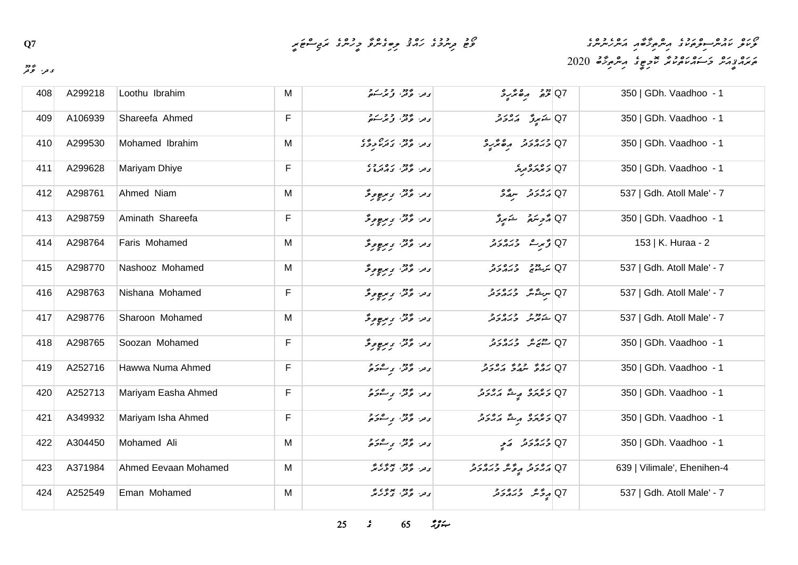*sCw7q7s5w7m< o<n9nOoAw7o< sCq;mAwBoEw7q<m; wBm;vB* م من المرة المرة المرة المرجع المرجع المرجع في 2020<br>مجم*د المريض المرجع المرجع المرجع المرجع المراجع المراجع الم*رجع

| 408 | A299218 | Loothu Ibrahim       | M           | ى قرار ئەرەر ئەرەر ئەرەر ئەرەر ئەرەر ئەرەر ئەرەر ئەرەر ئەرەر ئەرەر ئەرەر ئەرەر ئەرەر ئەرەر ئەرەر ئەرەر ئەرەر ئ | Q7 تَرْبَّرُ مِنْ مَرْبِرْدُ               | 350   GDh. Vaadhoo - 1      |
|-----|---------|----------------------|-------------|----------------------------------------------------------------------------------------------------------------|--------------------------------------------|-----------------------------|
| 409 | A106939 | Shareefa Ahmed       | F           | ى قرار ئەقتى، ئۇ تىرىستونى                                                                                     | Q7 ڪيپو <i>ڙ پريرو</i> ئر                  | 350   GDh. Vaadhoo - 1      |
| 410 | A299530 | Mohamed Ibrahim      | M           | دى دە ررە دە<br>دىن ئۇنىن دىرىمى ئ                                                                             | Q7 <i>وَبَهُ وَمَدْ</i> مِنْ مُرَّمِّ      | 350   GDh. Vaadhoo - 1      |
| 411 | A299628 | Mariyam Dhiye        | $\mathsf F$ | وتر کاهر ده د و د<br>دند گاهر کاهانونا و                                                                       | Q7 كەنگە <i>كەنگە</i> ئەرى <i>گە</i>       | 350   GDh. Vaadhoo - 1      |
| 412 | A298761 | Ahmed Niam           | M           | دىن ئۇنز، بې برج ئ                                                                                             | Q7 <i>كەندى كىمە ئىرمە ئى</i>              | 537   Gdh. Atoll Male' - 7  |
| 413 | A298759 | Aminath Shareefa     | F           | دىن ئۇتىر، بايدىغ ئوق                                                                                          | Q7 مُرْحِ مَنْهُمْ مُسْتَمَبِيرٌ           | 350   GDh. Vaadhoo - 1      |
| 414 | A298764 | Faris Mohamed        | M           | ى تەرەپ ئەس بىر بەيدۇ.                                                                                         | Q7 ۇىرىش ئ <i>ۇندۇ</i> تر                  | 153   K. Huraa - 2          |
| 415 | A298770 | Nashooz Mohamed      | M           | دىن ئۇنز، بىر يې بوڭ                                                                                           | Q7 سَ يَبْيَعُ صَدَمَ حَدَثَ               | 537   Gdh. Atoll Male' - 7  |
| 416 | A298763 | Nishana Mohamed      | F           | دىن گەنتى، ئ <sub>ە</sub> بىر جەم گ                                                                            | Q7 سرىشىش ئ <i>ۇندۇ</i> رگىر               | 537   Gdh. Atoll Male' - 7  |
| 417 | A298776 | Sharoon Mohamed      | M           | ا په دره ده ده برج <i>و</i> گ                                                                                  | Q7 شەمرىر ئەيرە ئەر                        | 537   Gdh. Atoll Male' - 7  |
| 418 | A298765 | Soozan Mohamed       | F           | ى تىر ئۆتىك ئى ئىر تەن ئى                                                                                      | Q7 جونم شهر ديره در د                      | 350   GDh. Vaadhoo - 1      |
| 419 | A252716 | Hawwa Numa Ahmed     | F           | ى تەرەپىسى ئەرەپ ئەرەپ ئەرەپ كەنتى ئەرەپ كەنتى كەنتى كەنتى كەنتى كەنتى كەنتى كەنتى كەنتى كەنتى كەنتى كەنتى كە  | Q7 ئەمۇر سەرى بەر د                        | 350   GDh. Vaadhoo - 1      |
| 420 | A252713 | Mariyam Easha Ahmed  | F           | ى تەرەپىسى ئەرەپ ئەرەپ ئەرەپ كە                                                                                | Q7 كَا <i>كَا مَرْ مَرَّدُ مَدْدَ مَدْ</i> | 350   GDh. Vaadhoo - 1      |
| 421 | A349932 | Mariyam Isha Ahmed   | F           | دىن گەنتى كەسىر ئەر                                                                                            | Q7 كَا <i>كَا بَرْ مَدْ مَدْ دَوْرٌ</i>    | 350   GDh. Vaadhoo - 1      |
| 422 | A304450 | Mohamed Ali          | M           | دو. دو. د د د                                                                                                  | Q7 <i>وُبَهُمْ وَبُرْ مَرْمِ</i>           | 350   GDh. Vaadhoo - 1      |
| 423 | A371984 | Ahmed Eevaan Mohamed | M           | ى تەرەپ بىرى ئەرە بەر                                                                                          | Q7 كەندى تەرەپ دەرەرد                      | 639   Vilimale', Ehenihen-4 |
| 424 | A252549 | Eman Mohamed         | M           | وتر کارو پرول کار<br>کاتر کارگر کارگر                                                                          | Q7 <sub>مو</sub> گند <i>محکم</i> دکرد      | 537   Gdh. Atoll Male' - 7  |

 $25$  *s*  $65$  *z*  $25$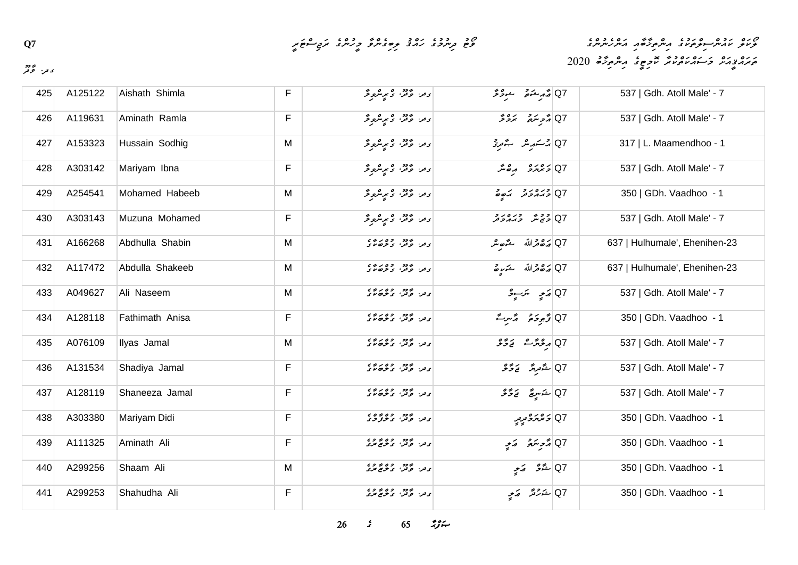*sCw7q7s5w7m< o<n9nOoAw7o< sCq;mAwBoEw7q<m; wBm;vB* م من المرة المرة المرة المرجع المرجع المرجع في 2020<br>مجم*د المريض المرجع المرجع المرجع المرجع المراجع المراجع الم*رجع

| 425 | A125122 | Aishath Shimla  | $\mathsf{F}$ | رىر. ئۇتر، ئ <sup>ە</sup> يرىئ <i>و</i> گە           | Q7 <i>مُّ مِ</i> حَوَّمُوْ مِنْ حَوْثَرُ | 537   Gdh. Atoll Male' - 7    |
|-----|---------|-----------------|--------------|------------------------------------------------------|------------------------------------------|-------------------------------|
| 426 | A119631 | Aminath Ramla   | F            | ى مەڭ ئۇقرا ئۇمرىكرى ئى                              | Q7 مُّحِسَمُ مَحَرَّدٌ                   | 537   Gdh. Atoll Male' - 7    |
| 427 | A153323 | Hussain Sodhig  | M            | ى مەس ئۇقرا ئۇمرىكرى ئى                              | Q7 كەسكەر بىر سىگەر <i>چ</i>             | 317   L. Maamendhoo - 1       |
| 428 | A303142 | Mariyam Ibna    | $\mathsf F$  | ى مەر ئۇقرا ئى مېرىش بوگ                             | Q7 <i>جُهْرَدُ وهُمَّ</i>                | 537   Gdh. Atoll Male' - 7    |
| 429 | A254541 | Mohamed Habeeb  | M            | ى مەدەبەت كە ئويىرىمبورى                             | $Q = 2222$                               | 350   GDh. Vaadhoo - 1        |
| 430 | A303143 | Muzuna Mohamed  | $\mathsf F$  | ى مەڭ ئۇقرا ئۇمرىكرى ئى                              | Q7 د مي شهر د مرد د مر                   | 537   Gdh. Atoll Male' - 7    |
| 431 | A166268 | Abdhulla Shabin | M            | وتر، ودورون<br>وتر، وتر، وتوھ مای                    | Q7 كەڭداللە شەھ <i>ە</i> ش               | 637   Hulhumale', Ehenihen-23 |
| 432 | A117472 | Abdulla Shakeeb | M            | وتر، ودور وه دره و.<br>وتر، وتر، و ترجم و د          | Q7 كەھەراللە خ <i>ەر ھ</i>               | 637   Hulhumale', Ehenihen-23 |
| 433 | A049627 | Ali Naseem      | M            | وتر وورون<br>وتر وتر وقومان                          | Q7 <i>أَمَّةٍ سَنَ</i> يْدِدُّ           | 537   Gdh. Atoll Male' - 7    |
| 434 | A128118 | Fathimath Anisa | F            | وتر وہ دہ دہ<br>دن وتر کا موج                        | Q7 <i>وَّجِوَدَة</i> مُسِتَّ             | 350   GDh. Vaadhoo - 1        |
| 435 | A076109 | Ilyas Jamal     | M            | وتر، وجود وه دور.<br>وتر، وتر، و بو <i>ه ب</i> ر     | Q7 <sub>م</sub> ۇن <i>ۇش خۇ</i> ۋ        | 537   Gdh. Atoll Male' - 7    |
| 436 | A131534 | Shadiya Jamal   | F            | وتر، وجو، وه رون.<br>وتر، وتر، و <del>ت</del> رق برو | Q7 ش <i>ۇمېرڭ نے وُ</i> گو               | 537   Gdh. Atoll Male' - 7    |
| 437 | A128119 | Shaneeza Jamal  | F            | وتر، وجود وه دور.<br>وتر، وتر، و بو <i>ه ب</i> ر     | Q7 شَمَيعَ نَحَرَّثَرُ                   | 537   Gdh. Atoll Male' - 7    |
| 438 | A303380 | Mariyam Didi    | F            | وتر ودو وه ده ده<br>دن وګر د څرو د د                 | Q7 <i>كەنگەڭ قويى</i> ر                  | 350   GDh. Vaadhoo - 1        |
| 439 | A111325 | Aminath Ali     | F            | و در دور وه ده.<br>د در گرفتن د مونع بود             | Q7 مٌح <i>مٍ سَعْوَا مَ</i> حِمٍ         | 350   GDh. Vaadhoo - 1        |
| 440 | A299256 | Shaam Ali       | M            | و در وده وه و ده.<br>و در گوتر، و <del>و م</del> مرد | Q7 ڪ <i>ئ</i> و <i>م</i> َبو             | 350   GDh. Vaadhoo - 1        |
| 441 | A299253 | Shahudha Ali    | F            | و در دور وه ده.<br>د در گرفتن د مونع بود             | Q7 ڪرش <i>ق چَ م</i> ِ                   | 350   GDh. Vaadhoo - 1        |

 $26$  *s*  $65$  *z*  $29$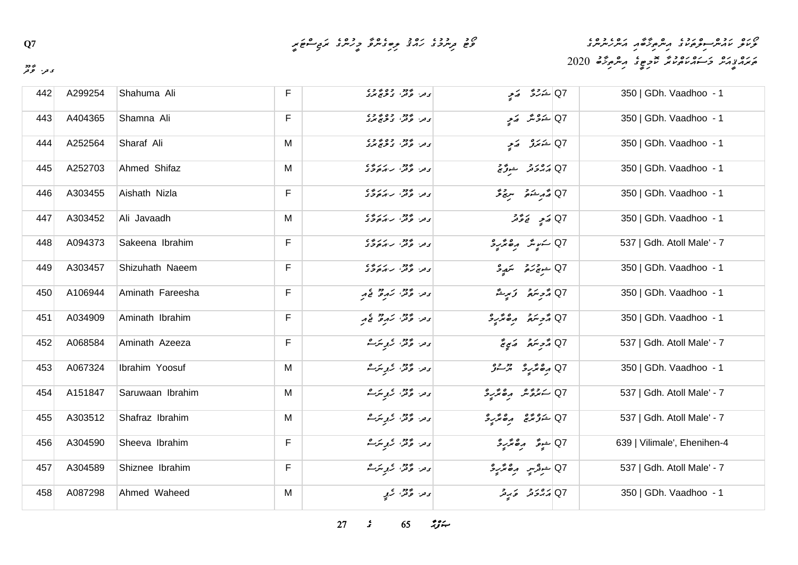*sCw7q7s5w7m< o<n9nOoAw7o< sCq;mAwBoEw7q<m; wBm;vB* م من المرة المرة المرة المرجع المرجع المرجع في 2020<br>مجم*د المريض المرجع المرجع المرجع المرجع المراجع المراجع الم*رجع

| 442 | A299254 | Shahuma Ali      | F           | وتر موتر وه د و و.<br>وتر گوتر و بوم مرو                                                             | Q7 ش <i>ەربى مەي</i>                        | 350   GDh. Vaadhoo - 1      |
|-----|---------|------------------|-------------|------------------------------------------------------------------------------------------------------|---------------------------------------------|-----------------------------|
| 443 | A404365 | Shamna Ali       | $\mathsf F$ | وفر ووه وه پوه.<br>وفر گرفتر و بومج مری                                                              | Q7 ڪ <i>ئي چَرِ</i>                         | 350   GDh. Vaadhoo - 1      |
| 444 | A252564 | Sharaf Ali       | M           | و در ود وه وه.<br>و در گوتر، و موسع مرد                                                              | Q7 ش <i>ەتتى</i> ھەم                        | 350   GDh. Vaadhoo - 1      |
| 445 | A252703 | Ahmed Shifaz     | M           | وتر وده<br>وتر وتر ربروژی                                                                            | Q7 <i>مەندى ئىبۇ ئى</i>                     | 350   GDh. Vaadhoo - 1      |
| 446 | A303455 | Aishath Nizla    | F           | وتر وده<br>وتر وتر ربروژی                                                                            | Q7 مەم شىم ئىس سىنى ئى                      | 350   GDh. Vaadhoo - 1      |
| 447 | A303452 | Ali Javaadh      | M           | وتر وده<br>وتر وتر ربروژی                                                                            | Q7 <i>ھَيِ چَوَّفَرُ</i>                    | 350   GDh. Vaadhoo - 1      |
| 448 | A094373 | Sakeena Ibrahim  | $\mathsf F$ | ى تىر بەردە ئە                                                                                       | Q7 سَرِیٹر ب <i>رھ بڑر د</i> ُ              | 537   Gdh. Atoll Male' - 7  |
| 449 | A303457 | Shizuhath Naeem  | F           | وتر، وده<br>وتر، وتر، ربروژی                                                                         | Q7 ش <i>وچ کوچ</i> س <i>کھ</i> یے           | 350   GDh. Vaadhoo - 1      |
| 450 | A106944 | Aminath Fareesha | $\mathsf F$ | المحمد المحمد المحمد المحمد المحمد المحمد المحمد المحمد المحمد المحمد المحمد المحمد المحمد المحمد ال | Q7 مَّ <i>وِ مَنْهُ وَ م</i> ِيشَّ          | 350   GDh. Vaadhoo - 1      |
| 451 | A034909 | Aminath Ibrahim  | F           | ى قرار به دور دور بى بار دور بى بار بى                                                               | Q7 مُج <i>رِسَمُ م</i> ِ <i>مِعْدُبِ</i> دُ | 350   GDh. Vaadhoo - 1      |
| 452 | A068584 | Aminath Azeeza   | $\mathsf F$ | ى مەر ئۇنىڭ كەبولىكى كە                                                                              | Q7 مُرْحِبَهُمْ      مَوِجٌ                 | 537   Gdh. Atoll Male' - 7  |
| 453 | A067324 | Ibrahim Yoosuf   | M           | ى مەر ئۇنىڭ كەبولىكى كە                                                                              | Q7 مەھ <i>ئۇرۇ بىر دو</i>                   | 350   GDh. Vaadhoo - 1      |
| 454 | A151847 | Saruwaan Ibrahim | M           | ى قىز ، ئۇقتۇ، ئىرى ئىرىش                                                                            | Q7 س <i>ىمۇ شەھەر بۇ يۇر</i>                | 537   Gdh. Atoll Male' - 7  |
| 455 | A303512 | Shafraz Ibrahim  | M           | ى مەر ئۇنىڭ كەبولىكى كە                                                                              | Q7 شۇنى <i>گى مەھىرد</i>                    | 537   Gdh. Atoll Male' - 7  |
| 456 | A304590 | Sheeva Ibrahim   | $\mathsf F$ | ى مەر ئۇقرا كەبولىكى كە                                                                              | Q7 ش <sub>و</sub> مً م <i>ەھترى</i> ر       | 639   Vilimale', Ehenihen-4 |
| 457 | A304589 | Shiznee Ibrahim  | F           | ى مەس ئۇقرا كەبولىكى كە                                                                              | 07 غوټرس برگ ټرېرو                          | 537   Gdh. Atoll Male' - 7  |
| 458 | A087298 | Ahmed Waheed     | M           | ى قرار ئەقترا كىمىي                                                                                  | Q7 <i>كەندى كى قې</i> رتىر                  | 350   GDh. Vaadhoo - 1      |

*27 sC 65 nNw?mS*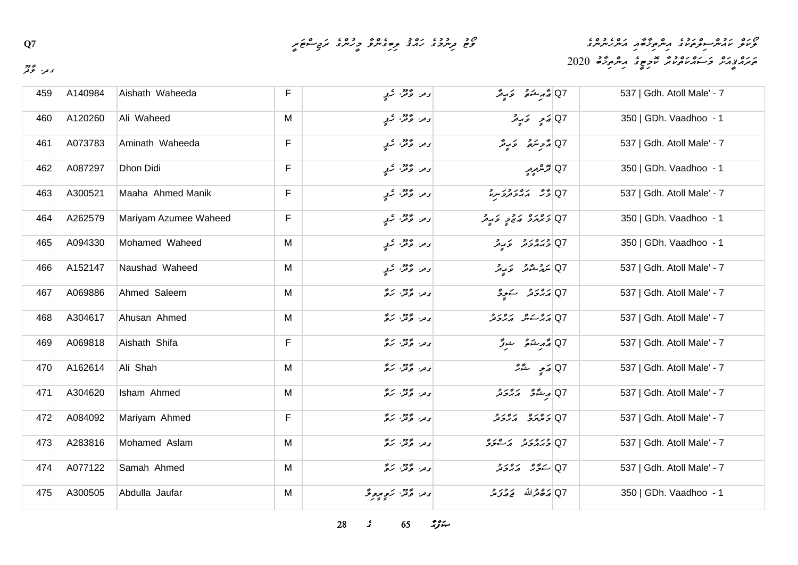*sCw7q7s5w7m< o<n9nOoAw7o< sCq;mAwBoEw7q<m; wBm;vB* م من المرة المرة المرة المرجع المرجع المرجع في 2020<br>مجم*د المريض المرجع المرجع المرجع المرجع المراجع المراجع الم*رجع

| 459 | A140984 | Aishath Waheeda       | F            | ى تىر ، ئۇقۇ، ئەيم      | Q7 <i>مُّ مِ</i> شَمَّ مَ مِ مِّدَّ  | 537   Gdh. Atoll Male' - 7 |
|-----|---------|-----------------------|--------------|-------------------------|--------------------------------------|----------------------------|
| 460 | A120260 | Ali Waheed            | M            | ى قرار ئەدەر كەيي       | Q7 <i>ھَ جِ</i> – حَ سِمَّرُ         | 350   GDh. Vaadhoo - 1     |
| 461 | A073783 | Aminath Waheeda       | F            | ا دور ان وو ان کم پي    | Q7 مُّحِسَمُ مَرِيمٌ                 | 537   Gdh. Atoll Male' - 7 |
| 462 | A087297 | Dhon Didi             | F            | ى قرا ئەقىرا كەنچ       | Q7 <mark>تَرْتْزْبِرِيرِ</mark>      | 350   GDh. Vaadhoo - 1     |
| 463 | A300521 | Maaha Ahmed Manik     | F            | ى قرار ئەدەر كەيي       | Q7 دُرٌ مَدْوَمْرَوَسِيرُ            | 537   Gdh. Atoll Male' - 7 |
| 464 | A262579 | Mariyam Azumee Waheed | $\mathsf F$  | ى قرار ئەدەر كەيي       | Q7 <i>وَجْهُدُوْ مَجْهِ وَبِ</i> يْر | 350   GDh. Vaadhoo - 1     |
| 465 | A094330 | Mohamed Waheed        | M            | ى قرار ئەقترى كىمچى     | Q7 <i>\$نەۋۇقى ق</i> ەرى <i>گ</i>    | 350   GDh. Vaadhoo - 1     |
| 466 | A152147 | Naushad Waheed        | M            | ى قرار ئەدەر كەيي       | Q7 <i>سَمَدْ شَمَّدْ وَب</i> ِدْ     | 537   Gdh. Atoll Male' - 7 |
| 467 | A069886 | Ahmed Saleem          | M            | ى قرار مەقترى كەنتى     | Q7 <i>مَدْدَة.</i> سَعِرْدُ          | 537   Gdh. Atoll Male' - 7 |
| 468 | A304617 | Ahusan Ahmed          | M            | ى قرز گەنتى، كەنتى      | Q7 كەبۇسەھەر بەردەتە                 | 537   Gdh. Atoll Male' - 7 |
| 469 | A069818 | Aishath Shifa         | F            | ى قرز گەنتى، كەنتى      | Q7 مُرمِشَمُ شِعْرٌ                  | 537   Gdh. Atoll Male' - 7 |
| 470 | A162614 | Ali Shah              | M            | ى قرز گەنتى، كەنتى      | Q7 کی په ش <sup>م</sup> گ            | 537   Gdh. Atoll Male' - 7 |
| 471 | A304620 | Isham Ahmed           | $\mathsf{M}$ | ى قرز گەنتى، كەنتى      | Q7 مشرق كم يروتر                     | 537   Gdh. Atoll Male' - 7 |
| 472 | A084092 | Mariyam Ahmed         | F            | ى قرار ئەقتى، كەنتى     | Q7 كو يورو مركز در د                 | 537   Gdh. Atoll Male' - 7 |
| 473 | A283816 | Mohamed Aslam         | M            | ى قرز گەنتى، كەنتى      | 222222222                            | 537   Gdh. Atoll Male' - 7 |
| 474 | A077122 | Samah Ahmed           | M            | ى قرز گەنتى گەنتى       | Q7 كەنى ئەردىتى                      | 537   Gdh. Atoll Male' - 7 |
| 475 | A300505 | Abdulla Jaufar        | M            | ى دىن ئۇقۇت كەم بىرە بۇ | Q7 مَەھْتَراللە م <i>ەمۇس</i>        | 350   GDh. Vaadhoo - 1     |

 $28$  *s*  $65$  *n***<sub>3</sub>** *n*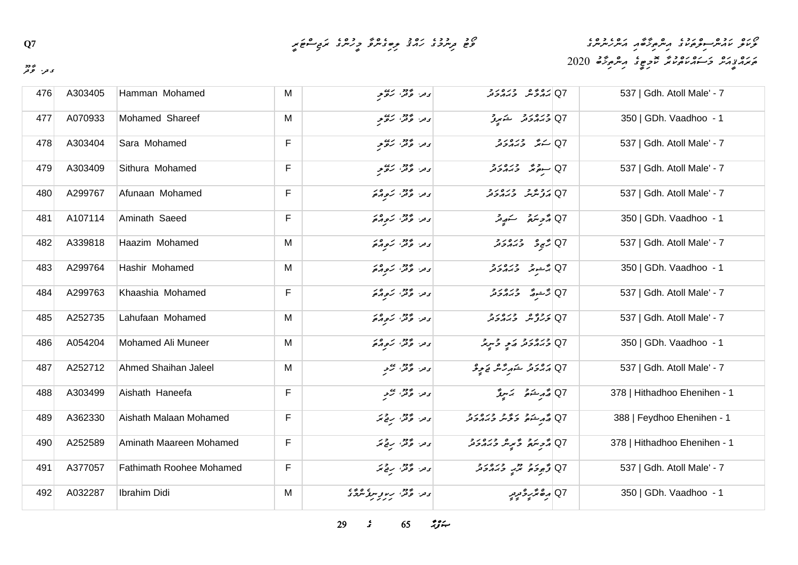*sCw7q7s5w7m< o<n9nOoAw7o< sCq;mAwBoEw7q<m; wBm;vB* م من المرة المرة المرة المرجع المرجع المرجع في 2020<br>مجم*د المريض المرجع المرجع المرجع المرجع المراجع المراجع الم*رجع

| 476 | A303405 | Hamman Mohamed                  | M           |                                                                                                                                                                                                                                | Q7 <i>ב</i> מכת כממכת                          | 537   Gdh. Atoll Male' - 7   |
|-----|---------|---------------------------------|-------------|--------------------------------------------------------------------------------------------------------------------------------------------------------------------------------------------------------------------------------|------------------------------------------------|------------------------------|
| 477 | A070933 | Mohamed Shareef                 | M           | ى قراشينج به ريمن بر                                                                                                                                                                                                           | Q7 <i>ۇندۇ ئۇرۇ شەيرۇ</i>                      | 350   GDh. Vaadhoo - 1       |
| 478 | A303404 | Sara Mohamed                    | $\mathsf F$ | ى قراشىچە كەنتى بىر                                                                                                                                                                                                            | Q7 كەنگە ر <i>ومبەد كە</i> ر                   | 537   Gdh. Atoll Male' - 7   |
| 479 | A303409 | Sithura Mohamed                 | $\mathsf F$ | .<br>دىن گەنل، رەيج                                                                                                                                                                                                            | Q7 سوتر دېرونر                                 | 537   Gdh. Atoll Male' - 7   |
| 480 | A299767 | Afunaan Mohamed                 | $\mathsf F$ | ى تىر بەلىش كەھەمى                                                                                                                                                                                                             | Q7 كەر <i>مەد جەم</i> ردىر                     | 537   Gdh. Atoll Male' - 7   |
| 481 | A107114 | Aminath Saeed                   | $\mathsf F$ | ى قرار ئەقرار كىمەم كەن                                                                                                                                                                                                        | Q7 مُرْحِبَتِهُ مَسَيِّرٌ                      | 350   GDh. Vaadhoo - 1       |
| 482 | A339818 | Haazim Mohamed                  | M           | ى قرار ئەقتى، كەنبەھ                                                                                                                                                                                                           | Q7 <i>گې ئې د د د دو</i> ر                     | 537   Gdh. Atoll Male' - 7   |
| 483 | A299764 | Hashir Mohamed                  | M           | ى تىر بەلىش كەھەمى                                                                                                                                                                                                             | Q7 جەھىيە ئەم ئەر ئەرىجە ئىر                   | 350   GDh. Vaadhoo - 1       |
| 484 | A299763 | Khaashia Mohamed                | F           | ى قرار ئەقرار كىمەم كەن                                                                                                                                                                                                        | Q7 تَرْسُورَ وَبَرُودَتَرَ                     | 537   Gdh. Atoll Male' - 7   |
| 485 | A252735 | Lahufaan Mohamed                | M           | ى قرار ئەقرار كىمەم كەن                                                                                                                                                                                                        | Q7 كۇرۇپر دېرەرد                               | 537   Gdh. Atoll Male' - 7   |
| 486 | A054204 | Mohamed Ali Muneer              | M           | ى مى ئەقتى، كەھەمى                                                                                                                                                                                                             | Q7 <i>وُټرونو ړې وسربر</i>                     | 350   GDh. Vaadhoo - 1       |
| 487 | A252712 | Ahmed Shaihan Jaleel            | M           | ى قرار مەدىر، كەن ب                                                                                                                                                                                                            | Q7 <i>كەندى كى ھەم دىگە ئ</i> ى بولى           | 537   Gdh. Atoll Male' - 7   |
| 488 | A303499 | Aishath Haneefa                 | $\mathsf F$ | ى قرا ئەدەر كى بىر                                                                                                                                                                                                             | Q7 مەم شىم ئىس <i>بۇ</i>                       | 378   Hithadhoo Ehenihen - 1 |
| 489 | A362330 | Aishath Malaan Mohamed          | $\mathsf F$ | ى قرار ئۇقۇت سىزىمىگە                                                                                                                                                                                                          | Q7 مەم شەھ كەنگەر كەندە <i>دە</i> ر            | 388   Feydhoo Ehenihen - 1   |
| 490 | A252589 | Aminath Maareen Mohamed         | $\mathsf F$ | ا د تر ان گ <sup>ور</sup> ا رقع تر                                                                                                                                                                                             | Q7 أَمُّ جِسَمَةٌ ۖ وَّسِيْنَ وَبَرَامُ وَمَرْ | 378   Hithadhoo Ehenihen - 1 |
| 491 | A377057 | <b>Fathimath Roohee Mohamed</b> | $\mathsf F$ | ى قىز ، ھەتتى، سىرى تىك                                                                                                                                                                                                        | Q7 <i>وُجوحَمْ بُرْبِ دُبَرُدُدَ</i> رْ        | 537   Gdh. Atoll Male' - 7   |
| 492 | A032287 | Ibrahim Didi                    | M           | ى تەرەپ ئەرەر ئەرەر ئەرەر ئارەر ئەرەر ئەرەر ئەرەر ئەرەر ئەرەر ئەرەر ئەرەر ئەرەر ئەرەر ئەرەر ئەرەر ئەرەر ئەرەر<br>ئاراسىيەت ئارىرىس ئارىرىس ئەرەر ئەرەر ئەرەر ئەرەر ئەرەر ئەرەر ئەرەر ئەرەر ئەرەر ئەرەر ئەرەر ئەرەر ئەرەر ئەرەر | Q7 مەھ <i>مەر دىن</i> چە                       | 350   GDh. Vaadhoo - 1       |

*29 sC 65 nNw?mS*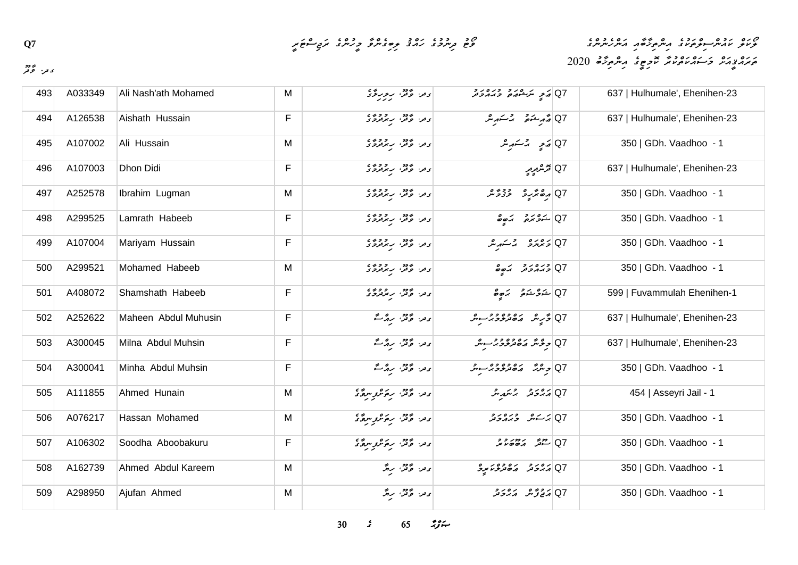*sCw7q7s5w7m< o<n9nOoAw7o< sCq;mAwBoEw7q<m; wBm;vB* م من المرة المرة المرة المرجع المرجع المرجع في 2020<br>مجم*د المريض المرجع المرجع المرجع المرجع المراجع المراجع الم*رجع

| 493 | A033349 | Ali Nash'ath Mohamed | M            | رىر ئۇن <i>تە رورۇئى</i>                 | Q7  كەيمە شرىققى <i>ئام ئار ئا</i> ر                                                                                                                                                                                                                                                                                                                                                                                                                | 637   Hulhumale', Ehenihen-23 |
|-----|---------|----------------------|--------------|------------------------------------------|-----------------------------------------------------------------------------------------------------------------------------------------------------------------------------------------------------------------------------------------------------------------------------------------------------------------------------------------------------------------------------------------------------------------------------------------------------|-------------------------------|
| 494 | A126538 | Aishath Hussain      | F            | دىن ئۇتىر، سەترىرى                       | Q7 مەم ئىسكە بىر شەم بىر                                                                                                                                                                                                                                                                                                                                                                                                                            | 637   Hulhumale', Ehenihen-23 |
| 495 | A107002 | Ali Hussain          | M            | دىن گەنتى، رىژىرگەن                      | Q7 <i>ھَجِ پُرڪوپنگ</i> ر                                                                                                                                                                                                                                                                                                                                                                                                                           | 350   GDh. Vaadhoo - 1        |
| 496 | A107003 | Dhon Didi            | $\mathsf F$  | دىن ئەدە<br>دىن ئەنىش سەئىرىرى           | َQ7 مَرْتَرْمِرِمْرِ                                                                                                                                                                                                                                                                                                                                                                                                                                | 637   Hulhumale', Ehenihen-23 |
| 497 | A252578 | Ibrahim Lugman       | M            | دور همش بر پروژه د                       | Q7 <sub>م</sub> ەنگەر ئۇقۇمۇ                                                                                                                                                                                                                                                                                                                                                                                                                        | 350   GDh. Vaadhoo - 1        |
| 498 | A299525 | Lamrath Habeeb       | $\mathsf F$  | رىر ئەدە<br>رىس ئۇنى رىرىر <i>ۈ</i> ر    | $Q$ $\rightarrow$ $Q$ $\rightarrow$ $Q$ $\rightarrow$ $Q$ $\rightarrow$ $Q$ $\rightarrow$ $Q$ $\rightarrow$ $Q$ $\rightarrow$ $Q$ $\rightarrow$ $Q$ $\rightarrow$ $Q$ $\rightarrow$ $Q$ $\rightarrow$ $Q$ $\rightarrow$ $Q$ $\rightarrow$ $Q$ $\rightarrow$ $Q$ $\rightarrow$ $Q$ $\rightarrow$ $Q$ $\rightarrow$ $Q$ $\rightarrow$ $Q$ $\rightarrow$ $Q$ $\rightarrow$ $Q$ $\rightarrow$ $Q$ $\rightarrow$ $Q$ $\rightarrow$ $Q$ $\rightarrow$ $Q$ | 350   GDh. Vaadhoo - 1        |
| 499 | A107004 | Mariyam Hussain      | F            | دىن ئەدە<br>دىن ئەتىر، بەيرىر <i>و</i> د | Q7 كەنگەر ئەسكەر بىر                                                                                                                                                                                                                                                                                                                                                                                                                                | 350   GDh. Vaadhoo - 1        |
| 500 | A299521 | Mohamed Habeeb       | M            | رى ئەدە بەرەپى<br>دىن ئ                  | Q7 <i>\$ 22,25 كَمُع</i>                                                                                                                                                                                                                                                                                                                                                                                                                            | 350   GDh. Vaadhoo - 1        |
| 501 | A408072 | Shamshath Habeeb     | $\mathsf F$  | دىن گەنتى، رىژى دە ئ                     | $\frac{3}{2}$ $\frac{3}{2}$ $\frac{3}{2}$ $\frac{3}{2}$ $\frac{3}{2}$ 07                                                                                                                                                                                                                                                                                                                                                                            | 599   Fuvammulah Ehenihen-1   |
| 502 | A252622 | Maheen Abdul Muhusin | $\mathsf F$  | ى قرار ئۇقتى بەرگەنتىگە                  | Q7 <i>ڈیٹر مقروفیز ہے۔</i>                                                                                                                                                                                                                                                                                                                                                                                                                          | 637   Hulhumale', Ehenihen-23 |
| 503 | A300045 | Milna Abdul Muhsin   | $\mathsf{F}$ | كە بور ئۇقتى بەرگەنتىگە                  | Q7 د ژىئر م <i>ەھىر ۋە دىس</i>                                                                                                                                                                                                                                                                                                                                                                                                                      | 637   Hulhumale', Ehenihen-23 |
| 504 | A300041 | Minha Abdul Muhsin   | F            | كە بور ئۇقتى بەرگەنتىگە                  | Q7 <i>جاندگ مقاند فروچ د س</i> ونتر                                                                                                                                                                                                                                                                                                                                                                                                                 | 350   GDh. Vaadhoo - 1        |
| 505 | A111855 | Ahmed Hunain         | M            | ى قرار ئۇقتى بەي كەش سرەكى كە            | Q7 <i>كەنگەنگە</i> ئەسكىرىش                                                                                                                                                                                                                                                                                                                                                                                                                         | 454   Asseyri Jail - 1        |
| 506 | A076217 | Hassan Mohamed       | M            | ى قرار ئۇقرار مەكرىي سرەكى               | Q7 كەسكەش <i>دېم</i> ەردىر                                                                                                                                                                                                                                                                                                                                                                                                                          | 350   GDh. Vaadhoo - 1        |
| 507 | A106302 | Soodha Aboobakuru    | F            | ى قرار ئۇنىڭ بەي كۈنى سىرىگەنى           | $22222$ $-22$                                                                                                                                                                                                                                                                                                                                                                                                                                       | 350   GDh. Vaadhoo - 1        |
| 508 | A162739 | Ahmed Abdul Kareem   | M            | ى قرار ئەقرار بەرگە                      | Q7 <i>הُدُوَنَّرَ مُ</i> ھُت <i>رونَ بِروَ</i>                                                                                                                                                                                                                                                                                                                                                                                                      | 350   GDh. Vaadhoo - 1        |
| 509 | A298950 | Ajufan Ahmed         | M            | ى قراء ھى تەرىپ                          | Q7 كەنتى <i>ۋىش كەنتى</i> قىل                                                                                                                                                                                                                                                                                                                                                                                                                       | 350   GDh. Vaadhoo - 1        |

**30** *s* **65** *n***<sub>s</sub>***n***<sub>s</sub>**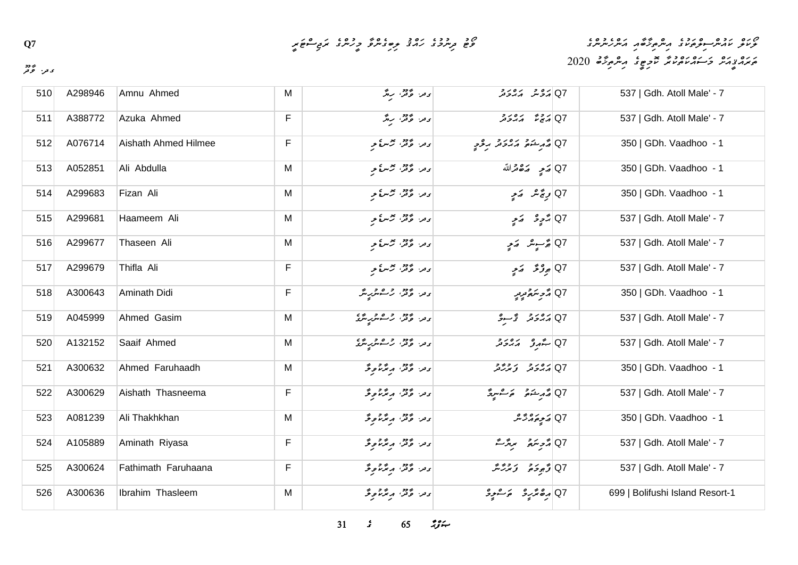*sCw7q7s5w7m< o<n9nOoAw7o< sCq;mAwBoEw7q<m; wBm;vB* م من المرة المرة المرة المرجع المرجع المرجع في 2020<br>مجم*د المريض المرجع المرجع المرجع المرجع المراجع المراجع الم*رجع

| 510 | A298946 | Amnu Ahmed                  | M           | ى قرا ئەقىرى بەرگە                        | Q7 كەنزىيە كەنزىقر                    | 537   Gdh. Atoll Male' - 7      |
|-----|---------|-----------------------------|-------------|-------------------------------------------|---------------------------------------|---------------------------------|
| 511 | A388772 | Azuka Ahmed                 | $\mathsf F$ | ى قراء ھى گە بەرگە                        | Q7 أَيَرْجَمُّ بِيَرْجَرْ مَرْ        | 537   Gdh. Atoll Male' - 7      |
| 512 | A076714 | <b>Aishath Ahmed Hilmee</b> | F           | دىر، ئۇنقر، ئېسمۇم                        | Q7 مەم شەھ مەركەم بەل <i>ۋ</i> ىي     | 350   GDh. Vaadhoo - 1          |
| 513 | A052851 | Ali Abdulla                 | M           | دىر، ئۇتۇ، ئ <sup>ى</sup> سائىم           | Q7 <i>مَجِ مَـُـ</i> هُ مِّرَاللَّه   | 350   GDh. Vaadhoo - 1          |
| 514 | A299683 | Fizan Ali                   | M           | ى قرار ئۇقرا ئىزىندۇ بو                   | Q7 <i>وچ</i> بھ کھیے                  | 350   GDh. Vaadhoo - 1          |
| 515 | A299681 | Haameem Ali                 | M           | ى قىز، ئۇقۇم، ئىزمىنغ بىر                 | Q7 جُرِو <i>\$ مَ</i> رِ              | 537   Gdh. Atoll Male' - 7      |
| 516 | A299677 | Thaseen Ali                 | M           | ى تەرەپ ئەس ئاس ئې                        | Q7 ۾ُ <i>-ٻير چَي</i>                 | 537   Gdh. Atoll Male' - 7      |
| 517 | A299679 | Thifla Ali                  | $\mathsf F$ | ى قرار ئەقتى بىر سىمى ئىلى                | Q7 <mark>جوڙءَ - سَ</mark> حِ         | 537   Gdh. Atoll Male' - 7      |
| 518 | A300643 | Aminath Didi                | F           | ئەس ئۇقرا ئاشقىرىنگە                      | Q7 م <i>گو متمونو</i> پو              | 350   GDh. Vaadhoo - 1          |
| 519 | A045999 | Ahmed Gasim                 | M           | دىن ئۇتىر، ئەسەئىرىدىكە                   | Q7 <i>كەنگەنگە</i> تۇسىۋ              | 537   Gdh. Atoll Male' - 7      |
| 520 | A132152 | Saaif Ahmed                 | M           | ى تىر بەلىرى كەسەبىر بىرى                 | Q7 جۇمەر ئەبرىقىد                     | 537   Gdh. Atoll Male' - 7      |
| 521 | A300632 | Ahmed Faruhaadh             | M           | ءَ مِنْ الْمُحْمَّدُ الْمُحَمَّدُ وَمَحَّ | Q7 <i>كەبۇجۇ     ق. ئەرگەر</i>        | 350   GDh. Vaadhoo - 1          |
| 522 | A300629 | Aishath Thasneema           | $\mathsf F$ | ى مەر ئۇنىز، مەيگرىم ئوق                  | Q7 مۇم شەھ ھ <sup>ى</sup> ھەسرىمەً    | 537   Gdh. Atoll Male' - 7      |
| 523 | A081239 | Ali Thakhkhan               | M           | ى مەسىمى ئەرەبە ئەرەب ئىتىل ئوقىت ئى      | Q7 <i>مَجِعَهْ</i> دُنَّهْ            | 350   GDh. Vaadhoo - 1          |
| 524 | A105889 | Aminath Riyasa              | $\mathsf F$ | ى مەر ئۇنق مەيگەنمۇقى                     | Q7 مُّحِسَمُ مِهْتُ                   | 537   Gdh. Atoll Male' - 7      |
| 525 | A300624 | Fathimath Faruhaana         | $\mathsf F$ | دىن ئۇنق مەيمەمۇمى                        | Q7 <i>وَّجِ دَمَعْ وَبَدْنَ</i> مَّرَ | 537   Gdh. Atoll Male' - 7      |
| 526 | A300636 | Ibrahim Thasleem            | M           | ىرىد ئۇنز، مەيزىقمۇق                      | Q7 مەھەرىرى ھەمبەدى                   | 699   Bolifushi Island Resort-1 |

 $31$  *s*  $65$  *n***<sub>y</sub>** $\leq$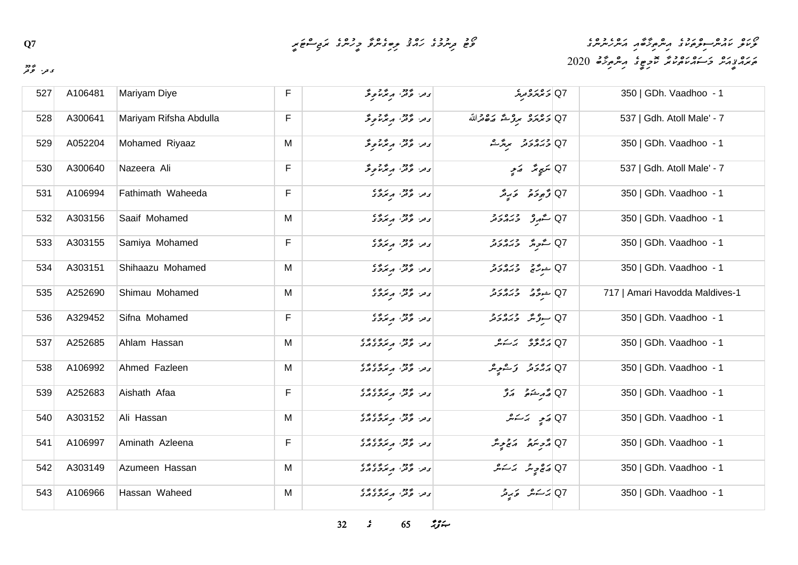*sCw7q7s5w7m< o<n9nOoAw7o< sCq;mAwBoEw7q<m; wBm;vB* م من المرة المرة المرة المرجع المرجع المرجع في 2020<br>مجم*د المريض المرجع المرجع المرجع المرجع المراجع المراجع الم*رجع

| 527 | A106481 | Mariyam Diye           | F | رى ئۇنزا مەنزى <sub>م</sub> ىر ئى                          | Q7 كەنگە <i>كەنگە</i> ئەر                          | 350   GDh. Vaadhoo - 1         |
|-----|---------|------------------------|---|------------------------------------------------------------|----------------------------------------------------|--------------------------------|
| 528 | A300641 | Mariyam Rifsha Abdulla | F | دىن ئۇنى <i>ن مەيگەنمۇ</i> تى                              | Q7 <i>5 جُهْدَى مِروْ</i> حَة مَ <b>صْرَ</b> اللّه | 537   Gdh. Atoll Male' - 7     |
| 529 | A052204 | Mohamed Riyaaz         | M | ى مەر ئۇنق بەيگەنمۇ بى                                     | Q7 <i>ۇنەۋەتى بىر ئى</i> ش                         | 350   GDh. Vaadhoo - 1         |
| 530 | A300640 | Nazeera Ali            | F | ى مەر ئۇنق بەيگەنمونى                                      | Q7 سَمِي تَمَ <i>ّه ضَم</i> ِّ                     | 537   Gdh. Atoll Male' - 7     |
| 531 | A106994 | Fathimath Waheeda      | F | ى تىر بەلگەك بەلگەنى                                       | Q7 <i>وُّجِ دَمَّةَ</i> وَرِيْدً                   | 350   GDh. Vaadhoo - 1         |
| 532 | A303156 | Saaif Mohamed          | M | ى تىر بەلگەك بەلگەنى                                       | Q7 جوړو د <i>جن</i> گر <i>ون</i> د                 | 350   GDh. Vaadhoo - 1         |
| 533 | A303155 | Samiya Mohamed         | F | ى تىر بەرگە بە ئىرى <i>گە ئ</i>                            | Q7 گوچر د <i>جن</i> مرد تر                         | 350   GDh. Vaadhoo - 1         |
| 534 | A303151 | Shihaazu Mohamed       | M | دىر گ <sup>ود</sup> ، م <i>ەي</i> رى                       | Q7 جو <i>رگنج ويمگرونگر</i>                        | 350   GDh. Vaadhoo - 1         |
| 535 | A252690 | Shimau Mohamed         | M | ر در ۱۶۶۴ مرکزی                                            | Q7 شو <i>دة ويدو</i> رو                            | 717   Amari Havodda Maldives-1 |
| 536 | A329452 | Sifna Mohamed          | F | ى تىر بەلگەك بەلگەنى                                       | Q7 بەر <i>مەدە ئەرە</i>                            | 350   GDh. Vaadhoo - 1         |
| 537 | A252685 | Ahlam Hassan           | M | ى بىر بەدە بەرگە ئەلەر<br>ئ                                | Q7 <i>كەنگۇۋ بەسكىل</i>                            | 350   GDh. Vaadhoo - 1         |
| 538 | A106992 | Ahmed Fazleen          | M | دى دە دە بەترەپ.<br>دىن ئەتر، بەترى بەر                    | Q7 <i>ټرې تو</i> تو شوینل                          | 350   GDh. Vaadhoo - 1         |
| 539 | A252683 | Aishath Afaa           | F |                                                            | Q7 م <i>ەم شەق م</i> ىر                            | 350   GDh. Vaadhoo - 1         |
| 540 | A303152 | Ali Hassan             | M | دىن ئۇن مەترىم دە                                          | Q7   ر <sub>َحمٍ</sub> کے شک                       | 350   GDh. Vaadhoo - 1         |
| 541 | A106997 | Aminath Azleena        | F | دى دە دە بەترەپ.<br>دىن ئەتر، بەترى بەر                    | Q7 مَّ حِسَمَة مَ مَعْ مِسَّر                      | 350   GDh. Vaadhoo - 1         |
| 542 | A303149 | Azumeen Hassan         | M | ى بىر بەدە بەرگە ئەلەر<br>ئ                                | Q7 <i>ړی چې</i> پر ټر ټر                           | 350   GDh. Vaadhoo - 1         |
| 543 | A106966 | Hassan Waheed          | M | وتر کوتر، م <i>رتوی وی</i><br>وتر کوتر، م <i>رتوی م</i> ری | Q7   يَرْسَسْ         وَرِيْرٌ                     | 350   GDh. Vaadhoo - 1         |

**32** *s* **65** *z***<sub>***f***</sub>**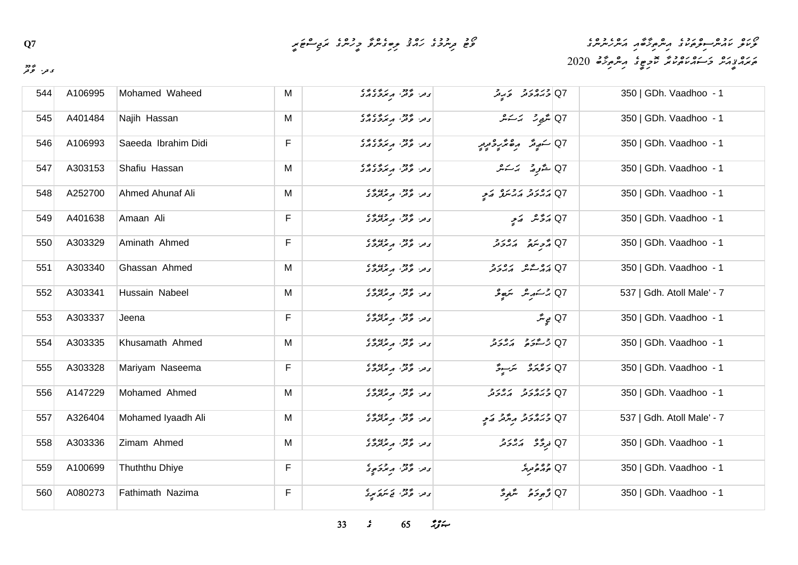*sCw7q7s5w7m< o<n9nOoAw7o< sCq;mAwBoEw7q<m; wBm;vB* م من المرة المرة المرة المرجع المرجع المرجع في 2020<br>مجم*د المريض المرجع المرجع المرجع المرجع المراجع المراجع الم*رجع

| 544 | A106995 | Mohamed Waheed        | M | ى تىر ئەدەر بىرگە ئەلەي                                                                                                                                                                                                          | Q7 <i>\$نەۋۇقى قەي</i> قر                           | 350   GDh. Vaadhoo - 1     |
|-----|---------|-----------------------|---|----------------------------------------------------------------------------------------------------------------------------------------------------------------------------------------------------------------------------------|-----------------------------------------------------|----------------------------|
| 545 | A401484 | Najih Hassan          | M | دى دە ھېرىدى.<br>دىن ھېر مېرگەندى                                                                                                                                                                                                | Q7 بمَّهِ <sup>2</sup> بَرَسَسُ                     | 350   GDh. Vaadhoo - 1     |
| 546 | A106993 | Saeeda Ibrahim Didi   | F | دى دە ھېرىدى.<br>دىن ھېر مېرگەندى                                                                                                                                                                                                | Q7 س <i>َم<sub>و</sub>ِيدَ م</i> ِ8مَّر وقبيدِ      | 350   GDh. Vaadhoo - 1     |
| 547 | A303153 | Shafiu Hassan         | M | ومن ح <sup>ود</sup> به بروی دی<br>دمن ح <sup>و</sup> من به بروی برو                                                                                                                                                              | Q7 ش <i>ۇر</i> 2 ئەسكەنلە                           | 350   GDh. Vaadhoo - 1     |
| 548 | A252700 | Ahmed Ahunaf Ali      | M | ومن ح <sup>ود</sup> بر ون و ،<br>د من حسن بر مرمرو د                                                                                                                                                                             | Q7 <i>كەندى تەرەپتىلى كە</i> م                      | 350   GDh. Vaadhoo - 1     |
| 549 | A401638 | Amaan Ali             | F | ومن ح <sup>ود</sup> بر پژوره و.<br>ومن حر <sup>و</sup> ن بر پژورو و                                                                                                                                                              | Q7 كەڭ <i>مۇم</i>                                   | 350   GDh. Vaadhoo - 1     |
| 550 | A303329 | Aminath Ahmed         | F | ومن ح <sup>ود</sup> بر پروره و.<br>ومن حر <sup>و</sup> ر بر پر <i>ورو</i> و                                                                                                                                                      | Q7 مُجِسَع <i>ة مَدْحَد</i> ْ                       | 350   GDh. Vaadhoo - 1     |
| 551 | A303340 | Ghassan Ahmed         | M | ومر· حوص مرحمدون<br>ومن حوص مرمرمزوی                                                                                                                                                                                             | Q7 زَرْهُ شَهْرَ مَدَوْمَر                          | 350   GDh. Vaadhoo - 1     |
| 552 | A303341 | Hussain Nabeel        | M | ومن ح <sup>ود</sup> بر ون و ،<br>د من حسن بر مرمرو د                                                                                                                                                                             | Q7 يُرْسَمب <sup>9</sup> سَه <i>ِ وَ</i>            | 537   Gdh. Atoll Male' - 7 |
| 553 | A303337 | Jeena                 | F | ومن ح <sup>ود</sup> بر پروره و.<br>ومن حر <sup>و</sup> ر بر پر <i>ورو</i> و                                                                                                                                                      | Q7   م <sub>ح</sub> مَّد                            | 350   GDh. Vaadhoo - 1     |
| 554 | A303335 | Khusamath Ahmed       | M | ومن ح <sup>ود</sup> بر پروره و.<br>ومن حر <sup>و</sup> ر بر پر <i>ورو</i> و                                                                                                                                                      | Q7 جُسْرَة مَدْدَنْر                                | 350   GDh. Vaadhoo - 1     |
| 555 | A303328 | Mariyam Naseema       | E | ومن ح <sup>ود</sup> بر پروره و.<br>ومن حر <sup>و</sup> ر بر پر <i>ورو</i> و                                                                                                                                                      | Q7 <i>كا باردۇ سىرسو</i> گە                         | 350   GDh. Vaadhoo - 1     |
| 556 | A147229 | Mohamed Ahmed         | M | ومن ح <sup>ود</sup> بر پروره و.<br>ومن حر <sup>و</sup> ر بر پر <i>ورو</i> و                                                                                                                                                      | Q7 <i>בגמכת הפכת</i>                                | 350   GDh. Vaadhoo - 1     |
| 557 | A326404 | Mohamed Iyaadh Ali    | M | ر در همده به در دره در در این برای برای کنید و برای کنید و برای کنید و برای کنید و برای کنید و برای کنید و برا<br>برای کنید و برای کنید و برای کنید و برای کنید و برای کنید و برای کنید و برای کنید و برای کنید و برای کنید و بر | Q7 <i>ڈبزو</i> وتر <sub>م</sub> رٹرز ک <i>ے ب</i> ر | 537   Gdh. Atoll Male' - 7 |
| 558 | A303336 | Zimam Ahmed           | M | ومن ح <sup>ود</sup> بر پژوره و.<br>ومن حر <sup>و</sup> ن بر پژورو و                                                                                                                                                              | Q7 <sub>فر</sub> وًّ <i>5 مَدْ</i> دَمْر            | 350   GDh. Vaadhoo - 1     |
| 559 | A100699 | <b>Thuththu Dhiye</b> | F | ى تىر ھەتتى بىر تەرىخ تور                                                                                                                                                                                                        | Q7 <i>وده و</i> رو                                  | 350   GDh. Vaadhoo - 1     |
| 560 | A080273 | Fathimath Nazima      | F | ى قرار ئۇقۇر، ئى ئىرتكە ئېرى                                                                                                                                                                                                     | Q7 <i>وَّجِوحَةْ سَنْ</i> جِرَّةَ                   | 350   GDh. Vaadhoo - 1     |

**33** *s* **65** *n***<sub>y</sub> <b>***n*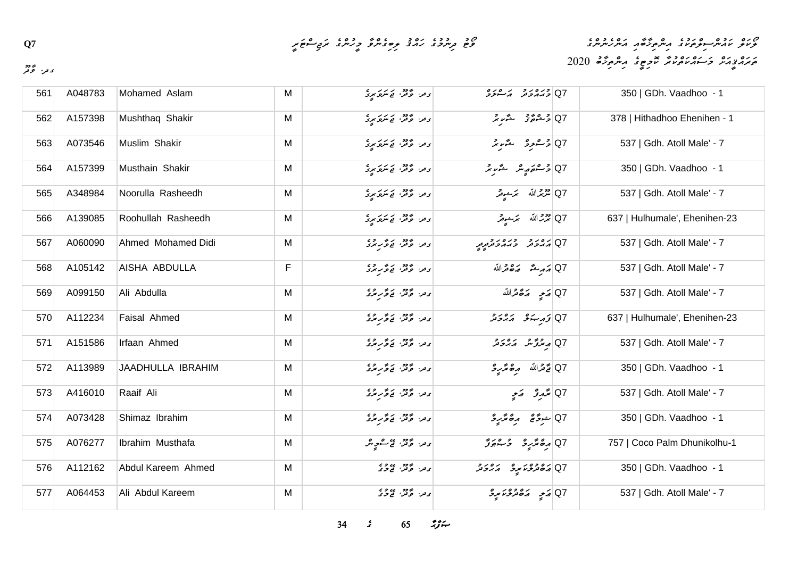*sCw7q7s5w7m< o<n9nOoAw7o< sCq;mAwBoEw7q<m; wBm;vB* م من المرة المرة المرة المرجع المرجع المرجع في 2020<br>مجم*د المريض المرجع المرجع المرجع المرجع المراجع المراجع الم*رجع

| 561 | A048783 | Mohamed Aslam      | M | ى قرار ئەقىرى كەنتىرىكى ئىرى                           | $5.222$ $2.222$                               | 350   GDh. Vaadhoo - 1        |
|-----|---------|--------------------|---|--------------------------------------------------------|-----------------------------------------------|-------------------------------|
| 562 | A157398 | Mushthaq Shakir    | M | ى قريب ئەيلىكى ئەيدىكى ئىستىرىكى ئىستىك                | Q7 كَرْ-شْهُرَّتْ شَّىْءِ مْرَ                | 378   Hithadhoo Ehenihen - 1  |
| 563 | A073546 | Muslim Shakir      | M | ى تەرەپ ئەسكە ئەسكە ئەس                                | Q7 ۇش <sub>مو</sub> ۋ ش <sub>ىرىمى</sub>      | 537   Gdh. Atoll Male' - 7    |
| 564 | A157399 | Musthain Shakir    | M | ى قرار ئەدەر كەنتىرى تەرىپى                            | Q7 ۇش <sub>ىمۇم</sub> ېر ش <sub>ىرىم</sub>    | 350   GDh. Vaadhoo - 1        |
| 565 | A348984 | Noorulla Rasheedh  | M | ى قرار ئەدەر كەنتىرىكى ئىرى                            | Q7 تُتْرَ بَّدْ اللَّهُ     مَرَسُومَّرُ      | 537   Gdh. Atoll Male' - 7    |
| 566 | A139085 | Roohullah Rasheedh | M | ى قرار ئەقىرى كەنتىرى تىرى                             | Q7 كَيْرْتْرْاللَّهُ     مَدَحْدِثْرْ         | 637   Hulhumale', Ehenihen-23 |
| 567 | A060090 | Ahmed Mohamed Didi | M | ا د مرد ده ده د د د د د د                              | Q7 <i>גُرْدُوَ دُرُ دُرُوَ تُرْمِرِيرِ</i>    | 537   Gdh. Atoll Male' - 7    |
| 568 | A105142 | AISHA ABDULLA      | F | ى قىز ئەڭگە ئەنھەرىي تەرەپ كە                          | Q7 <i>مَهِ</i> ــُّة مَ <b>ـُ</b> قَمَّاللَّه | 537   Gdh. Atoll Male' - 7    |
| 569 | A099150 | Ali Abdulla        | M | ى قرار ئەقرار قىق ئەرىپى ئ                             | Q7 <i>مَجِ مَـُـ</i> هُ مِّرَاللَّه           | 537   Gdh. Atoll Male' - 7    |
| 570 | A112234 | Faisal Ahmed       | M | ى قىز ئەڭگە ئەتەر ئەتەت                                | Q7 <i>قەبىنى مەدە</i> تر                      | 637   Hulhumale', Ehenihen-23 |
| 571 | A151586 | Irfaan Ahmed       | M | ى تەرەپ ئەن ئەن ئەرەپ ئەرە                             | Q7 <i>مەنگەنگە</i> كەنگەنگەنلە                | 537   Gdh. Atoll Male' - 7    |
| 572 | A113989 | JAADHULLA IBRAHIM  | M | ى قرار ئەقرار قىق ئەرىپى ئ                             |                                               | 350   GDh. Vaadhoo - 1        |
| 573 | A416010 | Raaif Ali          | M | ى قىز ئەڭگە ئەتەر ئەتەت                                | Q7 محم <i>د</i> و - محمو                      | 537   Gdh. Atoll Male' - 7    |
| 574 | A073428 | Shimaz Ibrahim     | M | ى تەرەپ ئەن ئەن ئەرەپ ئەرە                             | $\frac{1}{2}$ جودنج مرگانگریز                 | 350   GDh. Vaadhoo - 1        |
| 575 | A076277 | Ibrahim Musthafa   | M | ى تىر بەدە بەر قاسىم بىر                               | Q7 مەھەر ئەرەبە ئەسى <i>مۇ</i>                | 757   Coco Palm Dhunikolhu-1  |
| 576 | A112162 | Abdul Kareem Ahmed | M | ر در گ <sup>ور</sup> که د ،<br>در گ <sup>و</sup> ر قرر | Q7 مەھ <i>مەدى مىي ئىسمى</i> مەدىر            | 350   GDh. Vaadhoo - 1        |
| 577 | A064453 | Ali Abdul Kareem   | M | و تر دو ده ده<br>و تر گرفر کار د                       | Q7 <i>مَجِ مَ</i> صَ <i>دَوْءَ بِرِدْ</i>     | 537   Gdh. Atoll Male' - 7    |

**34** *s* **65** *n***<sub>3</sub> <b>***n*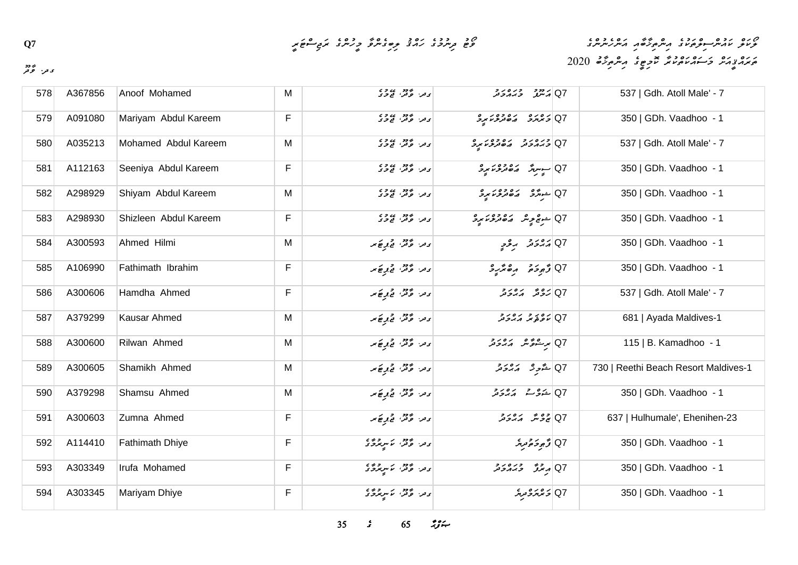*sCw7q7s5w7m< o<n9nOoAw7o< sCq;mAwBoEw7q<m; wBm;vB* م من المرة المرة المرة المرجع المرجع المرجع في 2020<br>مجم*د المريض المرجع المرجع المرجع المرجع المراجع المراجع الم*رجع

| 578 | A367856 | Anoof Mohamed          | M            |                                                        | Q7 كەنتىر ئ <i>ۇنەۋەر</i>                      | 537   Gdh. Atoll Male' - 7           |
|-----|---------|------------------------|--------------|--------------------------------------------------------|------------------------------------------------|--------------------------------------|
| 579 | A091080 | Mariyam Abdul Kareem   | $\mathsf{F}$ | ر تر دوم ده ده ده ده بر<br>د تر گرفتر کو در د          | Q7 <i>ביצתב השנת ביצי</i> ת                    | 350   GDh. Vaadhoo - 1               |
| 580 | A035213 | Mohamed Abdul Kareem   | M            | و تر به دو ده ده ده ده کند.<br>د تر او ترکی کنی ترکی   | Q7 <i>בגמכנר הסניפי זיכ</i>                    | 537   Gdh. Atoll Male' - 7           |
| 581 | A112163 | Seeniya Abdul Kareem   | $\mathsf F$  | ر تر دوم ده ده ده ده ده کار ده که ده ک                 | Q7 سوسرتر مەھەر <i>ۋىدى</i> ر ۋ                | 350   GDh. Vaadhoo - 1               |
| 582 | A298929 | Shiyam Abdul Kareem    | M            | رىر گ <sup>ەرد</sup> ە ئەرى<br>رىس گەنزا قع            | Q7 شەرق مەھەر ئىسى كىلىدى بىر                  | 350   GDh. Vaadhoo - 1               |
| 583 | A298930 | Shizleen Abdul Kareem  | $\mathsf F$  | ر در گ <sup>ور</sup> که د ،<br>در گ <sup>و</sup> ر قرر | Q7 شوچ پېر مەھىر ئەرەپ                         | 350   GDh. Vaadhoo - 1               |
| 584 | A300593 | Ahmed Hilmi            | M            | دىن گەنتى، قى توقع بىر                                 | Q7 <i>كەنگە كەنگە</i> ر                        | 350   GDh. Vaadhoo - 1               |
| 585 | A106990 | Fathimath Ibrahim      | $\mathsf F$  | رورا المردور المحج والمحامر                            | Q7 <i>وَّجِوَدَةُ م</i> ِنْ صُ <i>رَّبِ</i> دُ | 350   GDh. Vaadhoo - 1               |
| 586 | A300606 | Hamdha Ahmed           | F            | الماص المحمر المحاوية المحامر                          | Q7 كەفىر كەبر <i>ۇ</i> ر                       | 537   Gdh. Atoll Male' - 7           |
| 587 | A379299 | Kausar Ahmed           | M            | ى قرار ئۇنى كى قى قى تەرەپ بىر                         | Q7 <i>كۇڭۇنجى مەركى</i> تى                     | 681   Ayada Maldives-1               |
| 588 | A300600 | Rilwan Ahmed           | M            | دىن ئۇقۇش قى توقع بىر                                  | Q7 برجو <i>گر مذوفر</i>                        | 115   B. Kamadhoo - 1                |
| 589 | A300605 | Shamikh Ahmed          | M            | دىن ئۇقۇش قى توقع بىر                                  | Q7 ش <i>ۇرى مەرى قى</i>                        | 730   Reethi Beach Resort Maldives-1 |
| 590 | A379298 | Shamsu Ahmed           | M            | رىر ئۇنز، قى بى ھىر                                    | Q7 خۇرقە ئە <i>زۇ</i> تر                       | 350   GDh. Vaadhoo - 1               |
| 591 | A300603 | Zumna Ahmed            | $\mathsf{F}$ | ى قرار ئۇنى كى قى قى تەرەپ بىر                         | Q7 جۇنئر <i>مەدە</i> م                         | 637   Hulhumale', Ehenihen-23        |
| 592 | A114410 | <b>Fathimath Dhiye</b> | $\mathsf{F}$ | ى تىر ھەتىر، كەسپەتىرى ئ                               | Q7 <i>وُموحَهُ مِرمَّر</i>                     | 350   GDh. Vaadhoo - 1               |
| 593 | A303349 | Irufa Mohamed          | $\mathsf F$  | ى تەرەپ ئەسلام ئ                                       | Q7 مِعْرَزٌ حَمْدُ <i>مُحَمَّدٌ</i>            | 350   GDh. Vaadhoo - 1               |
| 594 | A303345 | Mariyam Dhiye          | F            | ى تىر ئەدە كەسى بىرى ئ                                 | Q7   ئ <i>ۇنگە</i> ئ <sup>و</sup> رىگە         | 350   GDh. Vaadhoo - 1               |

**35** *s* **65** *n***<sub>y</sub> <b>***n*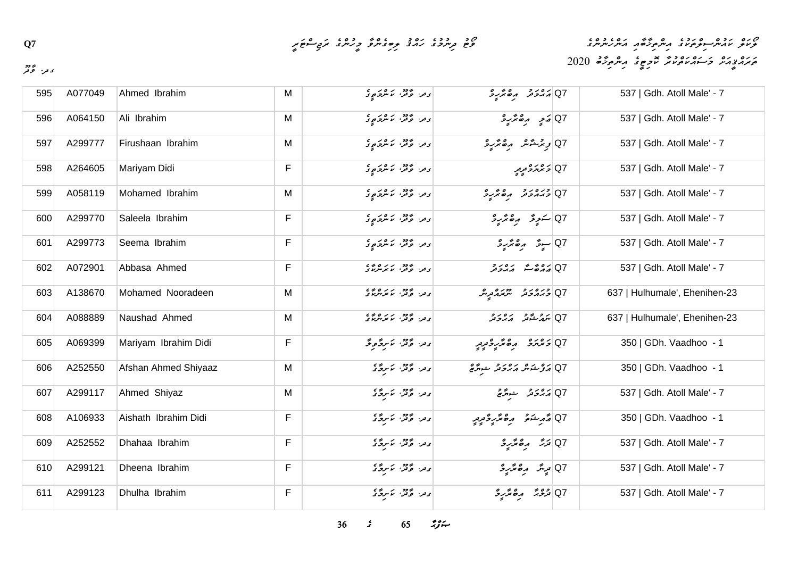*sCw7q7s5w7m< o<n9nOoAw7o< sCq;mAwBoEw7q<m; wBm;vB* م من المرة المرة المرة المرجع المرجع المرجع في 2020<br>مجم*د المريض المرجع المرجع المرجع المرجع المراجع المراجع الم*رجع

| 595 | A077049 | Ahmed Ibrahim        | M           | ى تىر ھەتىر، كەنىگە تەتەتبى ئ     | Q7  كەبرى ئەھە <i>مگەب</i> ى                                                                                   | 537   Gdh. Atoll Male' - 7    |
|-----|---------|----------------------|-------------|-----------------------------------|----------------------------------------------------------------------------------------------------------------|-------------------------------|
| 596 | A064150 | Ali Ibrahim          | M           | ى تىر ھەتىر، كەنىگە تەتەتبى ئ     | Q7 <i>مَرِ م</i> ِ مَ <i>مَرْبِ</i> وْ                                                                         | 537   Gdh. Atoll Male' - 7    |
| 597 | A299777 | Firushaan Ibrahim    | M           | ى تىر ھەتىر ، كەشرىر ئ            | Q7 <i>و ب</i> رْڪْش مِنْھُرُرِدْ                                                                               | 537   Gdh. Atoll Male' - 7    |
| 598 | A264605 | Mariyam Didi         | F           | ى تىر ھەتىر ، كەنگەنچە ئ          | Q7 كەنگە <i>كەنگە</i> ئەربىر                                                                                   | 537   Gdh. Atoll Male' - 7    |
| 599 | A058119 | Mohamed Ibrahim      | M           | ى تىر ھەتىر ، كەشرىر ئ            | Q7 <i>وبرودو م</i> ەم <i>گرد</i> و                                                                             | 537   Gdh. Atoll Male' - 7    |
| 600 | A299770 | Saleela Ibrahim      | F           | ى تىر ھەتىر ، كەشرىر ئ            | Q7 س <i>َوِدُ وەت</i> َرِدْ                                                                                    | 537   Gdh. Atoll Male' - 7    |
| 601 | A299773 | Seema Ibrahim        | F           | ى قرار ئەدەر مەشرىق تور           | Q7 سومً <i>ڑ م</i> ھ م <i>گرد</i> و                                                                            | 537   Gdh. Atoll Male' - 7    |
| 602 | A072901 | Abbasa Ahmed         | F           | ى قرار ئەرەر بەر ئەرەب ئ          | Q7 كەن ئەم كەن ئۇيغا ئايدىن ئىشتار ئىشتار ئىشتار ئايدا ئايدا ئايدا ئايدا ئايدا ئايدا ئايدا ئايدا ئايدا ئايدا ئ | 537   Gdh. Atoll Male' - 7    |
| 603 | A138670 | Mohamed Nooradeen    | M           | ى قرار ئەرەر بەر ئەرەب ئ          | Q7 <i>32825 متعم</i> قرمر                                                                                      | 637   Hulhumale', Ehenihen-23 |
| 604 | A088889 | Naushad Ahmed        | M           | ى قرار ئەرەر بەر ئەرەب ئ          | Q7 سَمَ <i>دْ شَمَّتْر مَدْدَ</i> تْر                                                                          | 637   Hulhumale', Ehenihen-23 |
| 605 | A069399 | Mariyam Ibrahim Didi | F           | ى بىر ئۇنزا ئەبرۇم بۇ             | Q7 <i>كَمْرْمُوْ بِهِ مُّرْبِ</i> دُّ مِرِيْرِ                                                                 | 350   GDh. Vaadhoo - 1        |
| 606 | A252550 | Afshan Ahmed Shiyaaz | M           | ا دىن ئۇتىق ئەبر <i>ۇئ</i>        | 25.22.2.2.2.2                                                                                                  | 350   GDh. Vaadhoo - 1        |
| 607 | A299117 | Ahmed Shiyaz         | M           | ى تىر بەقتى، كەنىزى كە            | Q7 <i>كەنگە كىلى شەرگى</i> تى                                                                                  | 537   Gdh. Atoll Male' - 7    |
| 608 | A106933 | Aishath Ibrahim Didi | F           | ى قرار ئەقرار ئىلىرى ئ            | Q7 مەم شەقرە مەھەردىسى<br>Q7                                                                                   | 350   GDh. Vaadhoo - 1        |
| 609 | A252552 | Dhahaa Ibrahim       | F           | ى قرا ئەقرا كەنبەتى ئ             | Q7 مَ <i>رَدٌ م</i> ِ صَحَّرٍ تَح                                                                              | 537   Gdh. Atoll Male' - 7    |
| 610 | A299121 | Dheena Ibrahim       | $\mathsf F$ | ى قرار ئەقرار ئىلىم تەرەپىي       | Q7 م <sub>ی</sub> نڈ م <i>ےنڈی</i> ے                                                                           | 537   Gdh. Atoll Male' - 7    |
| 611 | A299123 | Dhulha Ibrahim       | F           | ى قراڭ ئىم ئىم ئىم ئىم ئىم ئىم ئى |                                                                                                                | 537   Gdh. Atoll Male' - 7    |

**36** *s* **65** *n***<sub>3</sub> <b>***n*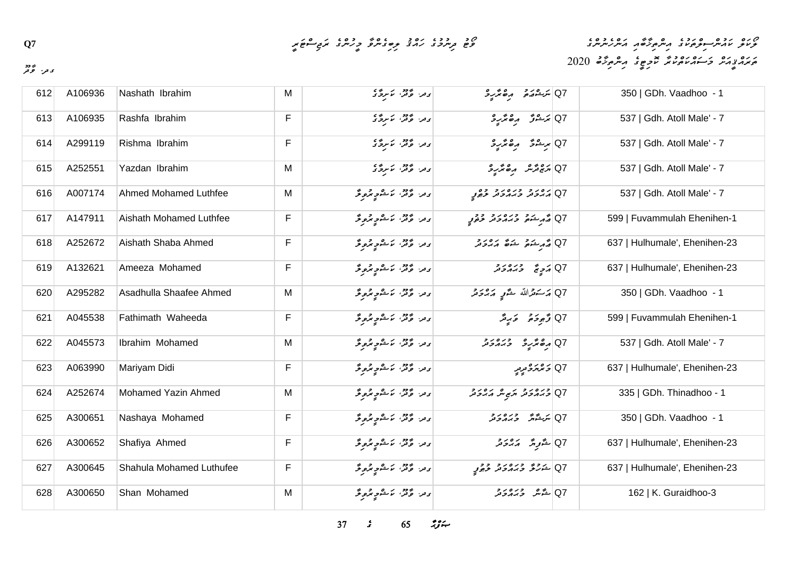*sCw7q7s5w7m< o<n9nOoAw7o< sCq;mAwBoEw7q<m; wBm;vB* م من المرة المرة المرة المرجع المرجع المرجع في 2020<br>مجم*د المريض المرجع المرجع المرجع المرجع المراجع المراجع الم*رجع

| 612 | A106936 | Nashath Ibrahim              | M            | ى قرا ئەقتى، مەمرىگى كە                            | Q7 س <i>َنْ شَهُمْ مَعْ مِرْهُ مَّدْرِ \$</i>      | 350   GDh. Vaadhoo - 1        |
|-----|---------|------------------------------|--------------|----------------------------------------------------|----------------------------------------------------|-------------------------------|
| 613 | A106935 | Rashfa Ibrahim               | F            | ى قرار ئەدەر كەنبەرگە ئ                            | Q7 <i>ټر</i> یشو <i>ته مرغ پر</i> و                | 537   Gdh. Atoll Male' - 7    |
| 614 | A299119 | Rishma Ibrahim               | $\mathsf{F}$ | ى تىر بەردى كەنبەدى                                | Q7 ىرىشۇ م <i>ەشرى</i> ۋ                           | 537   Gdh. Atoll Male' - 7    |
| 615 | A252551 | Yazdan Ibrahim               | M            | دىن ئۇتۇ، ئەبر <i>ۇ</i> ئ                          | Q7 كىرىم ئىر مەھ <i>مگرى</i> ئى                    | 537   Gdh. Atoll Male' - 7    |
| 616 | A007174 | <b>Ahmed Mohamed Luthfee</b> | M            | ى تىر بەقترا ئەشۋىر تەرەپ                          | Q7 كەبرو تەرەپرو دەر                               | 537   Gdh. Atoll Male' - 7    |
| 617 | A147911 | Aishath Mohamed Luthfee      | $\mathsf F$  | دىن ئۇتۇ، ئەشۋىرتمونۇ                              | Q7 مەم شەم مەمەم مەم ئومۇر                         | 599   Fuvammulah Ehenihen-1   |
| 618 | A252672 | Aishath Shaba Ahmed          | $\mathsf F$  | ى بىر بەقتى ئەشۋىرە بۇ                             | Q7 مُستَوْمٌ شَرَّةٌ مَ <sup>روب</sup> رد          | 637   Hulhumale', Ehenihen-23 |
| 619 | A132621 | Ameeza Mohamed               | $\mathsf F$  | ى مەدەبەت كەن ئەھمىدە ئە                           | Q7 <i>הُכٍىَّ وَبَدُوَنَّر</i> َ                   | 637   Hulhumale', Ehenihen-23 |
| 620 | A295282 | Asadhulla Shaafee Ahmed      | M            | ى بىر ئەقتى، ئاشلام بىرى ئىچ                       | Q7 كَرْسَةَ مَرَّاللَّهُ مُشَّمَوٍ كَدَبَرْدَ مَدْ | 350   GDh. Vaadhoo - 1        |
| 621 | A045538 | Fathimath Waheeda            | $\mathsf F$  | ى بىر ، ئۇنىش بىر بىر بىر بىر ئىلى ئىلىن ئىلىن ئىل | Q7 <i>وُّجِوَدَةْ</i> وَب <sub>رِيْدَ</sub>        | 599   Fuvammulah Ehenihen-1   |
| 622 | A045573 | Ibrahim Mohamed              | M            | ى تىر بەقتى كەشلەم تۈرگى                           | Q7 مەھەر ئەرەردى<br>Q7                             | 537   Gdh. Atoll Male' - 7    |
| 623 | A063990 | Mariyam Didi                 | F            | ى بىر ، ئۇنىش بىر بىر بىر بىر ئىلى ئىلىن ئىلىن ئىل | Q7   <i>5 \$5, \$ فرِيرِ</i>                       | 637   Hulhumale', Ehenihen-23 |
| 624 | A252674 | <b>Mohamed Yazin Ahmed</b>   | M            | ى بىر ئەقتى ئاسلىم پىرىم ئىگە                      | Q7 כלהכת ה <sub>ב</sub> ת המכת                     | 335   GDh. Thinadhoo - 1      |
| 625 | A300651 | Nashaya Mohamed              | F            | ى قراء ھۆر ئەشەھ بۇي بى                            | Q7 سَرْڪْبَرَّ وَبَرُوورَ                          | 350   GDh. Vaadhoo - 1        |
| 626 | A300652 | Shafiya Ahmed                | $\mathsf F$  | ى تىر بەلىقى ئەسكەم تەرەپ ئىگە                     | Q7 ش <i>ۇرىگە مەمەدى</i> ر                         | 637   Hulhumale', Ehenihen-23 |
| 627 | A300645 | Shahula Mohamed Luthufee     | $\mathsf F$  | ى بىر بەقتى ئەشۋىرە بۇ                             | Q7 خەرقۇ ئ <i>ېرەكە ئەۋىي</i>                      | 637   Hulhumale', Ehenihen-23 |
| 628 | A300650 | Shan Mohamed                 | M            | ى تىر بەلىرى بۇ بۇيدۇ ئىلىمى ئىلىرى ئىلىرى ئىل     | Q7 گەش ئ <i>ۇن</i> ۇر ئو                           | 162   K. Guraidhoo-3          |

**37** *s* **65** *z***<sub>***s***</sub>**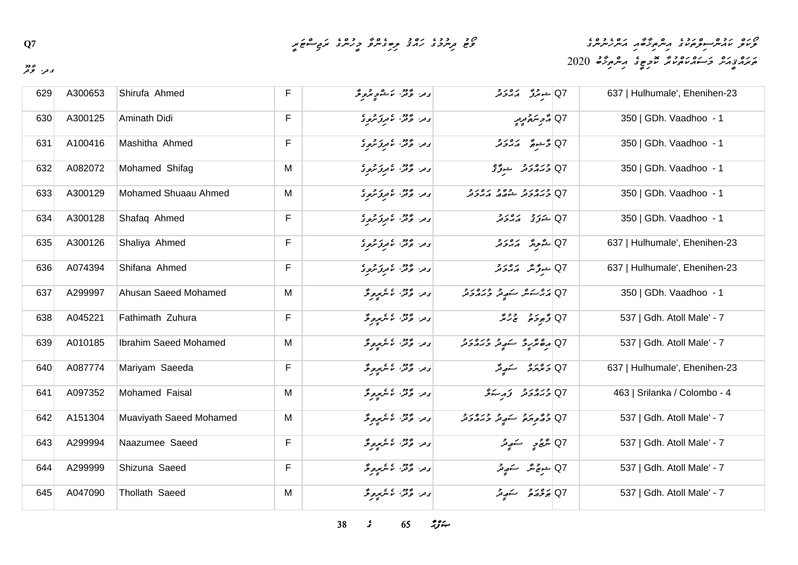*sCw7q7s5w7m< o<n9nOoAw7o< sCq;mAwBoEw7q<m; wBm;vB* م من المرة المرة المرة المرجع المرجع المرجع في 2020<br>مجم*د المريض المرجع المرجع المرجع المرجع المراجع المراجع الم*رجع

| 629 | A300653 | Shirufa Ahmed           | F            | دىن ئۇتىر، ئەش <sup>ە</sup> م بۇي <sub>م</sub> ۇ                                                               | Q7 شو <i>بزۇ مەدە</i> تر                                                                                                                                                                                                         | 637   Hulhumale', Ehenihen-23 |
|-----|---------|-------------------------|--------------|----------------------------------------------------------------------------------------------------------------|----------------------------------------------------------------------------------------------------------------------------------------------------------------------------------------------------------------------------------|-------------------------------|
| 630 | A300125 | Aminath Didi            | $\mathsf{F}$ | دىر. ئۇقر، ئامرۇتر <i>ە</i> رى                                                                                 | Q7   مُرْحِ سَرْمُ مِرِ مِرِ                                                                                                                                                                                                     | 350   GDh. Vaadhoo - 1        |
| 631 | A100416 | Mashitha Ahmed          | $\mathsf{F}$ | ا د مرد ده در د در د د کار د د کار د د کار د کار د کار د کار د کار د کار د کار د کار د کار د کار د کار د کار د | Q7 جُسْعِ <i>مُ دُ</i> حَمَّدُ                                                                                                                                                                                                   | 350   GDh. Vaadhoo - 1        |
| 632 | A082072 | Mohamed Shifag          | M            | د مرد ده علم د د د د ع                                                                                         | $Q7 = \frac{2}{3}$ $\frac{2}{3}$ $\frac{2}{3}$ $\frac{2}{3}$ $\frac{2}{3}$                                                                                                                                                       | 350   GDh. Vaadhoo - 1        |
| 633 | A300129 | Mohamed Shuaau Ahmed    | M            | دىن ئۇتتى، ئاتېرتۇترەتى                                                                                        | Q7 <i>בגמכת במיד הייכת</i>                                                                                                                                                                                                       | 350   GDh. Vaadhoo - 1        |
| 634 | A300128 | Shafaq Ahmed            | F            | ى قرار ئەدەر كەتتى تورىخ كەنتى ئە                                                                              | Q7 خۇ <i>ۇتى مەمەدى</i> ر                                                                                                                                                                                                        | 350   GDh. Vaadhoo - 1        |
| 635 | A300126 | Shaliya Ahmed           | $\mathsf{F}$ | ى قرار ھەتتى كە قرىق تورى                                                                                      | Q7 ش <i>ۇمۇ مەدە</i> قر                                                                                                                                                                                                          | 637   Hulhumale', Ehenihen-23 |
| 636 | A074394 | Shifana Ahmed           | $\mathsf{F}$ | .<br>دىن ئۇتتى، ئاتېرتى ئىرى                                                                                   | Q7 جو <i>رُّنگ مَک</i> رْدَمْرُ                                                                                                                                                                                                  | 637   Hulhumale', Ehenihen-23 |
| 637 | A299997 | Ahusan Saeed Mohamed    | M            | دىن ئۇتۇ، ئانگىرى ئى                                                                                           | Q7 كەبۇسەش سەمەتى <i>3 دەر دىن</i>                                                                                                                                                                                               | 350   GDh. Vaadhoo - 1        |
| 638 | A045221 | Fathimath Zuhura        | F            | ى بىر ئەقتى، ئانىگىرى ئى                                                                                       | Q7 <i>وَّجِوحَةْ</i> بِحَ <sup>رْ</sup> تُمُ                                                                                                                                                                                     | 537   Gdh. Atoll Male' - 7    |
| 639 | A010185 | Ibrahim Saeed Mohamed   | M            | ى بىر ئەقتى، ئانىگىرى ئى                                                                                       | Q7 رەئزى <sub>ر</sub> و سوپىر دىمەدد                                                                                                                                                                                             | 537   Gdh. Atoll Male' - 7    |
| 640 | A087774 | Mariyam Saeeda          | F            | ى بىر ئەقتى، ئانىگىرى ئى                                                                                       | Q7 كەنگەنگە سى <i>نمو</i> نگە                                                                                                                                                                                                    | 637   Hulhumale', Ehenihen-23 |
| 641 | A097352 | Mohamed Faisal          | M            | ى بىر ئەقتى، ئانگىرىم ئى                                                                                       | Q7 <i>وَيَدُودُو وَمِ</i> سَوْ                                                                                                                                                                                                   | 463   Srilanka / Colombo - 4  |
| 642 | A151304 | Muaviyath Saeed Mohamed | M            | دىن ئۇنز، ئانئېرىرنى                                                                                           | Q7 כל פולק ביולק פיני פיצי ביולק ביולק ביולק ביולק ביולק ביולק ביולק ביולק ביולק ביולק ביולק ביולק ביולק ביולק<br>המודע ביולק ביולק ביולק ביולק ביולק ביולק ביולק ביולק ביולק ביולק ביולק ביולק ביולק ביולק ביולק ביולק ביולק בי | 537   Gdh. Atoll Male' - 7    |
| 643 | A299994 | Naazumee Saeed          | F            | <sub>ى</sub> ەر، ئۇتۇ، ئانگ <i>اپىرە</i> نگە                                                                   | Q7 سَمَّتَی سِمِ سَم <i>وٍ م</i> َّر                                                                                                                                                                                             | 537   Gdh. Atoll Male' - 7    |
| 644 | A299999 | Shizuna Saeed           | $\mathsf F$  | ى بىر ئەقتى، ئانىگىرى ئى                                                                                       | Q7 شویج مگر کے <i>می</i> فر                                                                                                                                                                                                      | 537   Gdh. Atoll Male' - 7    |
| 645 | A047090 | Thollath Saeed          | M            | <mark>ىەس ئۇتر</mark> ، ئانگ <i>رىي ئى</i>                                                                     | Q7 ي <i>وڅه تو</i> سک <i>و</i> ینر                                                                                                                                                                                               | 537   Gdh. Atoll Male' - 7    |

**38** *s* **65** *n***<sub>y</sub> <b>***n*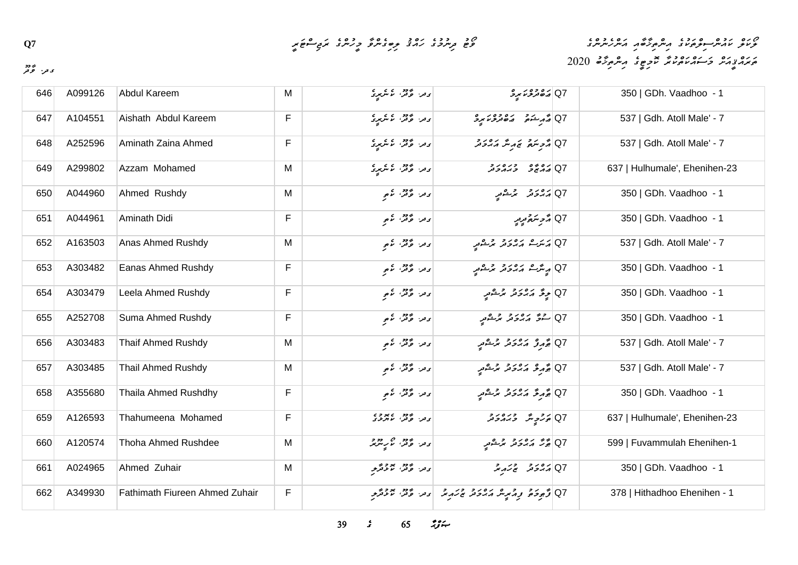*sCw7q7s5w7m< o<n9nOoAw7o< sCq;mAwBoEw7q<m; wBm;vB* م من المرة المرة المرة المرجع المرجع المرجع في 2020<br>مجم*د المريض المرجع المرجع المرجع المرجع المراجع المراجع الم*رجع

| 646 | A099126 | Abdul Kareem                   | M           | ا دىن ئۇقۇم، ئاس <i>رىي</i> رى        | Q7 كەھ قرىۋ <i>ى</i> ئىرى                                           | 350   GDh. Vaadhoo - 1        |
|-----|---------|--------------------------------|-------------|---------------------------------------|---------------------------------------------------------------------|-------------------------------|
| 647 | A104551 | Aishath Abdul Kareem           | F           |                                       | Q7 <i>ה ה ביפי ה סיניב עצי</i> ב                                    | 537   Gdh. Atoll Male' - 7    |
| 648 | A252596 | Aminath Zaina Ahmed            | F           | ا دىن ئۇقۇم، ئاس <i>رىي</i> رى        | Q7 مُرْحِسَة <sub>كَا</sub> رِسُّ مَ <sup>ر</sup> ْدَدَ             | 537   Gdh. Atoll Male' - 7    |
| 649 | A299802 | Azzam Mohamed                  | M           | ى مەر ئۇقۇم، ئۇنىڭ بويى               | $07 - 22 - 52 - 07$                                                 | 637   Hulhumale', Ehenihen-23 |
| 650 | A044960 | Ahmed Rushdy                   | M           | ى قرار مەدىق كىم تو                   | Q7 <i>كەنگە كىل م</i> ۇسقىر                                         | 350   GDh. Vaadhoo - 1        |
| 651 | A044961 | Aminath Didi                   | F           | ى قرار ئەدەر ج                        | Q7   مُرْحِ سَمْرُ مِرِ مِرِ                                        | 350   GDh. Vaadhoo - 1        |
| 652 | A163503 | Anas Ahmed Rushdy              | M           | د مر : ه و په ۱۰ م م                  | Q7  كەنى <i>رْت كەندۇقر</i> بۇيش <sub>ۇ</sub> ر                     | 537   Gdh. Atoll Male' - 7    |
| 653 | A303482 | <b>Eanas Ahmed Rushdy</b>      | $\mathsf F$ | ى قرار ئەدەر كەم                      | Q7 م <sub>و</sub> سَّرْے م <i>دُ</i> حد مرکبے میں                   | 350   GDh. Vaadhoo - 1        |
| 654 | A303479 | Leela Ahmed Rushdy             | $\mathsf F$ | ى قرار ئەدەر ج                        | Q7 م <sub>ح</sub> ِوَّز <i>مَدْدَوَدْ</i> مَرْشْمَى <sub>لِ</sub>   | 350   GDh. Vaadhoo - 1        |
| 655 | A252708 | Suma Ahmed Rushdy              | F           | ى قرار مەدىق كىم تو                   | Q7   مَرْحَ بِرَبْرَدِيْرِ بِرَسْوِيرِ                              | 350   GDh. Vaadhoo - 1        |
| 656 | A303483 | <b>Thaif Ahmed Rushdy</b>      | M           | ى تىر بەدە تەم                        | Q7 <i>چُهرو مكروكر مرشور</i>                                        | 537   Gdh. Atoll Male' - 7    |
| 657 | A303485 | <b>Thail Ahmed Rushdy</b>      | M           | ى قرار ئەدەر مى تەم                   | Q7 ب <i>ۇم</i> ۇ <i>مەدەم</i> برىشىر                                | 537   Gdh. Atoll Male' - 7    |
| 658 | A355680 | <b>Thaila Ahmed Rushdhy</b>    | $\mathsf F$ | ى قرار ئەدەر مى تەم                   | Q7 يۇرگە كەند <i>ۇن</i> گە ئىرىشىر                                  | 350   GDh. Vaadhoo - 1        |
| 659 | A126593 | Thahumeena Mohamed             | $\mathsf F$ | وتر کوده کاپووه<br>کاتر کوتر، ماترلوی | Q7 <i>جَرْحٍ مَدَّ حَدَمُ</i> حَمَّدَ                               | 637   Hulhumale', Ehenihen-23 |
| 660 | A120574 | <b>Thoha Ahmed Rushdee</b>     | M           | ى مەس ئۇقتى ئىم ئىرلىرىمى             | Q7 <i>چڙ پروونز پر</i> شو <sub>نڊ</sub>                             | 599   Fuvammulah Ehenihen-1   |
| 661 | A024965 | Ahmed Zuhair                   | M           | ا د مرد اود در بروی بر                | Q7 كەندى ئەر ئەر ئىگە ئىر                                           | 350   GDh. Vaadhoo - 1        |
| 662 | A349930 | Fathimath Fiureen Ahmed Zuhair | F           |                                       | Q7 <i>و څو څو و مړينگر م. د د ته څرم پر</i> او د او څونگر مولونکرمو | 378   Hithadhoo Ehenihen - 1  |

**39** *s* **65** *z s*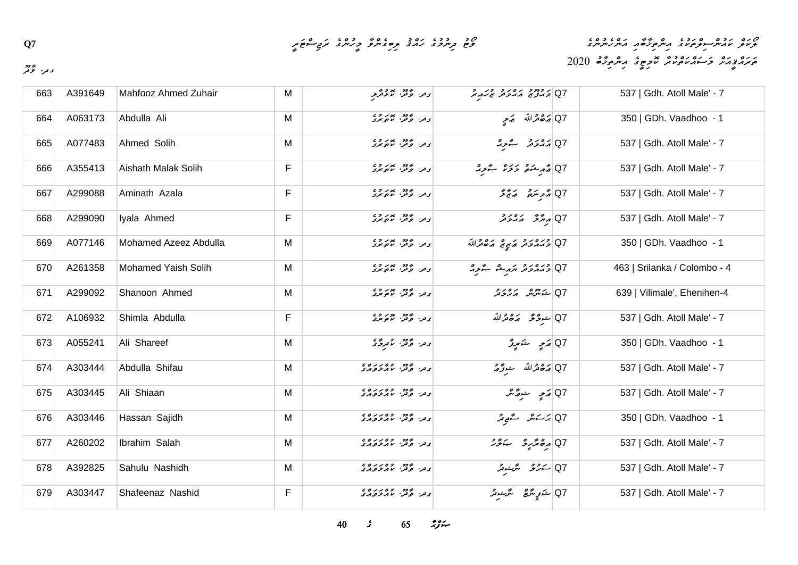*sCw7q7s5w7m< o<n9nOoAw7o< sCq;mAwBoEw7q<m; wBm;vB* م من المرة المرة المرة المرجع المرجع المرجع في 2020<br>مجم*د المريض المرجع المرجع المرجع المرجع المراجع المراجع الم*رجع

| 663 | A391649 | Mahfooz Ahmed Zuhair       | M           | دىرا ئۇتۇ، ئابرىترىچ                                          | Q7 <i>בֿגُצָ״ ג׳ג'כ</i> בּל <i>הַצ</i> ֹת <i>ג</i> | 537   Gdh. Atoll Male' - 7   |
|-----|---------|----------------------------|-------------|---------------------------------------------------------------|----------------------------------------------------|------------------------------|
| 664 | A063173 | Abdulla Ali                | M           | وفر وقران ده.<br>وفرا وگرا مامونوی                            | Q7 مَەھمَّدَاللە مَەمِ                             | 350   GDh. Vaadhoo - 1       |
| 665 | A077483 | Ahmed Solih                | M           | وتر ودو برد و ع<br>وتر وگر لاه مرد                            | Q7 <i>مەندى ئىشى بى</i>                            | 537   Gdh. Atoll Male' - 7   |
| 666 | A355413 | Aishath Malak Solih        | $\mathsf F$ | دىن ئۇدىق بىرىدى<br>دىن ئۇنىش ئامىمىرى                        | Q7 مەم شەھ كەنزە سەر                               | 537   Gdh. Atoll Male' - 7   |
| 667 | A299088 | Aminath Azala              | F           | وتر ودو.<br>وتر وگر، مانو برو                                 | Q7 مُّحِسَمَةٌ صَنَّحَّةٌ                          | 537   Gdh. Atoll Male' - 7   |
| 668 | A299090 | Iyala Ahmed                | F           | وفر و دو بور و ع<br>وفر گوتر، ما مونوی                        | Q7 م <i>ېنگى كى</i> رىمى                           | 537   Gdh. Atoll Male' - 7   |
| 669 | A077146 | Mohamed Azeez Abdulla      | M           | وفر ودو مور و ع<br>وفر گوتر، ما موسری                         | Q7 <i>وُبَهُ دَو مَيِّ</i> مَصْعَرْ اللَّه         | 350   GDh. Vaadhoo - 1       |
| 670 | A261358 | <b>Mohamed Yaish Solih</b> | M           | وتر ودو بور و ،<br>وتر وگر نامونزی                            | Q7 <i>دېنم</i> وتر <sub>مکم</sub> ثر جگوبر         | 463   Srilanka / Colombo - 4 |
| 671 | A299092 | Shanoon Ahmed              | M           | وتر وده برد د د .<br>وتر وګر نامونزی                          | Q7 شەيرىش كەردىتى                                  | 639   Vilimale', Ehenihen-4  |
| 672 | A106932 | Shimla Abdulla             | F           | و در دو برد د د د<br>د در گرفر، ما می برد                     | Q7 حو <i>دٌ مَ‰مَ</i> رَاللّه                      | 537   Gdh. Atoll Male' - 7   |
| 673 | A055241 | Ali Shareef                | M           | ى تىر بە ئەتى با ئىرىگى ئ                                     | Q7 <i>ھَ۔</i> جَسِرُوُ                             | 350   GDh. Vaadhoo - 1       |
| 674 | A303444 | Abdulla Shifau             | M           | وتر وور وه دره و.<br>وتر وتر، ممروم و                         | Q7 كەڭ ئىر <i>ۇ ئ</i>                              | 537   Gdh. Atoll Male' - 7   |
| 675 | A303445 | Ali Shiaan                 | M           | وتر وود وه دره ع<br>وتر وتر مار دوارد                         | Q7 <i>ھَ۔</i> مُش <i>وَّمَّہُ</i>                  | 537   Gdh. Atoll Male' - 7   |
| 676 | A303446 | Hassan Sajidh              | M           | وتر وود وه رده ع<br>دتر وتر به دیو در                         | Q7   پرستريس مست <i>نفي فر</i>                     | 350   GDh. Vaadhoo - 1       |
| 677 | A260202 | Ibrahim Salah              | M           | وتر وده وه رده ع<br>وتر وتر مارگواری                          | $2.52 - 2.22$                                      | 537   Gdh. Atoll Male' - 7   |
| 678 | A392825 | Sahulu Nashidh             | M           | وتر. ودو. وه دره ده د<br>دند. وتر، مارگرواری                  | Q7 كەرگە گرىش <sub>ى</sub> تىر                     | 537   Gdh. Atoll Male' - 7   |
| 679 | A303447 | Shafeenaz Nashid           | F           | وتر· و <sup>و</sup> د وه دره ع<br>وتر· وتر· مان <i>نوون</i> و | Q7 ڪوپر مگھ گرھونڈ                                 | 537   Gdh. Atoll Male' - 7   |

*40 s* 65 *if*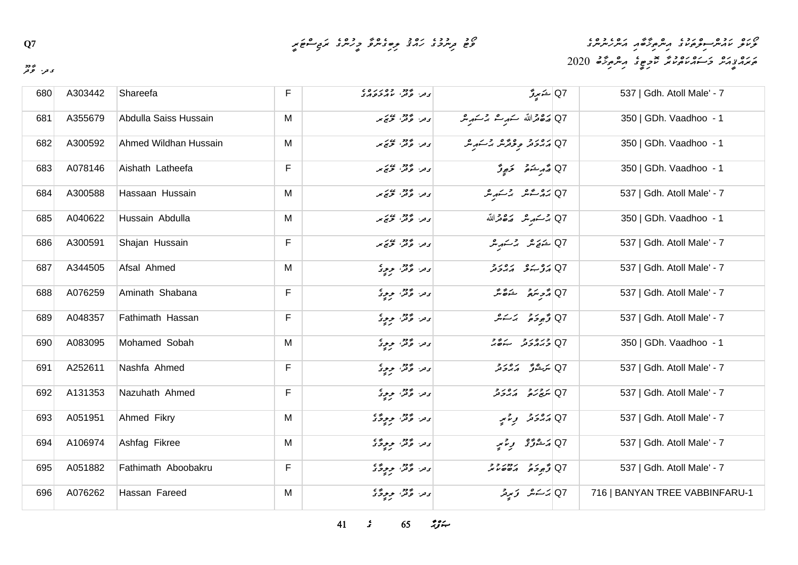*sCw7q7s5w7m< o<n9nOoAw7o< sCq;mAwBoEw7q<m; wBm;vB* م من المرة المرة المرة المرجع المرجع المرجع في 2020<br>مجم*د المريض المرجع المرجع المرجع المرجع المراجع المراجع الم*رجع

| 680 | A303442 | Shareefa              | $\mathsf{F}$ | وتر وي ده درده ع<br>دن وتر مارنده د | Q7 شمېرتز                                                       | 537   Gdh. Atoll Male' - 7     |
|-----|---------|-----------------------|--------------|-------------------------------------|-----------------------------------------------------------------|--------------------------------|
| 681 | A355679 | Abdulla Saiss Hussain | M            | دىن ئۇقتى، ئۆتكەير                  | Q7   مَدْ قَدْ اللَّهُ سَمَّدِ شَهْ مِرْسَمَةٍ مِرْسَمَّةٍ مِدْ | 350   GDh. Vaadhoo - 1         |
| 682 | A300592 | Ahmed Wildhan Hussain | M            | ى قريبى ئەيم ئىق ئىق ئىق ئىق ئىق    | Q7 <i>ב جادة مو جو محمد بر سكو</i> مر                           | 350   GDh. Vaadhoo - 1         |
| 683 | A078146 | Aishath Latheefa      | $\mathsf F$  | ى تىر بەردە كەن ئىر                 | Q7 مەم شىم ئىمب <i>و</i> گە                                     | 350   GDh. Vaadhoo - 1         |
| 684 | A300588 | Hassaan Hussain       | M            | ى قراشىچە كۆكى ئىر                  | Q7   ئەرگە شەر ئەسكەر ش                                         | 537   Gdh. Atoll Male' - 7     |
| 685 | A040622 | Hussain Abdulla       | M            | ى تىر بەردە كەن ئىر                 | Q7 يُرْسَمَ مِيْدِ مَدَّةَ قَدْ اللّه                           | 350   GDh. Vaadhoo - 1         |
| 686 | A300591 | Shajan Hussain        | F            | ى تىر بەردە كۆكى ئىر                | Q7 شوَمَ ش پر شر پر شر                                          | 537   Gdh. Atoll Male' - 7     |
| 687 | A344505 | Afsal Ahmed           | M            | دىن گەش مەمەر                       | Q7 كەنۇب كۈن كەردىتى (                                          | 537   Gdh. Atoll Male' - 7     |
| 688 | A076259 | Aminath Shabana       | $\mathsf F$  | دىر. ئۇنى، مومۇر                    | Q7 مُرْحِسَمُ شَعَّسَّ                                          | 537   Gdh. Atoll Male' - 7     |
| 689 | A048357 | Fathimath Hassan      | $\mathsf{F}$ | دىن گەنتى مومور                     | Q7 <i>وُّجِوحَةْ بَرَسَ</i> سَّر                                | 537   Gdh. Atoll Male' - 7     |
| 690 | A083095 | Mohamed Sobah         | M            | ى قىزا ئەڭگە ئىم قويى               | $222 - 222 = 0$                                                 | 350   GDh. Vaadhoo - 1         |
| 691 | A252611 | Nashfa Ahmed          | F            | دىن ئۇقۇ، مومۇر                     | Q7 سَ <i>رَحْوَدٌ مَدْوَ</i> مَرُ                               | 537   Gdh. Atoll Male' - 7     |
| 692 | A131353 | Nazuhath Ahmed        | $\mathsf{F}$ | ى قىزا ئەڭگە ئىم قويى               | Q7 سَيِّ <i>کَهُمْ مَدْدُوَمْ</i>                               | 537   Gdh. Atoll Male' - 7     |
| 693 | A051951 | Ahmed Fikry           | M            | ءَ ۽ وُٽڻ جِجوڙَءُ                  | Q7 <i>مَدْدْ دَمْ</i> بِرِ مِمْ بِرِ                            | 537   Gdh. Atoll Male' - 7     |
| 694 | A106974 | Ashfag Fikree         | M            | ىلا ئۇن مەمەنى                      | Q7 كەشترىق بور <sup>ق</sup> ىيە                                 | 537   Gdh. Atoll Male' - 7     |
| 695 | A051882 | Fathimath Aboobakru   | $\mathsf F$  | ءَ ۽ وُٽڻ جِجوڙَءُ                  | $27.772$ $29.792$ $29.792$ $29.792$                             | 537   Gdh. Atoll Male' - 7     |
| 696 | A076262 | Hassan Fareed         | M            | ىلا ئۇن بېرگە                       | Q7   پرسترين کو تر تر مريقر<br> -                               | 716   BANYAN TREE VABBINFARU-1 |

 $41$  *s*  $65$  *n***<sub>3</sub>**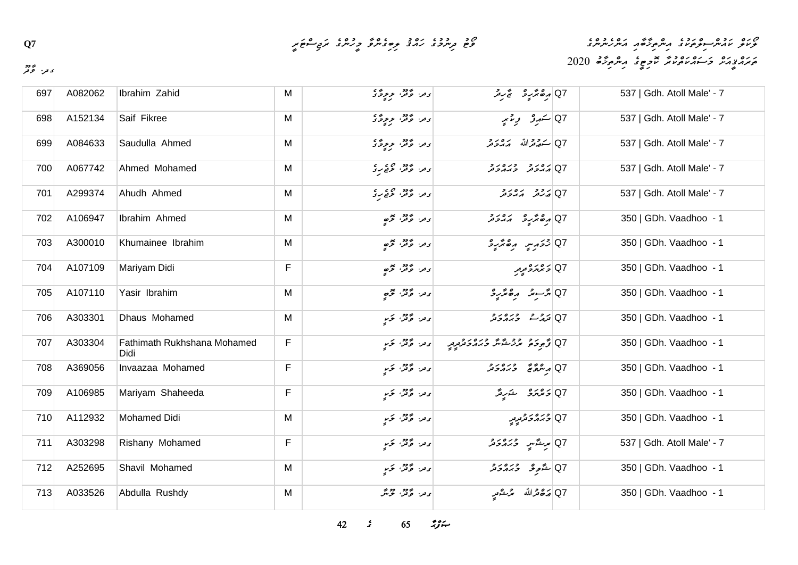*sCw7q7s5w7m< o<n9nOoAw7o< sCq;mAwBoEw7q<m; wBm;vB* م من المرة المرة المرة المرجع المرجع المرجع في 2020<br>مجم*د المريض المرجع المرجع المرجع المرجع المراجع المراجع الم*رجع

| 697 | A082062 | Ibrahim Zahid                       | M           | دىرا ئۇتۇ، جەچرىگى             | Q7 <i>مەھەتمەي</i> ھەممىتى ئى                                    | 537   Gdh. Atoll Male' - 7 |
|-----|---------|-------------------------------------|-------------|--------------------------------|------------------------------------------------------------------|----------------------------|
| 698 | A152134 | Saif Fikree                         | M           | رىر. ئۇقۇ، م <i>وم</i> ۇكى     | Q7 ڪهرو وي <sup>و</sup> مير                                      | 537   Gdh. Atoll Male' - 7 |
| 699 | A084633 | Saudulla Ahmed                      | M           | رىر ئۇن <i>ى موۋ</i> كى        | Q7 خصورالله م <i>م</i> حدومر                                     | 537   Gdh. Atoll Male' - 7 |
| 700 | A067742 | Ahmed Mohamed                       | M           | ى تەربىي ھەربى كى ئىچ ئىرى كى  | Q7 <i>הُגُوَنَّرَ وَبُرُوَنَّرَ</i>                              | 537   Gdh. Atoll Male' - 7 |
| 701 | A299374 | Ahudh Ahmed                         | M           | ى تەرەپىي ئەن ئى               | Q7 كەرتى <i>گە كەنگە</i> تتىر                                    | 537   Gdh. Atoll Male' - 7 |
| 702 | A106947 | Ibrahim Ahmed                       | M           | ى تىر بەدە بىيى بىي            | Q7 رەئ <i>ۇر 3 مەدە</i> ر                                        | 350   GDh. Vaadhoo - 1     |
| 703 | A300010 | Khumainee Ibrahim                   | M           | <sub>ى</sub> تەرەب ئىچ تە      | Q7 <i>جُوَم</i> ِسِ مِرْھَمَّر <sub>ِ ج</sub> ُو                 | 350   GDh. Vaadhoo - 1     |
| 704 | A107109 | Mariyam Didi                        | $\mathsf F$ | ى تىر بەدە بىيى بىي            | Q7 كەنگە <i>كەنگە</i> ئەربىر                                     | 350   GDh. Vaadhoo - 1     |
| 705 | A107110 | Yasir Ibrahim                       | M           | <sub>ى</sub> بەر بەدە بەدە بەل | Q7 اگرىسى ئەھەمگە <i>پ</i> ى                                     | 350   GDh. Vaadhoo - 1     |
| 706 | A303301 | Dhaus Mohamed                       | M           | ا دىن ئەدە كەن با              | Q7 مَ <i>دَمْ</i> - مِيَ مُرْدَمْر                               | 350   GDh. Vaadhoo - 1     |
| 707 | A303304 | Fathimath Rukhshana Mohamed<br>Didi | $\mathsf F$ | دىن گەنتر) كەنب                | Q7 <i>وُهِ وَهُمْ مُرْجَسَةٌ مَّنْ وَبَرَ وَ</i> وَمِرْمَرِ مِرْ | 350   GDh. Vaadhoo - 1     |
| 708 | A369056 | Invaazaa Mohamed                    | F           | دىن گەنتى كەن                  | Q7 مِسْرَقَةً وَيَدْوَيْرَ                                       | 350   GDh. Vaadhoo - 1     |
| 709 | A106985 | Mariyam Shaheeda                    | $\mathsf F$ | ى قرار ئەدەر كى تىل            | Q7 ك <i>ى تەرەڭ</i> رى <i>گە</i>                                 | 350   GDh. Vaadhoo - 1     |
| 710 | A112932 | <b>Mohamed Didi</b>                 | M           | ى قرار ئەقىرا كىمىيە           | Q7 <i>وُټرو کو تر</i> توپو                                       | 350   GDh. Vaadhoo - 1     |
| 711 | A303298 | Rishany Mohamed                     | F           | ا دىن ئەدە كەن با              | Q7 مرڪس <i>ڏندون</i> گر                                          | 537   Gdh. Atoll Male' - 7 |
| 712 | A252695 | Shavil Mohamed                      | M           | ا دىن ئەدە كەنب                | Q7 حَمَّمِ وَمَحْمَدَ مِنْ الْمَدَّوَمُ                          | 350   GDh. Vaadhoo - 1     |
| 713 | A033526 | Abdulla Rushdy                      | M           | ى قرار مۇقىرا مەھمىگى          | Q7 كەھەراللە كرىش <sup>و</sup> ىر                                | 350   GDh. Vaadhoo - 1     |

*42 s* 65  $2.94$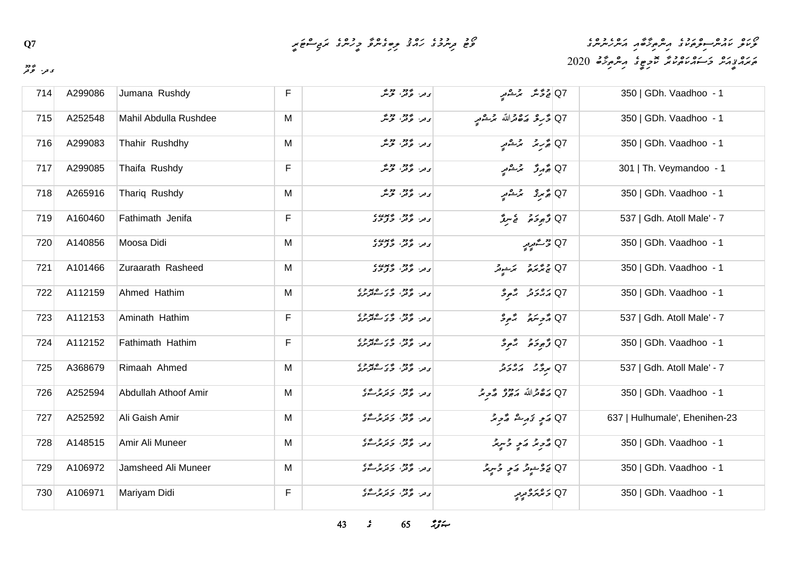*sCw7q7s5w7m< o<n9nOoAw7o< sCq;mAwBoEw7q<m; wBm;vB* م من المرة المرة المرة المرجع المرجع المرجع في 2020<br>مجم*د المريض المرجع المرجع المرجع المرجع المراجع المراجع الم*رجع

| 714 | A299086 | Jumana Rushdy         | $\mathsf F$ | ى بىر بەشتى بوش                                   | Q7 <i>ف<sub>َ</sub> وَنَّسَّى بِرَّ</i> حْسِ                                                                                                                                                                         | 350   GDh. Vaadhoo - 1        |
|-----|---------|-----------------------|-------------|---------------------------------------------------|----------------------------------------------------------------------------------------------------------------------------------------------------------------------------------------------------------------------|-------------------------------|
| 715 | A252548 | Mahil Abdulla Rushdee | M           | ى قرار مۇقىرا مەھمىگى                             | Q7   قَرَّرِ قَرْ مَرْدَة مِنْ مَرْ شَمْرِ                                                                                                                                                                           | 350   GDh. Vaadhoo - 1        |
| 716 | A299083 | Thahir Rushdhy        | M           | ى قراشى ئەقتى بۇ ئەنگە                            | Q7 ۾ <i>پرينھ پر م</i> شھورِ                                                                                                                                                                                         | 350   GDh. Vaadhoo - 1        |
| 717 | A299085 | Thaifa Rushdy         | $\mathsf F$ | ى مەس گەنتى كەشىگە                                | Q7 ب <i>ۇرۇ بر</i> ش <sup>و</sup> ىيە                                                                                                                                                                                | 301   Th. Veymandoo - 1       |
| 718 | A265916 | Thariq Rushdy         | M           | ى قريبى ئەقتى بۇ ئەش                              | Q7 ۾ <i>مرڏ پر هيورِ</i>                                                                                                                                                                                             | 350   GDh. Vaadhoo - 1        |
| 719 | A160460 | Fathimath Jenifa      | $\mathsf F$ |                                                   | Q7 تَ <i>مُّوحَة</i> فَسِنَّ                                                                                                                                                                                         | 537   Gdh. Atoll Male' - 7    |
| 720 | A140856 | Moosa Didi            | M           | وتر ود ورد دره<br>دتر وتر وزنر                    | Q7 تر گەرىر                                                                                                                                                                                                          | 350   GDh. Vaadhoo - 1        |
| 721 | A101466 | Zuraarath Rasheed     | M           | و در دود و دوه ده<br>و در گرفتر، گرفر د           | Q7 كى ئىرىمۇ ھىرىشونىر                                                                                                                                                                                               | 350   GDh. Vaadhoo - 1        |
| 722 | A112159 | Ahmed Hathim          | M           | و در دود.<br>و در گوتر، گوی سوتر برو              | Q7 <i>كەندى كىم</i>                                                                                                                                                                                                  | 350   GDh. Vaadhoo - 1        |
| 723 | A112153 | Aminath Hathim        | $\mathsf F$ | وتر گروه کار ویووه<br>وتر گرفتر گروگوتری          | Q7 مُجِسَعْهِ مُحْمِرْ                                                                                                                                                                                               | 537   Gdh. Atoll Male' - 7    |
| 724 | A112152 | Fathimath Hathim      | $\mathsf F$ | ړي په ده.<br>دې وگټن ورسونورۍ                     | Q7 <i>وُّجِوَدَة</i> يُرْجِرُ                                                                                                                                                                                        | 350   GDh. Vaadhoo - 1        |
| 725 | A368679 | Rimaah Ahmed          | M           | و در دود ور و دو د و د<br>و در گوتر، گور سوتر برو | Q7 بردً <sup>م</sup> به بردونر                                                                                                                                                                                       | 537   Gdh. Atoll Male' - 7    |
| 726 | A252594 | Abdullah Athoof Amir  | M           | وتر کافر، و در و به ع<br>وتر، وتر، وتریز کو       | Q7 مَءْمَّراللَّهُ مَعْوَفِ مَحْرَمَّد                                                                                                                                                                               | 350   GDh. Vaadhoo - 1        |
| 727 | A252592 | Ali Gaish Amir        | M           | وتر کوتر، ترتر و به ع<br>وتر، گوتر، ترتربر دی     | Q7 كەيپ تۇم <sup>رىق</sup> ە گە <i>چ ب</i> ۇ                                                                                                                                                                         | 637   Hulhumale', Ehenihen-23 |
| 728 | A148515 | Amir Ali Muneer       | M           | ړين ده رره ده.<br>دې وې وېرس                      | Q7 <i>مُّ جِنْدُ مَ</i> يْرِ دُسِيْدُ                                                                                                                                                                                | 350   GDh. Vaadhoo - 1        |
| 729 | A106972 | Jamsheed Ali Muneer   | M           | دىر بەدە بەر دېرى<br>دىر ئۆتر، ئەتىرىرسى          | Q7 في الله عليه من الله عليه الله عليه من الله عليه الله عليه الله عليه الله عليه الله عليه الله عل<br>الله عليه الله عليه الله عليه الله عليه الله عليه الله عليه الله عليه الله عليه الله عليه الله عليه الله عليه | 350   GDh. Vaadhoo - 1        |
| 730 | A106971 | Mariyam Didi          | F           | رىر گ <sup>ەدە</sup> بەر جەم كەن                  | Q7   <i>ئەنگەۋەرىر</i>                                                                                                                                                                                               | 350   GDh. Vaadhoo - 1        |

*43 s* 65  $23 \div$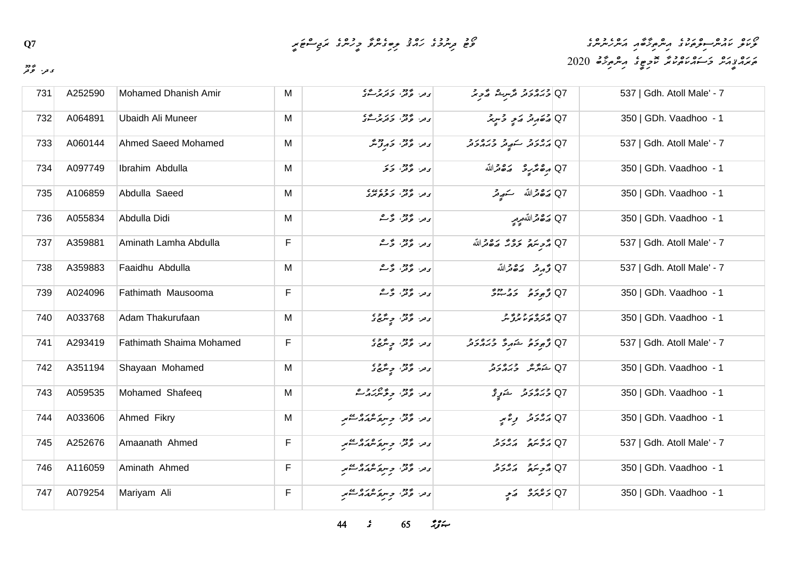*sCw7q7s5w7m< o<n9nOoAw7o< sCq;mAwBoEw7q<m; wBm;vB* م من المرة المرة المرة المرجع المرجع المرجع في 2020<br>مجم*د المريض المرجع المرجع المرجع المرجع المراجع المراجع الم*رجع

| 731 | A252590 | <b>Mohamed Dhanish Amir</b>     | M           | ى قرار ئەدەر بەر ئەرەپ ئە                  | Q7 <i>وَبَهُ دَوَدٌ</i> مُرْسِيْ مُ <i>وَج</i> َرٌ                                                                       | 537   Gdh. Atoll Male' - 7 |
|-----|---------|---------------------------------|-------------|--------------------------------------------|--------------------------------------------------------------------------------------------------------------------------|----------------------------|
| 732 | A064891 | <b>Ubaidh Ali Muneer</b>        | M           | وفر کوتر، برتر و بره<br>وفر، برقر، برفرسری | Q7 مُقدِمٌ مَدٍ دُسٍدٌ                                                                                                   | 350   GDh. Vaadhoo - 1     |
| 733 | A060144 | Ahmed Saeed Mohamed             | M           | ى تەرەپ ئەرەپ ئەرەپ ئىس                    | Q7 <i>גُرُوَنْډَ ڪُمِينَڊَ وُبُرُوُدَنَ</i> رُ                                                                           | 537   Gdh. Atoll Male' - 7 |
| 734 | A097749 | Ibrahim Abdulla                 | M           | ى قراڭ ئەنجى                               | Q7 م <i>ِ جُمَّرِ جَ</i> مَحَمَّدَاللَّه                                                                                 | 350   GDh. Vaadhoo - 1     |
| 735 | A106859 | Abdulla Saeed                   | M           | وفر دور دوره<br>دفر گرفر، مروم دی          | Q7 كەچ قراللە كىم <i>رى</i> تر                                                                                           | 350   GDh. Vaadhoo - 1     |
| 736 | A055834 | Abdulla Didi                    | M           | ى تىر، ئۇتۇ، ئۇ س                          | Q7 كەڭ قىراللەمبەمبر                                                                                                     | 350   GDh. Vaadhoo - 1     |
| 737 | A359881 | Aminath Lamha Abdulla           | $\mathsf F$ | ى تىر، ئۇتۇ، ئۇ سە                         | Q7 أَمَّ مِسَعْدٍ حَرْبٌ أَمَّاهُ مِنْ اللَّهُ                                                                           | 537   Gdh. Atoll Male' - 7 |
| 738 | A359883 | Faaidhu Abdulla                 | M           | ى تىر بە ئۆتى ئەشكە                        | Q7 تَرْمِعْرُ صَ <del>صْ</del> عْرَاللَّه                                                                                | 537   Gdh. Atoll Male' - 7 |
| 739 | A024096 | Fathimath Mausooma              | $\mathsf F$ | ى تىر بەقتى بۇ ھ                           | $\int \frac{3\pi}{2\pi} \frac{3}{4} \frac{3}{2} \frac{3}{2} \frac{3}{2} \frac{3}{2} \frac{3}{2} \frac{3}{2} \frac{3}{2}$ | 350   GDh. Vaadhoo - 1     |
| 740 | A033768 | Adam Thakurufaan                | M           | ر در گرده و شود و                          | Q7 گەنىر <i>ە مەمرۇ</i> بىر                                                                                              | 350   GDh. Vaadhoo - 1     |
| 741 | A293419 | <b>Fathimath Shaima Mohamed</b> | $\mathsf F$ | ر در گرده و شود و                          | Q7 زُّەدە ئۇرۇ دېرەرد                                                                                                    | 537   Gdh. Atoll Male' - 7 |
| 742 | A351194 | Shayaan Mohamed                 | M           | ړی وو.<br>دی وګڼ <i>و</i> س د              | Q7 شەرىش <i>دىن</i> ەرد                                                                                                  | 350   GDh. Vaadhoo - 1     |
| 743 | A059535 | Mohamed Shafeeq                 | M           | ى تەرەپ ئۆسىدە ئە                          | Q7 <i>\$نەۋەقر خۇنى</i> \$                                                                                               | 350   GDh. Vaadhoo - 1     |
| 744 | A033606 | Ahmed Fikry                     | M           | وفر و فر و سره سره د مند د سومر            | Q7 <i>مَدْدْدَ</i> تَرَ وِتْدَ بِهِ                                                                                      | 350   GDh. Vaadhoo - 1     |
| 745 | A252676 | Amaanath Ahmed                  | F           | وفر و فر و سره سره د مند د سومر            | Q7 كەڭ شەر بەر دىر                                                                                                       | 537   Gdh. Atoll Male' - 7 |
| 746 | A116059 | Aminath Ahmed                   | F           | ى قرار ئۇقرار قاسمە ئەرەك ئەير             | Q7 مُجِسَعَة مَ <sup>ر</sup> ْدَخَّة                                                                                     | 350   GDh. Vaadhoo - 1     |
| 747 | A079254 | Mariyam Ali                     | F           | ودر المجمع وسر من المرد المعدد المستور     |                                                                                                                          | 350   GDh. Vaadhoo - 1     |

*44 sC 65 nNw?mS*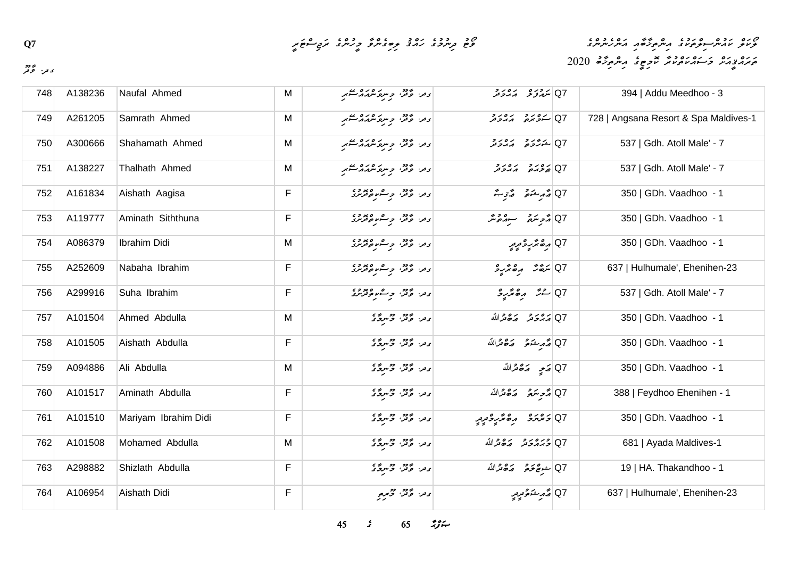*sCw7q7s5w7m< o<n9nOoAw7o< sCq;mAwBoEw7q<m; wBm;vB* م من المرة المرة المرة المرجع المرجع المرجع في 2020<br>مجم*د المريض المرجع المرجع المرجع المرجع المراجع المراجع الم*رجع

| 748 | A138236 | Naufal Ahmed         | M            | رىر ئەدە ئەسرى مەدەب كەر                        | Q7 <i>سَمْرُوَ \$ مَدْوَ</i> مْر           | 394   Addu Meedhoo - 3                |
|-----|---------|----------------------|--------------|-------------------------------------------------|--------------------------------------------|---------------------------------------|
| 749 | A261205 | Samrath Ahmed        | M            | وفر المجمج والمتحرم والمحصور المحتجر            | Q7 كەنزىر <i>ە</i> مەددىر                  | 728   Angsana Resort & Spa Maldives-1 |
| 750 | A300666 | Shahamath Ahmed      | M            | وفرز المحمد المستحصر والمستحصر                  | Q7 خىر <i>گە ئەرەر بەر ئى</i> ر            | 537   Gdh. Atoll Male' - 7            |
| 751 | A138227 | Thalhath Ahmed       | M            | دىن كۆتى، جەسھەسمەرە مەر                        | Q7 ي <i>ؤدية بدور</i> و                    | 537   Gdh. Atoll Male' - 7            |
| 752 | A161834 | Aishath Aagisa       | F            | دىن ئۇتۇ، بەسەھ تەرەپ                           | Q7 <i>مُّ مِ</i> شَمَّةً مُّ تَّحِبَّةً مُ | 350   GDh. Vaadhoo - 1                |
| 753 | A119777 | Aminath Siththuna    | $\mathsf F$  | دىر. ئۇنىر، ئەسرەپردە<br>دىر. ئۇنىر، ئەسرەپەردى | 07 أ <i>مُّ</i> حِسَمُ سِيْهِ مِنْ         | 350   GDh. Vaadhoo - 1                |
| 754 | A086379 | Ibrahim Didi         | M            | دىن ئۇتر، ئەسم ئەھەدە                           | Q7   م <i>وڭ مُدَّرٍ د</i> ُّ مَرِ مَرِ    | 350   GDh. Vaadhoo - 1                |
| 755 | A252609 | Nabaha Ibrahim       | F            | دىر. ئۇنىر، ئەسمىدە دەپرە دە                    | Q7 سَقَّةً م <b>ُ</b> مُحَمَّدٍ فِي        | 637   Hulhumale', Ehenihen-23         |
| 756 | A299916 | Suha Ibrahim         | F            | دىن ئۇنىز، بېرىقىدىن ئ                          | Q7 كەنئە مەھم <i>گەي</i> ى                 | 537   Gdh. Atoll Male' - 7            |
| 757 | A101504 | Ahmed Abdulla        | M            | ى تەرەپ ئۇس ئەرە                                | Q7 كەبروتىر كەھ قىراللە                    | 350   GDh. Vaadhoo - 1                |
| 758 | A101505 | Aishath Abdulla      | $\mathsf F$  | ړی وو.<br>دین گرنس کرسرگرۍ                      | Q7 مُجمِّدَة مَ <b>صَوَّ</b> اللّه         | 350   GDh. Vaadhoo - 1                |
| 759 | A094886 | Ali Abdulla          | M            | ى تەرەپ ئۇسرى                                   | Q7 <i>مَجِ مَ§مَّ</i> رَاللَّه             | 350   GDh. Vaadhoo - 1                |
| 760 | A101517 | Aminath Abdulla      | $\mathsf F$  | ى تىر بەردە بەر ئەرە                            | Q7 مُرْحِ مَدَّة مُتَّاهَ مِنْ اللَّهُ     | 388   Feydhoo Ehenihen - 1            |
| 761 | A101510 | Mariyam Ibrahim Didi | $\mathsf{F}$ | ى تەرەپ ئۇس ئەرە                                | Q7 <i>كەنگەڭ مەھەر كەنگە</i> ر             | 350   GDh. Vaadhoo - 1                |
| 762 | A101508 | Mohamed Abdulla      | M            | ى تەرەپ ئۇسرىمى                                 | Q7 <i>وَبَهُ وَمَنْ مَ</i> هُ مِّرَاللّه   | 681   Ayada Maldives-1                |
| 763 | A298882 | Shizlath Abdulla     | F            | ى تىر بەلەر ئەسرىگە ئ                           | Q7 جو يحركو محرك الله                      | 19   HA. Thakandhoo - 1               |
| 764 | A106954 | Aishath Didi         | F            | ى قراشى ئەتەر ئەرەپىيە ئە                       | Q7 <mark>مُ</mark> مرِڪوم <sub>و</sub> يدِ | 637   Hulhumale', Ehenihen-23         |

*45 sC 65 nNw?mS*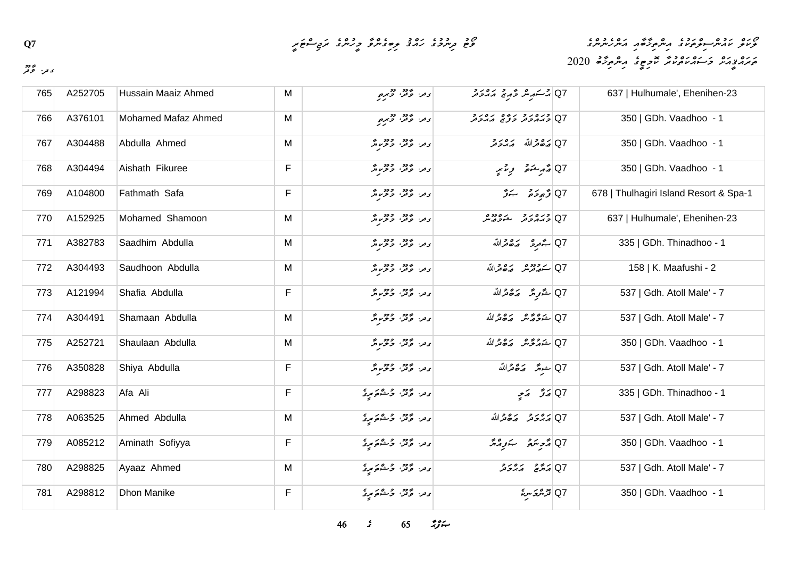*sCw7q7s5w7m< o<n9nOoAw7o< sCq;mAwBoEw7q<m; wBm;vB* م من المرة المرة المرة المرجع المرجع المرجع في 2020<br>مجم*د المريض المرجع المرجع المرجع المرجع المراجع المراجع الم*رجع

| 765 | A252705 | Hussain Maaiz Ahmed | M            | دين المحمد المحمومي                                                                                                                                                                                                    | Q7 يُرْسَمبِ شُرْ وَمِهِ فَي مَدْوَمْرُ    | 637   Hulhumale', Ehenihen-23          |
|-----|---------|---------------------|--------------|------------------------------------------------------------------------------------------------------------------------------------------------------------------------------------------------------------------------|--------------------------------------------|----------------------------------------|
| 766 | A376101 | Mohamed Mafaz Ahmed | M            | ر مرد مرد از در در برابر به این مردم برابر با این برابر برابر با این برابر با این برابر با این برابر<br>مرد با این برابر با این برابر با این برابر با این برابر با این برابر با این برابر با این برابر با این برابر با | Q7 כגלכת כנים גם כל                        | 350   GDh. Vaadhoo - 1                 |
| 767 | A304488 | Abdulla Ahmed       | M            | ى تىر بەدە بەدە بەرگە                                                                                                                                                                                                  | Q7 مَەْقَرَاللَّهُ مَ <sup>رُ</sup> رَتْرَ | 350   GDh. Vaadhoo - 1                 |
| 768 | A304494 | Aishath Fikuree     | $\mathsf F$  | ى تەرەپ ئەيدىنى ئەيدىن                                                                                                                                                                                                 | Q7 <i>مەم ھۇھۇرىرىمى</i> ر                 | 350   GDh. Vaadhoo - 1                 |
| 769 | A104800 | Fathmath Safa       | $\mathsf{F}$ | ى تەرەپ ئەقتى ئەرەپ ئە                                                                                                                                                                                                 | Q7 <i>وَّجِودَةْ</i> سَدَرَّ               | 678   Thulhagiri Island Resort & Spa-1 |
| 770 | A152925 | Mohamed Shamoon     | M            | دىر. ئۇتى، <i>5 دەھ</i><br>دىر. ئۇتى، <i>5 <del>د</del>ىم</i> ىل                                                                                                                                                       | $07$ $0.000$ $0.000$ $0.000$               | 637   Hulhumale', Ehenihen-23          |
| 771 | A382783 | Saadhim Abdulla     | M            | ى تەرەپ ئەقتى بەر                                                                                                                                                                                                      | Q7 جَمْعَرِ 2 مَرْكَ مَرْاللّه             | 335   GDh. Thinadhoo - 1               |
| 772 | A304493 | Saudhoon Abdulla    | M            | ى تىر بەدە بەدە بەرگە                                                                                                                                                                                                  | Q7 كەرتىرىش مەھىراللە                      | 158   K. Maafushi - 2                  |
| 773 | A121994 | Shafia Abdulla      | $\mathsf F$  | ى تەرەپ ئەقرىم بىر                                                                                                                                                                                                     | Q7 شَوَمِرَّ صَ <b>صَدَ</b> اللَّه         | 537   Gdh. Atoll Male' - 7             |
| 774 | A304491 | Shamaan Abdulla     | M            | ى تەرەپ ئەقتى ئەرەپ ئە                                                                                                                                                                                                 | Q7 خَوْصُرْ صَدَّقْرَاللَّه                | 537   Gdh. Atoll Male' - 7             |
| 775 | A252721 | Shaulaan Abdulla    | M            | ى تەرەپ ئەقتى بەر                                                                                                                                                                                                      | Q7 خەرگەش ھەقراللە                         | 350   GDh. Vaadhoo - 1                 |
| 776 | A350828 | Shiya Abdulla       | F            | ى تەرەپ ئەقتى بەر                                                                                                                                                                                                      | Q7 حجو <i>ماً ضرفته الله</i>               | 537   Gdh. Atoll Male' - 7             |
| 777 | A298823 | Afa Ali             | F            | وتر به دو ده در د.<br>وتر کوتر و شوه مرد                                                                                                                                                                               | Q7 <i>مَرَقَ مَ</i> حِ                     | 335   GDh. Thinadhoo - 1               |
| 778 | A063525 | Ahmed Abdulla       | M            | ومن کومن کا مشخص مورد.<br>اومن کومن کا مشخص مورد                                                                                                                                                                       | Q7 كەبروتر كەھەرللە                        | 537   Gdh. Atoll Male' - 7             |
| 779 | A085212 | Aminath Sofiyya     | F            | ومن کومن کا مشخص مورد.<br>اومن کومن کا مشخص مورد                                                                                                                                                                       | Q7 مۇجەنىھ س <i>ەرەم</i> گە                | 350   GDh. Vaadhoo - 1                 |
| 780 | A298825 | Ayaaz Ahmed         | M            | ا د مرد ده د د د د د د د د د د د د د                                                                                                                                                                                   | Q7 كەنگە كەنگە <i>كەنگە</i> كەنگە          | 537   Gdh. Atoll Male' - 7             |
| 781 | A298812 | <b>Dhon Manike</b>  | F            | وتر کوتر، وشوکوتری                                                                                                                                                                                                     | Q7   قريفرنجسرين <u>ا</u>                  | 350   GDh. Vaadhoo - 1                 |

*46 s* 65  $23\div$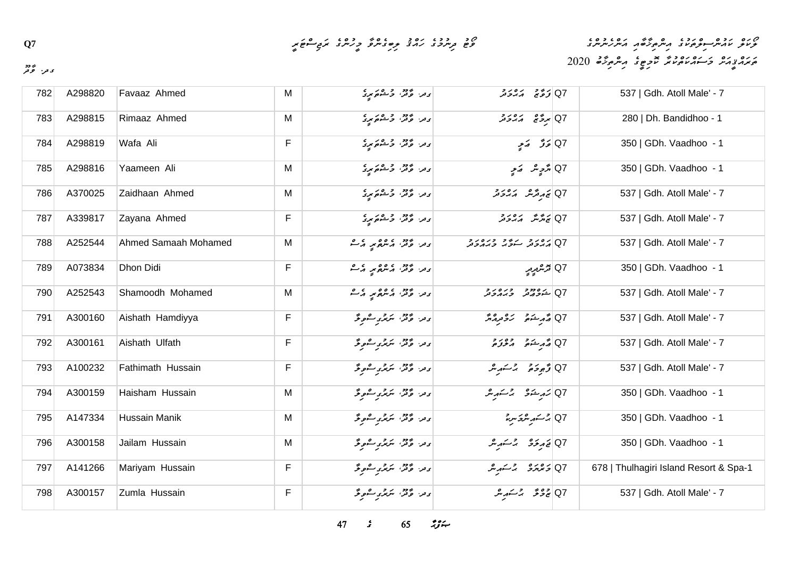*sCw7q7s5w7m< o<n9nOoAw7o< sCq;mAwBoEw7q<m; wBm;vB* م من المرة المرة المرة المرجع المرجع المرجع في 2020<br>مجم*د المريض المرجع المرجع المرجع المرجع المراجع المراجع الم*رجع

| 782 | A298820 | Favaaz Ahmed         | M           | ى قرار ئەدەر ئەھمىرى                                         | Q7 <i>وَوَّج مَدْوَنْد</i>          | 537   Gdh. Atoll Male' - 7             |
|-----|---------|----------------------|-------------|--------------------------------------------------------------|-------------------------------------|----------------------------------------|
| 783 | A298815 | Rimaaz Ahmed         | M           | د در او در در در در در در این است.<br>او در او در او شوه مرد | Q7 بردٌ مَجْ دَرَ مَرَ مَدَ         | 280   Dh. Bandidhoo - 1                |
| 784 | A298819 | Wafa Ali             | $\mathsf F$ |                                                              | Q7 ءَڙَ   مَرِ                      | 350   GDh. Vaadhoo - 1                 |
| 785 | A298816 | Yaameen Ali          | M           | د پر دور ده در د.<br>د تر ترتر و شوتوبرد                     | Q7 گر <i>چ بنگ چ</i> َ چ            | 350   GDh. Vaadhoo - 1                 |
| 786 | A370025 | Zaidhaan Ahmed       | M           | دى دەر دەر د                                                 | Q7 <i>تجەبەتىگە مەمەدى</i> ر        | 537   Gdh. Atoll Male' - 7             |
| 787 | A339817 | Zayana Ahmed         | $\mathsf F$ | وتر کوتر و شوکوتور و<br>دی کوتر و شوکوتور                    | Q7 يَرَمَّدُ <i>مَدْدَ</i> مْر      | 537   Gdh. Atoll Male' - 7             |
| 788 | A252544 | Ahmed Samaah Mohamed | M           | دىن ئەدەر ، مەھمىي كەن                                       | Q7   <i>مروج و مروج وبروج</i> و     | 537   Gdh. Atoll Male' - 7             |
| 789 | A073834 | Dhon Didi            | F           | ى مەدەرىم ھەم بەر ئە                                         | Q7   قَرْسْْرِمِرِ                  | 350   GDh. Vaadhoo - 1                 |
| 790 | A252543 | Shamoodh Mohamed     | M           | ى مەدەرىم ھەم ئە                                             | Q7 خوړو وره دو                      | 537   Gdh. Atoll Male' - 7             |
| 791 | A300160 | Aishath Hamdiyya     | $\mathsf F$ | ى قرار ئۇقتى سىرىگرى سىھونىگە                                | Q7 <i>مەستىم ئۇمەم</i> گە           | 537   Gdh. Atoll Male' - 7             |
| 792 | A300161 | Aishath Ulfath       | $\mathsf F$ | ى قرار ئەقتى، سىرىگرى سىھونىگە                               | Q7 گەم شەھ مەخزە                    | 537   Gdh. Atoll Male' - 7             |
| 793 | A100232 | Fathimath Hussain    | F           | دىن ئۇتىر، سىبرى سىمونۇ                                      | Q7 <i>وَّەودَە بى</i> سەربىر        | 537   Gdh. Atoll Male' - 7             |
| 794 | A300159 | Haisham Hussain      | M           | ى قرار ئەقرار سىرى سىرى ئىچ                                  | Q7 كىرىشكى گەسكىرىگر                | 350   GDh. Vaadhoo - 1                 |
| 795 | A147334 | Hussain Manik        | M           | ى قرار ئۇقرار سىرى سىرى قى                                   | Q7 كەسكەر بىرى بىرى <i>گ</i>        | 350   GDh. Vaadhoo - 1                 |
| 796 | A300158 | Jailam Hussain       | M           | ى قرار ئەقترى سىرتىرى سىھ بەشتى                              | Q7 <i>في مرحَرْ بِهُ سُنمبر بنز</i> | 350   GDh. Vaadhoo - 1                 |
| 797 | A141266 | Mariyam Hussain      | F           | ى قرار ئەقترى سىرتىرى سىھ بەشتى                              | Q7 كەبەد ئەسەر شەر بىر              | 678   Thulhagiri Island Resort & Spa-1 |
| 798 | A300157 | Zumla Hussain        | F           | ى قرار ئۇقرار سىرى سىرە ئىگە                                 | Q7 ئ <sub>ى</sub> رى ئەسەر ش        | 537   Gdh. Atoll Male' - 7             |

*47 sC 65 nNw?mS*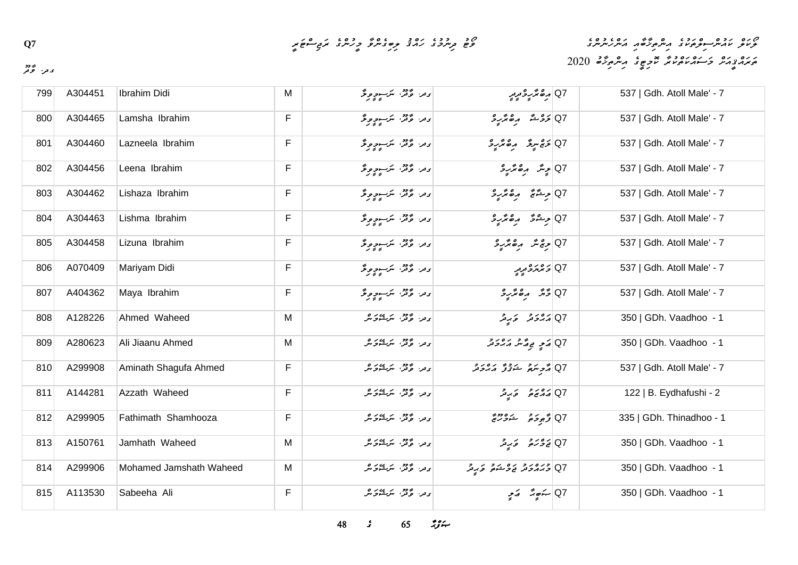*sCw7q7s5w7m< o<n9nOoAw7o< sCq;mAwBoEw7q<m; wBm;vB* م من المرة المرة المرة المرجع المرجع المرجع في 2020<br>مجم*د المريض المرجع المرجع المرجع المرجع المراجع المراجع الم*رجع

| 799 | A304451 | Ibrahim Didi            | M            | ى قرا ئۇقۇا سىسىر بولۇ      | Q7 <sub>مر</sub> ه ټر <sub>پ</sub> و مړمړ | 537   Gdh. Atoll Male' - 7 |
|-----|---------|-------------------------|--------------|-----------------------------|-------------------------------------------|----------------------------|
| 800 | A304465 | Lamsha Ibrahim          | F            | ى دىن ئۇنىز، سەسىر بەر ئۇ   | Q7 كۇۋىش <sub>ە</sub> م <i>ەنگى</i> رۇ    | 537   Gdh. Atoll Male' - 7 |
| 801 | A304460 | Lazneela Ibrahim        | $\mathsf{F}$ | ى بىر ھەتر سەسەم بىر ئى     | Q7 كۇڭ <sub>ى</sub> رىگە مەھ <i>گرى</i> 2 | 537   Gdh. Atoll Male' - 7 |
| 802 | A304456 | Leena Ibrahim           | $\mathsf F$  | دىن گەنتى، سەسىرى بەنگ      | Q7 م <sub>و</sub> سَّر م <i>ەھترى</i> دۇ  | 537   Gdh. Atoll Male' - 7 |
| 803 | A304462 | Lishaza Ibrahim         | $\mathsf{F}$ | ى قراڭ ھۇش سىزىيەت بولۇ     | Q7 مِشَمَّ مِرْحَمَّدِةِ                  | 537   Gdh. Atoll Male' - 7 |
| 804 | A304463 | Lishma Ibrahim          | $\mathsf F$  | دىن ئۇنىز، سەسىرى ئىگە      | Q7 م <sub>ج</sub> ىشۇ م <i>ەھتى</i> رۇ    | 537   Gdh. Atoll Male' - 7 |
| 805 | A304458 | Lizuna Ibrahim          | F            | ى بىر ئەقتى، سەسىرى بەرگە   | Q7 <i>جيءُگ م</i> ڻ <i>مُدُبِ</i> دُ      | 537   Gdh. Atoll Male' - 7 |
| 806 | A070409 | Mariyam Didi            | $\mathsf F$  | ى قراڭ ھۇش سىزىيەت بولۇ     | Q7   <i>ئى ئەتر</i> 3 م <sub>ىي</sub> ىر  | 537   Gdh. Atoll Male' - 7 |
| 807 | A404362 | Maya Ibrahim            | $\mathsf F$  | ى بىر ھەتر سەسەم بىر ئى     | Q7 دَيَّرَ مِـھَـٰمَّـٰبِـدَّ             | 537   Gdh. Atoll Male' - 7 |
| 808 | A128226 | Ahmed Waheed            | M            | ى تىر بەردە بىرى ئەكرىش     | Q7 <i>كەندى قى</i> رى <i>گ</i>            | 350   GDh. Vaadhoo - 1     |
| 809 | A280623 | Ali Jiaanu Ahmed        | M            | ى قرا ئەدەر بىر يېزىق       | Q7 <i>جَجِ بِهِ مَدَّ مَدُونَدُ</i>       | 350   GDh. Vaadhoo - 1     |
| 810 | A299908 | Aminath Shagufa Ahmed   | F            | ى قرا ئۇقتى سىگە ئەمىر ھ    | Q7 مُر <i>ْحِسَمْ شَوْرٌ مَدْدَنْد</i>    | 537   Gdh. Atoll Male' - 7 |
| 811 | A144281 | Azzath Waheed           | $\mathsf F$  | ى قرار ئەدەر بىر يەر ب      | Q7 <i>مَدْدُجَ مِنْ مَ</i> رِمْر          | 122   B. Eydhafushi - 2    |
| 812 | A299905 | Fathimath Shamhooza     | $\mathsf F$  | ى قرار ئەقرار سىرىككەن س    | Q7 تَ <i>وجو شوريع</i>                    | 335   GDh. Thinadhoo - 1   |
| 813 | A150761 | Jamhath Waheed          | M            | ى تىر بەردە بىر يېر بەر بەر | Q7 <i>في وُرَمْ وَب</i> ِسْ               | 350   GDh. Vaadhoo - 1     |
| 814 | A299906 | Mohamed Jamshath Waheed | M            | ى تىر بەللەر ئىككىن ئىس     | Q7 <i>وبروبرو بي وحكوم توب</i> ر          | 350   GDh. Vaadhoo - 1     |
| 815 | A113530 | Sabeeha Ali             | F            | ى تىر بەردە بىر يېزىقى      | Q7 ڪي <i>وبڙ چ</i> َيو                    | 350   GDh. Vaadhoo - 1     |

**48** *s* **65** *n***<sub>3</sub> <b>***n*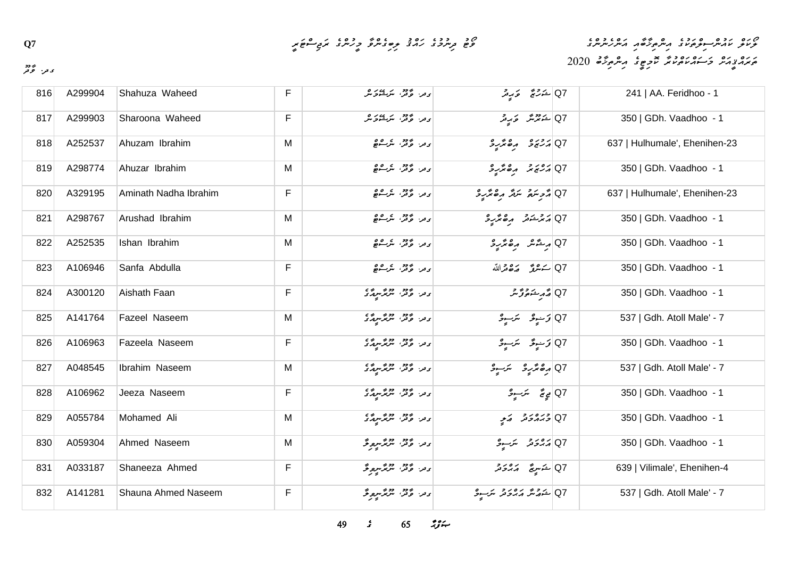*sCw7q7s5w7m< o<n9nOoAw7o< sCq;mAwBoEw7q<m; wBm;vB* م من المرة المرة المرة المرجع المرجع المرجع في 2020<br>مجم*د المريض المرجع المرجع المرجع المرجع المراجع المراجع الم*رجع

| 816 | A299904 | Shahuza Waheed        | F           | ى قرا ئەقتى، سەستىكى س                              | Q7 ش <i>ەرقى ق</i> ەرقە                                                                                                | 241   AA. Feridhoo - 1        |
|-----|---------|-----------------------|-------------|-----------------------------------------------------|------------------------------------------------------------------------------------------------------------------------|-------------------------------|
| 817 | A299903 | Sharoona Waheed       | F           | ى قرار ئەقرار سىرىكتەت س                            | Q7 شۇچرى <i>گە ق</i> ەربىر                                                                                             | 350   GDh. Vaadhoo - 1        |
| 818 | A252537 | Ahuzam Ibrahim        | M           | ى تىر بە ئۆز، بىر كى ق                              | Q7 <i>كەنگى بەھىگى</i> رۇ                                                                                              | 637   Hulhumale', Ehenihen-23 |
| 819 | A298774 | Ahuzar Ibrahim        | M           | ى تىر بەردە بىر شەھ                                 | Q7 <i>كەرىخ كىم مەھەرد</i> ۇ                                                                                           | 350   GDh. Vaadhoo - 1        |
| 820 | A329195 | Aminath Nadha Ibrahim | $\mathsf F$ | ى تىر بە ئۆز، ئىركىسى                               | Q7 <i>مُّحِسَمُ مَدَّرٌ مِـ صُدَّرِ \$</i>                                                                             | 637   Hulhumale', Ehenihen-23 |
| 821 | A298767 | Arushad Ibrahim       | M           | ى تىر بە ئۆز، بىر كى ق                              | Q7 كەنگرىشى <i>تىر بەھ ئۇر</i> ۇ                                                                                       | 350   GDh. Vaadhoo - 1        |
| 822 | A252535 | Ishan Ibrahim         | M           | ى قرار ئەقتى، سىركىسى                               | Q7 م <i>ې</i> شمىر مەمگر <i>ى</i> رى                                                                                   | 350   GDh. Vaadhoo - 1        |
| 823 | A106946 | Sanfa Abdulla         | F           | ى تىر بەتتى، سىرسوغ                                 | Q7 خشرتم كان محدد الله                                                                                                 | 350   GDh. Vaadhoo - 1        |
| 824 | A300120 | Aishath Faan          | F           | <sub>ى</sub> ر. ئ <sup>ەدە</sup> ، ش <i>ەڭ س</i> ەر | Q7 مۇم شەھ ۇگىتر                                                                                                       | 350   GDh. Vaadhoo - 1        |
| 825 | A141764 | <b>Fazeel Naseem</b>  | M           | ومن حاص به دره به در در در بالا<br>اومن حاص سرچرس   | Q7 كى ئىسى سىمبىدىكى ئىسىمبىتى كىيەت بىرى <i>كى</i>                                                                    | 537   Gdh. Atoll Male' - 7    |
| 826 | A106963 | Fazeela Naseem        | F           | ى تەرەپ بىر ئەرەپ كە                                | Q7 كى ئىچە گىمىسى ئىس بىر ئىس بىر ئىس بىر ئىس بىر ئىس بىر ئىس بىر ئىس بىر ئىس بىر ئىس بىر ئىس بىر ئىس بىر ئىس<br>مەنبە | 350   GDh. Vaadhoo - 1        |
| 827 | A048545 | Ibrahim Naseem        | M           | ى تەرەپ ئەرەپ ئەرەپ كە                              | Q7 <i>برھ بڑر دھی سرب</i> و                                                                                            | 537   Gdh. Atoll Male' - 7    |
| 828 | A106962 | Jeeza Naseem          | F           | ى تەرەپ ئەتەرەپى ئەتەر                              | Q7 <i>في متكسر مح</i>                                                                                                  | 350   GDh. Vaadhoo - 1        |
| 829 | A055784 | Mohamed Ali           | M           | ى قىز ئەقىرى ئىنگەنىي ئەت                           | Q7 <i>وُټرو دَوَ</i> کرم                                                                                               | 350   GDh. Vaadhoo - 1        |
| 830 | A059304 | Ahmed Naseem          | M           | ىمە ئۇقرا شرچمىتىگە بىر                             | Q7 <i>كەندى تىربى</i> رى                                                                                               | 350   GDh. Vaadhoo - 1        |
| 831 | A033187 | Shaneeza Ahmed        | F           | ىمە ئۇقرا شرچمىتىگە بىر                             | Q7 شەمرى <i>گە كەندى كى</i> ر                                                                                          | 639   Vilimale', Ehenihen-4   |
| 832 | A141281 | Shauna Ahmed Naseem   | F           | ىمە ئۇقرا شرچمىتىگە بىر                             | Q7 خەر ئەر ئەردىرى ئىزىبور                                                                                             | 537   Gdh. Atoll Male' - 7    |

*49 s* 65  $23.7$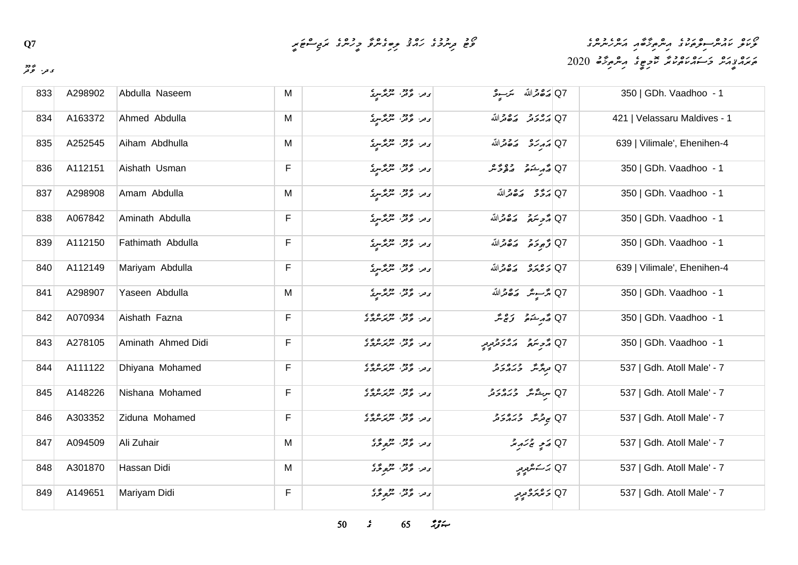*sCw7q7s5w7m< o<n9nOoAw7o< sCq;mAwBoEw7q<m; wBm;vB* م من المرة المرة المرة المرجع المرجع المرجع في 2020<br>مجم*د المريض المرجع المرجع المرجع المرجع المراجع المراجع الم*رجع

| 833 | A298902 | Abdulla Naseem     | M           | ى قرار ئۇقرار ئەرگەرىدىكى                 | Q7 كەڭداللە م <i>ىزىب</i> و                 | 350   GDh. Vaadhoo - 1       |
|-----|---------|--------------------|-------------|-------------------------------------------|---------------------------------------------|------------------------------|
| 834 | A163372 | Ahmed Abdulla      | M           | ى قرار ئەدەر بىر ئەس                      | Q7 كەبرى <i>كەن كەنتى دالل</i> ە            | 421   Velassaru Maldives - 1 |
| 835 | A252545 | Aiham Abdhulla     | M           | ى قرار ئۇقرار ئىزگە ئىرىگە                | Q7 <i>مَهِرَدْ مَ</i> هُ مِمَّاللَّه        | 639   Vilimale', Ehenihen-4  |
| 836 | A112151 | Aishath Usman      | F           | ى مەس ئۇقتى ئىترىگەسىگە                   | Q7 مەم شەم ھەم ئىس                          | 350   GDh. Vaadhoo - 1       |
| 837 | A298908 | Amam Abdulla       | M           | ى قرار ئەدەر بىر ئەس                      | Q7 كەڭ كە <b>شى</b> ئەرىسى ئىش              | 350   GDh. Vaadhoo - 1       |
| 838 | A067842 | Aminath Abdulla    | $\mathsf F$ | ى قرار ئەقرار ئەرگە بىرىگە                | Q7 مُرْحِ مَدَة مَرْكَ مَدَاللّه            | 350   GDh. Vaadhoo - 1       |
| 839 | A112150 | Fathimath Abdulla  | F           | .<br>دىن ئۇتىر، شەھەم ئ                   | Q7 <i>وَّجِوَة مَـُهُ</i> قَرَاللَّه        | 350   GDh. Vaadhoo - 1       |
| 840 | A112149 | Mariyam Abdulla    | $\mathsf F$ | ى قرار ئەقرار ئىزگە ئىرىگە بىرىگە         | Q7 كر برور مركاني الله                      | 639   Vilimale', Ehenihen-4  |
| 841 | A298907 | Yaseen Abdulla     | M           | ى مەدەبىرى ئۇچرىسى                        | Q7 مَرْسِمِى <i>تْھ مَرْڪورُ</i> اللّه      | 350   GDh. Vaadhoo - 1       |
| 842 | A070934 | Aishath Fazna      | F           | وتر ودره ودره<br>دنر وتر، سرپرس           | Q7 مەم ھەم ئۇنج ئىگر                        | 350   GDh. Vaadhoo - 1       |
| 843 | A278105 | Aminath Ahmed Didi | F           | دىن ئەدەر دەرەرەت<br>دىن ئەتىر، سىرسرىرى  | Q7 مُرْحِ سَمَّة مَ مُرْدَوَ مُرْمَّرِ مِرِ | 350   GDh. Vaadhoo - 1       |
| 844 | A111122 | Dhiyana Mohamed    | F           | وتور ووره وه ده.<br>وتور کوتور، سرچرسوچری | Q7 مرت <i>مرنگ دی۔ دیگر</i>                 | 537   Gdh. Atoll Male' - 7   |
| 845 | A148226 | Nishana Mohamed    | $\mathsf F$ | دىن گەدەر ھەر ھەرى<br>دىن گەنئى سىمەسىرى  | Q7 سرىشىش ئەرەر ئىر                         | 537   Gdh. Atoll Male' - 7   |
| 846 | A303352 | Ziduna Mohamed     | $\mathsf F$ | وفر ود دوره وه.<br>دفر وفر، سرپرس         | Q7 ي <i>ې قر</i> ىگە ئ <i>ۇ ئەمگە خە</i> ر  | 537   Gdh. Atoll Male' - 7   |
| 847 | A094509 | Ali Zuhair         | M           | ى تىر بەلىرى بىر ئەن ئى                   | Q7 <i>ھَ۔ جي تم</i> ريمه                    | 537   Gdh. Atoll Male' - 7   |
| 848 | A301870 | Hassan Didi        | M           | ى تىر بەلەش بىر ئەنجى ئە                  | Q7   ئەسەئىرى <i>ر</i>                      | 537   Gdh. Atoll Male' - 7   |
| 849 | A149651 | Mariyam Didi       | F           |                                           | Q7 <i>كەنگەڭ قويى</i> ر                     | 537   Gdh. Atoll Male' - 7   |

 $50$  *s*  $65$  *n***<sub>y</sub>** $\leq$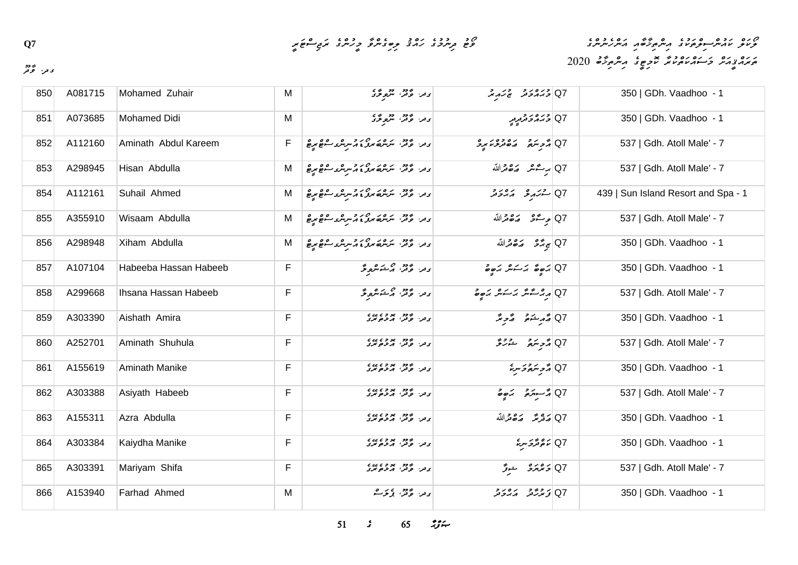*sCw7q7s5w7m< o<n9nOoAw7o< sCq;mAwBoEw7q<m; wBm;vB* م من المرة المرة المرة المرجع المرجع المرجع في 2020<br>مجم*د المريض المرجع المرجع المرجع المرجع المراجع المراجع الم*رجع

| 850 | A081715 | Mohamed Zuhair        | M            | رىر ئەدەر بىرى ئى                                                                                                                                                                                                                | Q7 <i>جەنگە جۇ جۇ جانبەت</i> ر                             | 350   GDh. Vaadhoo - 1              |
|-----|---------|-----------------------|--------------|----------------------------------------------------------------------------------------------------------------------------------------------------------------------------------------------------------------------------------|------------------------------------------------------------|-------------------------------------|
| 851 | A073685 | <b>Mohamed Didi</b>   | M            | ى تىر بەلىقى بەللىم ئىستىرىگى ئى                                                                                                                                                                                                 | Q7 <i>وُټرو وُتربرِيرِ</i>                                 | 350   GDh. Vaadhoo - 1              |
| 852 | A112160 | Aminath Abdul Kareem  | F            | ر در محمد از مردم در محمد در محمد مع در محمد در محمد در محمد از محمد از محمد از محمد در محمد در محمد در محمد د<br>در محمد از محمد از محمد از محمد از محمد از محمد از محمد از محمد از محمد از محمد از محمد از محمد از محمد از محم | Q7 مُجِسَعَةٍ مَصْرَفَرْمَ مِرْدَّ                         | 537   Gdh. Atoll Male' - 7          |
| 853 | A298945 | Hisan Abdulla         | M            | وقد و و د و د مرد و د مرسى د وه د و                                                                                                                                                                                              | Q7 برگەش كە <b>ھەت</b> راللە                               | 537   Gdh. Atoll Male' - 7          |
| 854 | A112161 | Suhail Ahmed          | M            | وقد و و مره د مركز و مره و وه و و                                                                                                                                                                                                | Q7 جزير و برورو                                            | 439   Sun Island Resort and Spa - 1 |
| 855 | A355910 | Wisaam Abdulla        | M            | و تر. ه دو به ده د مرد و سرس و ده و ده و                                                                                                                                                                                         | Q7 م <i>وسُدُّدُ مَدَّهْ مِ</i> رَاللّه                    | 537   Gdh. Atoll Male' - 7          |
| 856 | A298948 | Xiham Abdulla         | M            | ى تەرەپ مەدەب مى كەرەپىر بىر بىر ھەم بىر ھ                                                                                                                                                                                       | Q7 مج بُرْد <i>ة مُرَّدَّة اللَّه</i>                      | 350   GDh. Vaadhoo - 1              |
| 857 | A107104 | Habeeba Hassan Habeeb | $\mathsf F$  | ى مراجعى كەشكىرى ئى                                                                                                                                                                                                              | Q7 كَىھِ جُمْ كَمْ كَمْ مَوْجَعْ                           | 350   GDh. Vaadhoo - 1              |
| 858 | A299668 | Ihsana Hassan Habeeb  | F            | ى مەسىم ئەسكە ئىس ئىس ئىس ئىس ئىس ئىس                                                                                                                                                                                            | Q7 مەشكەنگە ئەسەم <i>ى ئەھ</i>                             | 537   Gdh. Atoll Male' - 7          |
| 859 | A303390 | Aishath Amira         | $\mathsf{F}$ | ود وه پرده ده<br>دنر وګر، مرده برد                                                                                                                                                                                               | Q7 مۇم شىم قىم ئىچە ئىگە                                   | 350   GDh. Vaadhoo - 1              |
| 860 | A252701 | Aminath Shuhula       | $\mathsf F$  | ود وه پرده ده.<br>دند وند اردمی                                                                                                                                                                                                  | Q7 مُجِسَعُ شَرْكَةُ                                       | 537   Gdh. Atoll Male' - 7          |
| 861 | A155619 | Aminath Manike        | E            | ود وه پردی.<br>دنر ونر مروس                                                                                                                                                                                                      | Q7   مَرْحِ سَرْهُ حَ <sup>س</sup> ْرِيمَ                  | 350   GDh. Vaadhoo - 1              |
| 862 | A303388 | Asiyath Habeeb        | $\mathsf{F}$ | ود وه پرده ده<br>دنر وګر، مرده برد                                                                                                                                                                                               | $\frac{2}{3}$ $\frac{2}{3}$ $\frac{2}{3}$ $\frac{2}{3}$ Q7 | 537   Gdh. Atoll Male' - 7          |
| 863 | A155311 | Azra Abdulla          | F            | ود وه پرده ده<br>دنر وګر، مرده برد                                                                                                                                                                                               | Q7 مَقْرَتَمَّ مَ <b>صْ</b> قَرَاللَّه                     | 350   GDh. Vaadhoo - 1              |
| 864 | A303384 | Kaiydha Manike        | F            | ود ود دود ده ده<br>دند وتر، مروم در                                                                                                                                                                                              | Q7 ئۈقر <i>ىخ بىرىغ</i>                                    | 350   GDh. Vaadhoo - 1              |
| 865 | A303391 | Mariyam Shifa         | $\mathsf F$  | ود وه پردی.<br>دنر ونر مردوبرد                                                                                                                                                                                                   | Q7 كۆپر <i>ۇ خى</i> رگە                                    | 537   Gdh. Atoll Male' - 7          |
| 866 | A153940 | Farhad Ahmed          | M            | ى تىر بە ئۆتى كەرگ                                                                                                                                                                                                               | Q7 كۆتر <i>ىگە ئەيم</i> ۇتىر                               | 350   GDh. Vaadhoo - 1              |

 $51$  *s*  $65$  *if***<sub>i</sub>**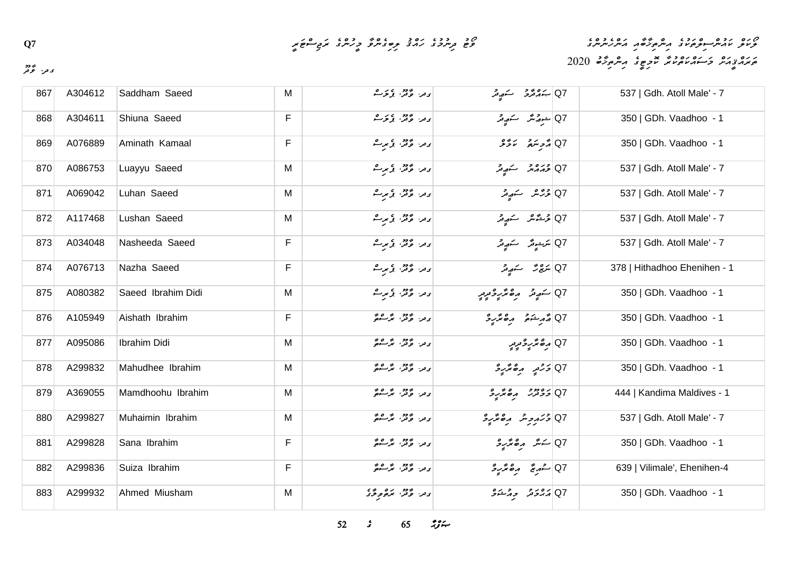*sCw7q7s5w7m< o<n9nOoAw7o< sCq;mAwBoEw7q<m; wBm;vB* م من المرة المرة المرة المرجع المرجع المرجع في 2020<br>مجم*د المريض المرجع المرجع المرجع المرجع المراجع المراجع الم*رجع

| 867 | A304612 | Saddham Saeed      | M           | ى تىر بە ئەتتى بۇ ئۆسىگە    | Q7 ج <i>ەمگرى خوم</i> گر                                     | 537   Gdh. Atoll Male' - 7   |
|-----|---------|--------------------|-------------|-----------------------------|--------------------------------------------------------------|------------------------------|
| 868 | A304611 | Shiuna Saeed       | F           | ى قىز ئەقتى، ئۇ قوشى        | Q7 شو <i>م</i> شرکتر کرد کرد                                 | 350   GDh. Vaadhoo - 1       |
| 869 | A076889 | Aminath Kamaal     | F           | ى قرار ئۇنىز كۆلىرىش        | Q7 <i>مُّجِسَعُ بِ</i> َوَكَّرُ                              | 350   GDh. Vaadhoo - 1       |
| 870 | A086753 | Luayyu Saeed       | M           | ى قرار ئەقتى كى قرام بىر شى | Q7 <i>حمد معد شهر شهر شهر ش</i>                              | 537   Gdh. Atoll Male' - 7   |
| 871 | A069042 | Luhan Saeed        | M           | ى قرار ئەقرار ئايرىسى       | Q7 تۇرمى س <i>ەمبەت</i> ر                                    | 537   Gdh. Atoll Male' - 7   |
| 872 | A117468 | Lushan Saeed       | M           | ى قرار ئۇنىز كۆلىرىش        | Q7 كۈشەش س <i>ەمبەن</i> ر                                    | 537   Gdh. Atoll Male' - 7   |
| 873 | A034048 | Nasheeda Saeed     | F           | ى قرار ئۇنىز كۆلىرىش        | Q7 سَرَشونَدُ کوپونَرُ                                       | 537   Gdh. Atoll Male' - 7   |
| 874 | A076713 | Nazha Saeed        | F           | ى قرار ئۇنىز كۆلىرىش        | Q7 <i>سَمَّةُ شَهِي</i> ْرَ                                  | 378   Hithadhoo Ehenihen - 1 |
| 875 | A080382 | Saeed Ibrahim Didi | M           | ى قرار ئۇنىز كۆلىرىش        | Q7 س <i>َم<sub>و</sub>ِیرْ بر</i> ھ <i>بُرُبِ دُوبِرِيرِ</i> | 350   GDh. Vaadhoo - 1       |
| 876 | A105949 | Aishath Ibrahim    | F           | ى قرار ئەقتى، ئەگەر شەھ     | Q7 مەم ئىقتى مەھم <i>گى</i> ر 2                              | 350   GDh. Vaadhoo - 1       |
| 877 | A095086 | Ibrahim Didi       | M           | ى قرار ئەقتى، ئەرگە ئەھ     | Q7 <mark>برڻ تر</mark> يرو پرپر                              | 350   GDh. Vaadhoo - 1       |
| 878 | A299832 | Mahudhee Ibrahim   | M           | ى قرار ئەقتى، ئۆگ سەھ       | Q7  <i>5 كور مۇمۇر</i> ۇ                                     | 350   GDh. Vaadhoo - 1       |
| 879 | A369055 | Mamdhoohu Ibrahim  | M           | ى قرار ئەقتى، ئەگەر شەھ     | Q7 <i>ووفرز م</i> ەھمەر 2                                    | 444   Kandima Maldives - 1   |
| 880 | A299827 | Muhaimin Ibrahim   | M           | ى قرار ئەقتى، ئەگەر شەھ     | Q7 <i>ڈیزمرجنڈ م</i> یھ <i>مرکب</i> و                        | 537   Gdh. Atoll Male' - 7   |
| 881 | A299828 | Sana Ibrahim       | F           | ى قرار ئەقتى، ئەگەسىسى      | Q7 سەنئر ب <i>ەھت</i> رىبى                                   | 350   GDh. Vaadhoo - 1       |
| 882 | A299836 | Suiza Ibrahim      | $\mathsf F$ | ى تىر بە ئۆز بەرگە ئەش      | Q7 شهریځ م <i>و همگړ</i> و                                   | 639   Vilimale', Ehenihen-4  |
| 883 | A299932 | Ahmed Miusham      | M           | ى تىر ئەدەر برە بەشى        | Q7 <i>كەندى جەڭش</i> ۇ                                       | 350   GDh. Vaadhoo - 1       |

 $52$  *s*  $65$  *n***<sub>3</sub>** *n***<sub>3</sub>**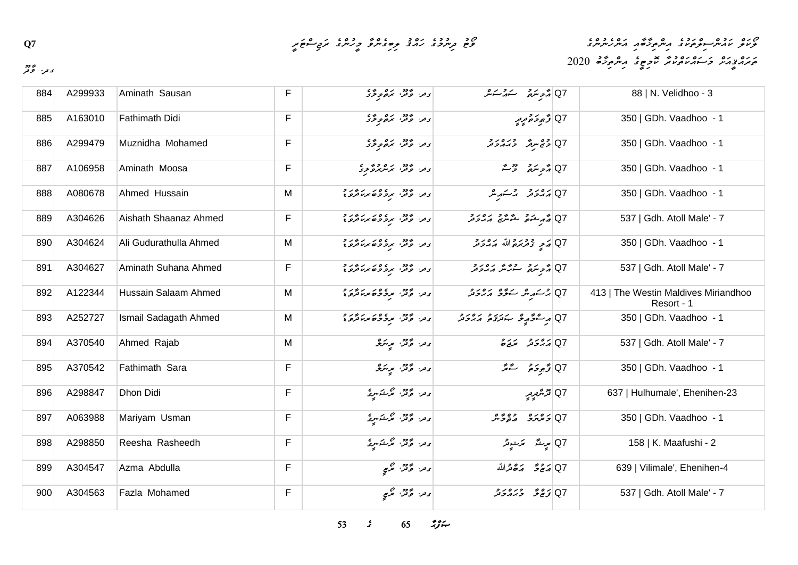*sCw7q7s5w7m< o<n9nOoAw7o< sCq;mAwBoEw7q<m; wBm;vB* م من المرة المرة المرة المرجع المرجع المرجع في 2020<br>مجم*د المريض المرجع المرجع المرجع المرجع المراجع المراجع الم*رجع

| 884 | A299933 | Aminath Sausan               | F           | ى تەرەپ ئەھمەتى ئىستىمى ئىستىدىكى ئىستىدىكى ئىستىدىكى ئىستىكى ئىستىدىكى ئىستىدىكى ئىستىدىكى ئىستىدىكى ئىستى | Q7 <mark>مۇجەسىم</mark> ۇ سىم <i>ەشى</i> كىلە      | 88   N. Velidhoo - 3                               |
|-----|---------|------------------------------|-------------|-------------------------------------------------------------------------------------------------------------|----------------------------------------------------|----------------------------------------------------|
| 885 | A163010 | <b>Fathimath Didi</b>        | F           | ى قرار ئەدەر بەرە بەرى                                                                                      | Q7 <i>و چو څو پېږي</i>                             | 350   GDh. Vaadhoo - 1                             |
| 886 | A299479 | Muznidha Mohamed             | F           | ى تىر بەھق بىرە بەر ئە                                                                                      | Q7 ۇي <sub>م</sub> برى <i>گە دېمبردى</i> گە        | 350   GDh. Vaadhoo - 1                             |
| 887 | A106958 | Aminath Moosa                | F           | ى قرار ئەدەر بەر ئەرەپ ئە                                                                                   | Q7 مُجِسَعَة حَمَّــَّة                            | 350   GDh. Vaadhoo - 1                             |
| 888 | A080678 | Ahmed Hussain                | M           | وتر کوتر، مرکز دی بر دید و<br>وتر، کوتر، مرکز <i>کامی با ترو</i> یج                                         | Q7 كەبرى قارىم يىلىدىش                             | 350   GDh. Vaadhoo - 1                             |
| 889 | A304626 | Aishath Shaanaz Ahmed        | $\mathsf F$ | وتر کوتر، مرکز دی بر دید و<br>وتر، کوتر، مرکز <i>کامی با ترو</i> یج                                         | Q7 مەم شىر ئىشرى مەردىر                            | 537   Gdh. Atoll Male' - 7                         |
| 890 | A304624 | Ali Gudurathulla Ahmed       | M           | وتر کوتر، بروژه بررورو و<br>وتر، کوتر، بروژه بررورو و                                                       | Q7 صَعِي وَمِرْمَرْمَوْاللّهِ مَ <i>دْوَمْر</i>    | 350   GDh. Vaadhoo - 1                             |
| 891 | A304627 | Aminath Suhana Ahmed         | F           | د پر ده ده در در در در در در د                                                                              | Q7 مُ <i>جِسَمْہ</i> مُسْرَسُرُ مَ <sup>رو</sup> د | 537   Gdh. Atoll Male' - 7                         |
| 892 | A122344 | Hussain Salaam Ahmed         | M           | دىن ئۇتر، برگەك برىرىدە<br>دىن ئۇتر، برگەك برىرىدە                                                          | Q7 يرْسَمْ مِيْشْر سَتَوَّرْ مَدْرَوْرْ            | 413   The Westin Maldives Miriandhoo<br>Resort - 1 |
| 893 | A252727 | <b>Ismail Sadagath Ahmed</b> | M           |                                                                                                             | Q7 مِ سُوَّمَ وَ سَوَيَرَةٌ مِ مَرْدَ قَد          | 350   GDh. Vaadhoo - 1                             |
| 894 | A370540 | Ahmed Rajab                  | M           | ى قراڭ ھۇقرا موسكى                                                                                          | Q7 كەبرى ئەر ئىركى ق                               | 537   Gdh. Atoll Male' - 7                         |
| 895 | A370542 | Fathimath Sara               | F           |                                                                                                             | Q7 <i>وُّجِوَدَةْ</i> سَنَّمَتْهُ                  | 350   GDh. Vaadhoo - 1                             |
| 896 | A298847 | Dhon Didi                    | F           | ى قرار ئەرەر بەر ئەسرى                                                                                      | Q7 <mark>تَرْتْرْمِرِمْرِ</mark>                   | 637   Hulhumale', Ehenihen-23                      |
| 897 | A063988 | Mariyam Usman                | F           | ى تىر بەردە بەشكەنىرىگە                                                                                     | $Q7 = 2.2$ $2.2$                                   | 350   GDh. Vaadhoo - 1                             |
| 898 | A298850 | Reesha Rasheedh              | F           | ى تىر بەردە بەشكەنىرىگە                                                                                     | Q7 مرِثٌہ کرھوٹر                                   | 158   K. Maafushi - 2                              |
| 899 | A304547 | Azma Abdulla                 | F           | ى قرار ئۇقىرا كىمىي                                                                                         | Q7 <i>مَجَرَّة مَ</i> هْتَراللَّه                  | 639   Vilimale', Ehenihen-4                        |
| 900 | A304563 | Fazla Mohamed                | F           | ى قرار ئەقتى كىمىي ئى                                                                                       | Q7 <i>ۇيجۇ ئېگەدى</i> ر                            | 537   Gdh. Atoll Male' - 7                         |

 $53$   $5$   $65$   $294$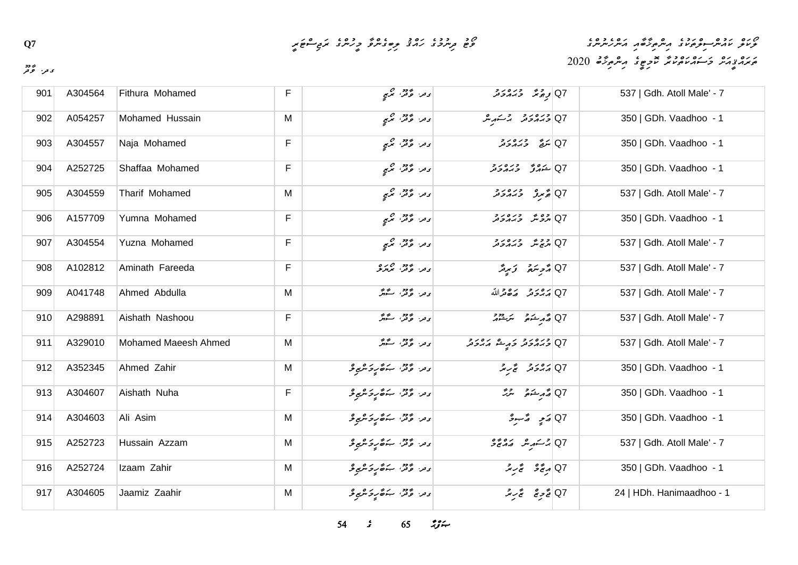*sCw7q7s5w7m< o<n9nOoAw7o< sCq;mAwBoEw7q<m; wBm;vB* م من المرة المرة المرة المرجع المرجع المرجع في 2020<br>مجم*د المريض المرجع المرجع المرجع المرجع المراجع المراجع الم*رجع

| 901 | A304564 | Fithura Mohamed      | F           | ى قرار ئەدەر كىمىي ئى         | Q7 <i>وِچْنَدْ حْبَدْوَنْدْ</i>          | 537   Gdh. Atoll Male' - 7 |
|-----|---------|----------------------|-------------|-------------------------------|------------------------------------------|----------------------------|
| 902 | A054257 | Mohamed Hussain      | M           | ى قرار ئەدەر مىمىي            | Q7 <i>ويزودو بي شهر مر</i>               | 350   GDh. Vaadhoo - 1     |
| 903 | A304557 | Naja Mohamed         | $\mathsf F$ | ى قرار ئەدەر مى تىرىپى        | Q7 سَمَّةً وَيَرْدُونَرُ                 | 350   GDh. Vaadhoo - 1     |
| 904 | A252725 | Shaffaa Mohamed      | $\mathsf F$ | ى قرار ئەقتى كىمىي ئى         | Q7 شەرق <i>دېم</i> ەدىر                  | 350   GDh. Vaadhoo - 1     |
| 905 | A304559 | Tharif Mohamed       | M           | ى قرار ئەدەر مى تىرىپى        | Q7 پ <i>ۇيوۋ دېمم</i> ۇتر                | 537   Gdh. Atoll Male' - 7 |
| 906 | A157709 | Yumna Mohamed        | F           | ى قرار ئەدەر مى تىرىپى        | Q7 يرو شهر در در در در حر                | 350   GDh. Vaadhoo - 1     |
| 907 | A304554 | Yuzna Mohamed        | $\mathsf F$ | ى قرار ئەدەر مى تىرىپى        | Q7 يۇچ ئىش ج <i>ىندۇ</i> تىر             | 537   Gdh. Atoll Male' - 7 |
| 908 | A102812 | Aminath Fareeda      | F           | ى قرار ئەرەر ئەرە             | Q7 مٌ <i>وِ سَهْءُ وَ م</i> ِ مَّ        | 537   Gdh. Atoll Male' - 7 |
| 909 | A041748 | Ahmed Abdulla        | M           | ى قراش ھىش كە ئىشكە           | Q7 كەبروتىر كەھەرللە                     | 537   Gdh. Atoll Male' - 7 |
| 910 | A298891 | Aishath Nashoou      | F           | ى قراش ھەش كە                 | Q7 <i>مُ</i> مِ شَمَّعَ سَرَسْتَمَّهُ    | 537   Gdh. Atoll Male' - 7 |
| 911 | A329010 | Mohamed Maeesh Ahmed | M           | ى قرار ئەچىق كەشكە            | Q7 <i>ويرورو <sub>كويش</sub>و م</i> رورو | 537   Gdh. Atoll Male' - 7 |
| 912 | A352345 | Ahmed Zahir          | M           | ى قرا ئۇقرا سىھەر ئەس ئو      | Q7 <i>كەنگە كى</i> ئىچ بەش               | 350   GDh. Vaadhoo - 1     |
| 913 | A304607 | Aishath Nuha         | $\mathsf F$ | ى تەرەپ ئەھمىرى سى ئى         | Q7 <i>مەم شەقى</i> مىرگ                  | 350   GDh. Vaadhoo - 1     |
| 914 | A304603 | Ali Asim             | M           | ى تەرەپ ئەھمىرى سى ئى         | Q7 <i>ھَ۔ مُ</i> سورُ                    | 350   GDh. Vaadhoo - 1     |
| 915 | A252723 | Hussain Azzam        | M           | ى تەرەپ ئۇنى سىھەر ئەشرىي ئى  | $28.22$ $27.27$                          | 537   Gdh. Atoll Male' - 7 |
| 916 | A252724 | Izaam Zahir          | M           | ى قرار ئۇقرا سىھارىر ئىرىم ئى | Q7 م <i>ينچ</i> و گھريمه                 | 350   GDh. Vaadhoo - 1     |
| 917 | A304605 | Jaamiz Zaahir        | M           | ى قرار ئۇقرا سىھارىر ئىرىم ئى | Q7 <i>قُومِعْ لِمُ بِ</i> رْ             | 24   HDh. Hanimaadhoo - 1  |

 $54$  **s**  $65$  *i***<sub>S</sub>** $\frac{2}{5}$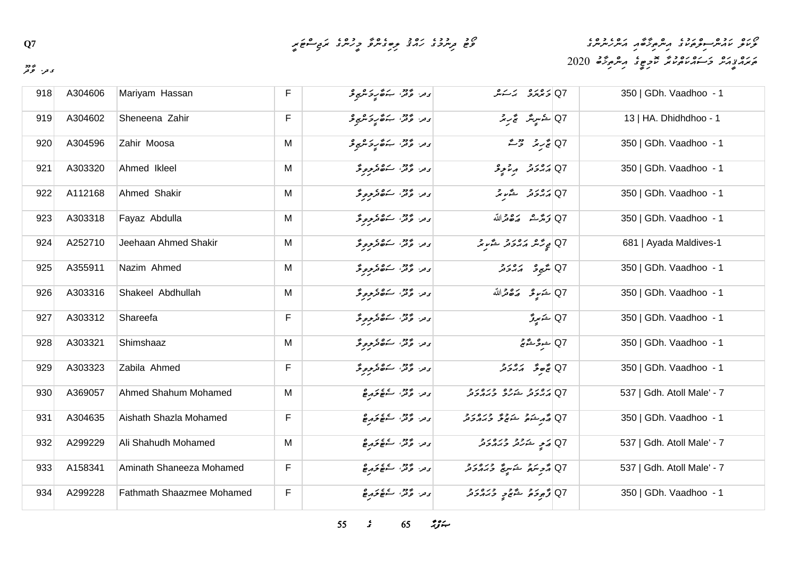*sCw7q7s5w7m< o<n9nOoAw7o< sCq;mAwBoEw7q<m; wBm;vB* م من المرة المرة المرة المرجع المرجع المرجع في 2020<br>مجم*د المريض المرجع المرجع المرجع المرجع المراجع المراجع الم*رجع

| 918 | A304606 | Mariyam Hassan            | $\mathsf{F}$ | ى تەرەپ ئىق بەھ بەر ئىرىم ئى | Q7 كەنگەنى ئەسەنلەر                                  | 350   GDh. Vaadhoo - 1     |
|-----|---------|---------------------------|--------------|------------------------------|------------------------------------------------------|----------------------------|
| 919 | A304602 | Sheneena Zahir            | F            | ى تىر بەشتى كەن ئەسكىنى ئى   | Q7 ڪسرينگر گچ س <i>يگر</i>                           | 13   HA. Dhidhdhoo - 1     |
| 920 | A304596 | Zahir Moosa               | M            | ى تەرەپ ئۇنى سىھەر ئەشرىي بى | Q7 پچ ريز هر مشر                                     | 350   GDh. Vaadhoo - 1     |
| 921 | A303320 | Ahmed Ikleel              | M            | ى تەرەپىيە ئەھەتمەتورە تى    | Q7 <i>مەندۇقى مەنبو</i> بۇ                           | 350   GDh. Vaadhoo - 1     |
| 922 | A112168 | Ahmed Shakir              | M            | ى تىر بەرگە ئەھەتمەتور تى    | Q7 كەش <i>ۇقى</i> شەرىخە                             | 350   GDh. Vaadhoo - 1     |
| 923 | A303318 | Fayaz Abdulla             | M            | ى بىر بەلىر بەرە ئەرجونى     | Q7 وَتَرَّتْ بَرَصْوَاللَّه                          | 350   GDh. Vaadhoo - 1     |
| 924 | A252710 | Jeehaan Ahmed Shakir      | M            | دىن ئۇتىن سەھەترىۋە ئى       | Q7 <sub>فو</sub> رَّنْدْ <i>مَدْدَ</i> دْ حُدَّ بْدُ | 681   Ayada Maldives-1     |
| 925 | A355911 | Nazim Ahmed               | M            | ى تىر بەلىقى سىھەتتى تورى تى | Q7 گىي ئىم كەنگە <i>قىل</i>                          | 350   GDh. Vaadhoo - 1     |
| 926 | A303316 | Shakeel Abdhullah         | M            | ى تەرەپىيە ئەھەترىچە ئىچە    | Q7 خَمَدٍ مَتَّ صَدَّاللَّهُ                         | 350   GDh. Vaadhoo - 1     |
| 927 | A303312 | Shareefa                  | $\mathsf{F}$ | ى تىر بەلىق سەھ تەبىر بورگ   | Q7 شەيرۇ                                             | 350   GDh. Vaadhoo - 1     |
| 928 | A303321 | Shimshaaz                 | M            | ى تىر بەرگە ئەھەتمەتور تى    | Q7 عوشق <i>ي</i>                                     | 350   GDh. Vaadhoo - 1     |
| 929 | A303323 | Zabila Ahmed              | F            | ى تەرەپىيە ئەھەترىۋە ئى      | Q7 تج <i>ھوڈ مذک</i> وتر                             | 350   GDh. Vaadhoo - 1     |
| 930 | A369057 | Ahmed Shahum Mohamed      | M            | دىر ئۇتر، شەھ قەرى           | Q7 <i>أروبر و شروه وبروبرو</i>                       | 537   Gdh. Atoll Male' - 7 |
| 931 | A304635 | Aishath Shazla Mohamed    | F            | ى تىر ئەدەر يە ئەتەرىقى      | Q7 مەم شەھ شەھ ئەرەر د                               | 350   GDh. Vaadhoo - 1     |
| 932 | A299229 | Ali Shahudh Mohamed       | M            | ى تىر ھۆر تەركىمى ھۆرھ       | Q7 كەنچە ئەرقىز ئ <i>ەزەرە</i>                       | 537   Gdh. Atoll Male' - 7 |
| 933 | A158341 | Aminath Shaneeza Mohamed  | $\mathsf F$  | دىر ئەدە يەر ئەھم            | Q7 أَرَّحِ سَوَّ شَاسِيٌّ وَيَرْدُونَرْ              | 537   Gdh. Atoll Male' - 7 |
| 934 | A299228 | Fathmath Shaazmee Mohamed | $\mathsf F$  | دىر ئەدە يەر ئ               | Q7 <i>وَّجِوَدَة</i> شَيْءَدٍ دُيَ <i>دْدَ</i> نْدَ  | 350   GDh. Vaadhoo - 1     |

 $55$   $\frac{2}{3}$   $65$   $\frac{2}{3}$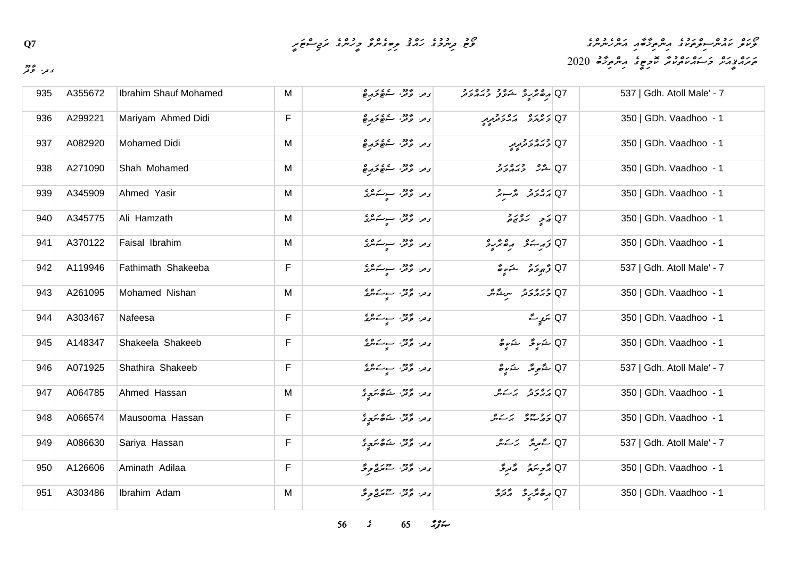*sCw7q7s5w7m< o<n9nOoAw7o< sCq;mAwBoEw7q<m; wBm;vB* م من المرة المرة المرة المرجع المرجع المرجع في 2020<br>مجم*د المريض المرجع المرجع المرجع المرجع المراجع المراجع الم*رجع

| 935 | A355672 | <b>Ibrahim Shauf Mohamed</b> | M           | دىر. ئۇتر، سۇغۇر ھ          | Q7  مِنْ حَمْدِةَ صَوْرٌ وَبَرْ وَدَ           | 537   Gdh. Atoll Male' - 7 |
|-----|---------|------------------------------|-------------|-----------------------------|------------------------------------------------|----------------------------|
| 936 | A299221 | Mariyam Ahmed Didi           | $\mathsf F$ | دىر ئەدە يەر ئ              | Q7 <i>ۇنگەگ مەڭ قى</i> توپىر                   | 350   GDh. Vaadhoo - 1     |
| 937 | A082920 | <b>Mohamed Didi</b>          | M           | ى تىر ھۆر تەركىمى ھۆرھ      | Q7 <i>وُټرو وُترورِم</i> رِ                    | 350   GDh. Vaadhoo - 1     |
| 938 | A271090 | Shah Mohamed                 | M           | ى مەدەبىي ئەن ئەن ئە        | Q7 گەشىر <i>2 دىن</i> دىر                      | 350   GDh. Vaadhoo - 1     |
| 939 | A345909 | Ahmed Yasir                  | M           | ى تەرەپچە سوستەنتىرى        | Q7 <i>كەندى قىسىتى</i>                         | 350   GDh. Vaadhoo - 1     |
| 940 | A345775 | Ali Hamzath                  | M           | ى قرار ئەدەر مەسىرىكىسى ئە  | Q7 <i>ھَ۔ ج</i> و مُح                          | 350   GDh. Vaadhoo - 1     |
| 941 | A370122 | Faisal Ibrahim               | M           | ى تىر بەدە سوسىسى ئ         | Q7 <i>قەبىخۇ بەھترى</i> رۇ                     | 350   GDh. Vaadhoo - 1     |
| 942 | A119946 | Fathimath Shakeeba           | F           | ى قرار 25 سوسى مىرى         | Q7 <i>وَّجِوَدَة</i> شَرِيعَة                  | 537   Gdh. Atoll Male' - 7 |
| 943 | A261095 | Mohamed Nishan               | M           | دىن گەنتى، سوسىتىلىكى       | Q7 <i>وُبَهُ وَفَرَ</i> سِنَّةَ شَ             | 350   GDh. Vaadhoo - 1     |
| 944 | A303467 | Nafeesa                      | F           | ى قرار ئەدەر مەسىر ئەرەبىي  | Q7 سَمِير مَشَر                                | 350   GDh. Vaadhoo - 1     |
| 945 | A148347 | Shakeela Shakeeb             | $\mathsf F$ | ى قرار ئەدەر مەسىرىكىسى ئە  | $Q7 = \frac{2}{3}$ $\frac{1}{2}$ $\frac{1}{2}$ | 350   GDh. Vaadhoo - 1     |
| 946 | A071925 | Shathira Shakeeb             | F           | ا دىن ئەقىر، سوستەنترى      | Q7 شَعِيمٌ   سَمَعٍ صَ                         | 537   Gdh. Atoll Male' - 7 |
| 947 | A064785 | Ahmed Hassan                 | M           | ى قرار ئەدەر ئەھ ئىرى ئ     | Q7 <i>كەندى ئەسكىل</i>                         | 350   GDh. Vaadhoo - 1     |
| 948 | A066574 | Mausooma Hassan              | F           | ى مەدەب ئەھ ئىرى            | Q7 <i>وَهُبْدَةْ</i> يَرْسَمْهُ                | 350   GDh. Vaadhoo - 1     |
| 949 | A086630 | Sariya Hassan                | F           | ى تىر بەردە بەشكەن ئەھەتترى | Q7 گەمبە <i>نگە</i> ئەسكەنلە                   | 537   Gdh. Atoll Male' - 7 |
| 950 | A126606 | Aminath Adilaa               | $\mathsf F$ | ى تىر ھەتتى سىنىمى تەمۇ     | Q7 مُرْحِبَتِهِ مُحْمَّدِ مَثَّ                | 350   GDh. Vaadhoo - 1     |
| 951 | A303486 | Ibrahim Adam                 | M           | ى قرار 250 مەددەن ھەتى      | Q7 <i>مەھەرى مەم</i> رى                        | 350   GDh. Vaadhoo - 1     |

 $56$  *s*  $65$  *z* $3\frac{2}{3}$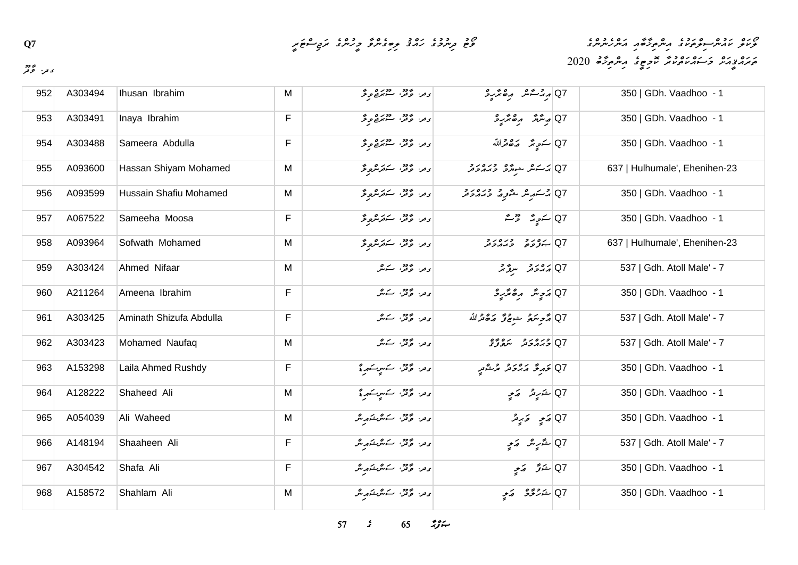*sCw7q7s5w7m< o<n9nOoAw7o< sCq;mAwBoEw7q<m; wBm;vB* م من المرة المرة المرة المرجع المرجع المرجع في 2020<br>مجم*د المريض المرجع المرجع المرجع المرجع المراجع المراجع الم*رجع

| 952 | A303494 | Ihusan Ibrahim          | M | ى تىر بۇ قۇرىم ئەتەر قۇ بۇ ئى   | Q7 مەممىشى مەھ <i>مەر ۋ</i>                 | 350   GDh. Vaadhoo - 1        |
|-----|---------|-------------------------|---|---------------------------------|---------------------------------------------|-------------------------------|
| 953 | A303491 | Inaya Ibrahim           | F | ى تىر بەدە بەدەرە بۇ            | Q7 مەنى <i>نگە مەھەتگە</i> ر 27             | 350   GDh. Vaadhoo - 1        |
| 954 | A303488 | Sameera Abdulla         | F | ى تىر بەدە بەدەرە بۇ            | Q7 ڪو <i>پنگه مُذڪورُ</i> الله              | 350   GDh. Vaadhoo - 1        |
| 955 | A093600 | Hassan Shiyam Mohamed   | M | دىر· ئۇتر، سەترى <i>ترە ئ</i>   | Q7 كەسكەر ھەدىرە دىرە دىر                   | 637   Hulhumale', Ehenihen-23 |
| 956 | A093599 | Hussain Shafiu Mohamed  | M | دىن ئۇقرا سەترىرى ئى            |                                             | 350   GDh. Vaadhoo - 1        |
| 957 | A067522 | Sameeha Moosa           | F | ى تىر ھەتتى سىمتىرىش بىر گ      | Q7 س <i>ُوِیڈ ڈ</i> یسٹر                    | 350   GDh. Vaadhoo - 1        |
| 958 | A093964 | Sofwath Mohamed         | M | ى قرار ئەقرار بىر ئەتەر بىرى ئى | Q7 يۇرو دىرەرد                              | 637   Hulhumale', Ehenihen-23 |
| 959 | A303424 | Ahmed Nifaar            | M | ى تىر ، ئۇ تۈش سىكەش            | Q7 <i>كەندى كىلى بىر</i> گە                 | 537   Gdh. Atoll Male' - 7    |
| 960 | A211264 | Ameena Ibrahim          | F | ى قرار ئۇقىرا سىكەش             | Q7 كەچ ئىر مەمگە <i>پ</i> ۇ                 | 350   GDh. Vaadhoo - 1        |
| 961 | A303425 | Aminath Shizufa Abdulla | F | ى قىزا ئۇقۇش سىكەش              | Q7 مُرْحِ سَوْمِ وَ مُتَّاهَدُ اللّه        | 537   Gdh. Atoll Male' - 7    |
| 962 | A303423 | Mohamed Naufaq          | M | ى قىز، ئۇقۇش، سىكەنتىكى         | Q7 <i>ۋېزودو پروۋو</i>                      | 537   Gdh. Atoll Male' - 7    |
| 963 | A153298 | Laila Ahmed Rushdy      | F | دىن ئۇقرا سەسىرسىدە ج           | Q7 كَ <i>مِيدگُ مُكْرُدُكُمْ</i> مُرْشْهِرٍ | 350   GDh. Vaadhoo - 1        |
| 964 | A128222 | Shaheed Ali             | M | ى قرار ئەدەر سەسرىسكىرى         | Q7 ڪرپٽر گ <i>ي</i> و                       | 350   GDh. Vaadhoo - 1        |
| 965 | A054039 | Ali Waheed              | M | ى قرا ئۇقتى سەنكەر بىر          | Q7 <i>ھَ جِ</i> – حَ سِمَّرُ                | 350   GDh. Vaadhoo - 1        |
| 966 | A148194 | Shaaheen Ali            | F | ى قرا ئۇقتى سىكەرىشكەرلىكى      | Q7 ڪ <sub>ي</sub> پر <sub>مَ</sub> رِ       | 537   Gdh. Atoll Male' - 7    |
| 967 | A304542 | Shafa Ali               | F | ى قرار ئۇقرار سىكەن ئىكرىش      | Q7 شتر <i>گ مک</i> و                        | 350   GDh. Vaadhoo - 1        |
| 968 | A158572 | Shahlam Ali             | M | ى قرا ئۇقرا سەنكرىشكەرنىگ       | Q7 ڪ <i>ئر گڏؤڻ ھي</i>                      | 350   GDh. Vaadhoo - 1        |

 $57$  **s**  $65$   $294$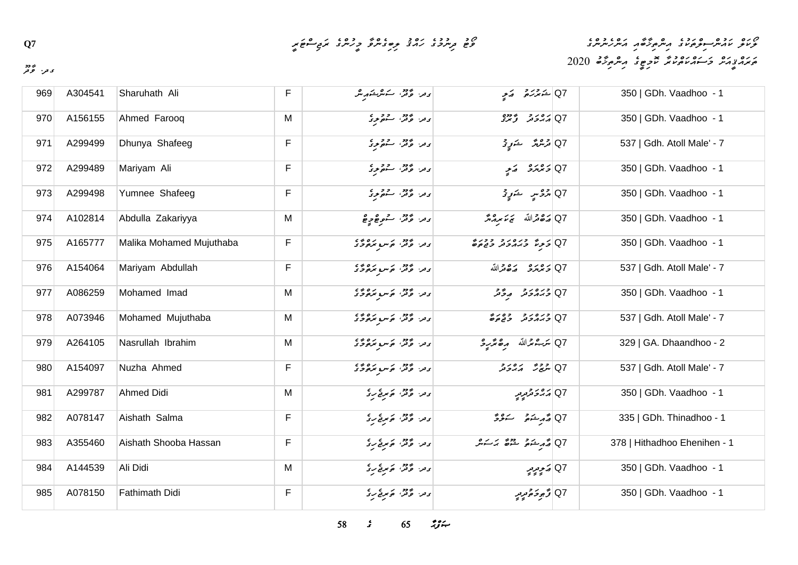*sCw7q7s5w7m< o<n9nOoAw7o< sCq;mAwBoEw7q<m; wBm;vB* م من المرة المرة المرة المرجع المرجع المرجع في 2020<br>مجم*د المريض المرجع المرجع المرجع المرجع المراجع المراجع الم*رجع

| 969 | A304541 | Sharuhath Ali            | $\mathsf{F}$ | ى قرار ئەقرار سەھرىشى بىر                 | Q7 ڪ <i>نگرنده م</i> َ پو                | 350   GDh. Vaadhoo - 1       |
|-----|---------|--------------------------|--------------|-------------------------------------------|------------------------------------------|------------------------------|
| 970 | A156155 | Ahmed Farooq             | M            | ى تىر بەردە بەر ئەن ئە                    | Q7 كەندى قىر ئۇنىز ق                     | 350   GDh. Vaadhoo - 1       |
| 971 | A299499 | Dhunya Shafeeg           | $\mathsf F$  | ړی وه.<br>دی وی، سهجری                    | Q7 <i>قرىنىگە</i> خ <i>ەربىتى</i>        | 537   Gdh. Atoll Male' - 7   |
| 972 | A299489 | Mariyam Ali              | $\mathsf F$  | ى تەرەپىيە ئەھمى تەرەپ                    | Q7 ك <i>ېڭىدۇ كەي</i>                    | 350   GDh. Vaadhoo - 1       |
| 973 | A299498 | Yumnee Shafeeg           | $\mathsf{F}$ | ى تىر بەردە بەر ئەن ئە                    | Q7 <sub>م</sub> روس خررٍ تح              | 350   GDh. Vaadhoo - 1       |
| 974 | A102814 | Abdulla Zakariyya        | M            | ى تىر ئەدەر سىم قىم قىچ ھ                 | Q7 مَەھْتَراللە ى <i>ج مَ م</i> ېرمەش    | 350   GDh. Vaadhoo - 1       |
| 975 | A165777 | Malika Mohamed Mujuthaba | F            | دىن گەنتەر كەنتى <i>مەھەرى</i>            | Q7 دَ دِيمَ دِيروند دي دِهِ              | 350   GDh. Vaadhoo - 1       |
| 976 | A154064 | Mariyam Abdullah         | $\mathsf F$  | ى قرار ئەدەر ئەسمە ئىرە ئەت               | Q7 ك <i>ربرد كە</i> ھىراللە              | 537   Gdh. Atoll Male' - 7   |
| 977 | A086259 | Mohamed Imad             | M            | ى قرار ئەدەر ئەھم ئەھم تەرەپ ئە           | Q7 <i>\$نەۋۇقى م</i> وگە <i>گ</i> ى      | 350   GDh. Vaadhoo - 1       |
| 978 | A073946 | Mohamed Mujuthaba        | M            | ى قرار ئەدەر كەن ئەرەك ئە                 | 6, 6, 7, 7, 7, 7, 07                     | 537   Gdh. Atoll Male' - 7   |
| 979 | A264105 | Nasrullah Ibrahim        | M            | دىن گەنتى، ئەسمە ئىگەن دى                 | Q7 سَرَجْهُ اللّهُ مِنْ مِنْ مِنْ مِنْ   | 329   GA. Dhaandhoo - 2      |
| 980 | A154097 | Nuzha Ahmed              | $\mathsf F$  | ى قرار ئەدەر ئەسمەت تەرەپ ئە              |                                          | 537   Gdh. Atoll Male' - 7   |
| 981 | A299787 | Ahmed Didi               | M            | ى قىز ، ئۇنىش ، ئەسرى بىرى ،              | Q7 كەندى قرىرىر                          | 350   GDh. Vaadhoo - 1       |
| 982 | A078147 | Aishath Salma            | F            | دور گھری کھیلے ہے<br>  دور گھری کھیلے ہوئ | Q7 <i>مُّهْرِجَة جَوْدُ</i> ّ            | 335   GDh. Thinadhoo - 1     |
| 983 | A355460 | Aishath Shooba Hassan    | $\mathsf F$  | دود: عَرَفْرُ، حَمَدِينَ رِيَ             | $Q7$ مَ مِ شَمَعِ شَمْعَةَ كَمْ سَوَمَدْ | 378   Hithadhoo Ehenihen - 1 |
| 984 | A144539 | Ali Didi                 | M            | ى قرار ئەقتى، ئەمرىق ب                    | Q7   پر پوږي <sub>د</sub>                | 350   GDh. Vaadhoo - 1       |
| 985 | A078150 | <b>Fathimath Didi</b>    | F            | ى قرار ئەقتى، ئەمرىغ بىرى                 | Q7 <i>أَدُّمِو دَمُّوبِيدِ</i>           | 350   GDh. Vaadhoo - 1       |

 $58$  *s*  $65$  *n***<sub>3</sub>**  $\frac{1}{2}$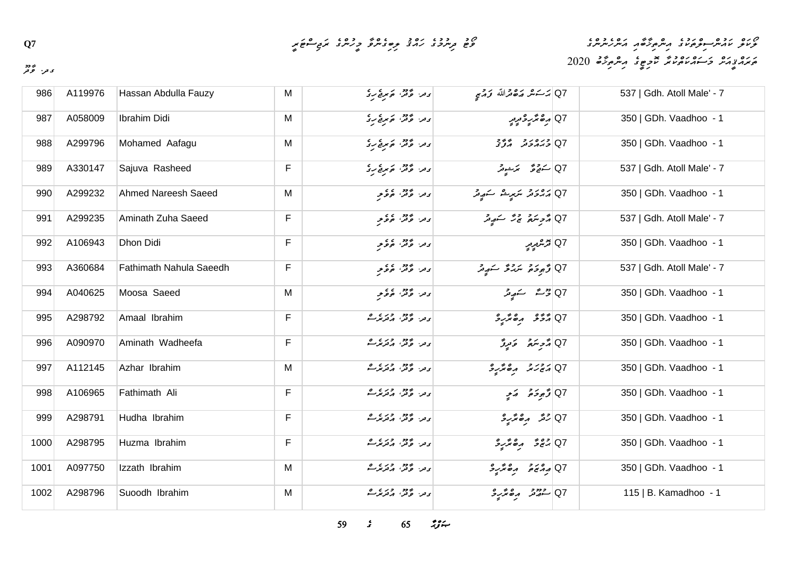*sCw7q7s5w7m< o<n9nOoAw7o< sCq;mAwBoEw7q<m; wBm;vB* م من المرة المرة المرة المرجع المرجع المرجع في 2020<br>مجم*د المريض المرجع المرجع المرجع المرجع المراجع المراجع الم*رجع

| 986  | A119976 | Hassan Abdulla Fauzy       | M           | ى تىر بەردە بە ئەيدىق ب                                                                                        | Q7 كەسەنگە <b>كە</b> ھەتراللە ئ <i>ۇرقى</i> يە                                                      | 537   Gdh. Atoll Male' - 7 |
|------|---------|----------------------------|-------------|----------------------------------------------------------------------------------------------------------------|-----------------------------------------------------------------------------------------------------|----------------------------|
| 987  | A058009 | Ibrahim Didi               | M           | ى قرار ئەقىرى كىم تىرقى ب                                                                                      | Q7 <mark>بر<i>ە ئ</i>ەر دىرىر</mark>                                                                | 350   GDh. Vaadhoo - 1     |
| 988  | A299796 | Mohamed Aafagu             | M           | ى قىز ئەقىرى ئەم قىرىقى ب                                                                                      | Q7 <i>בגמבת הרבב</i>                                                                                | 350   GDh. Vaadhoo - 1     |
| 989  | A330147 | Sajuva Rasheed             | $\mathsf F$ | ى قىز ئەقىرى ئەم بىرىنى ب                                                                                      | Q7 سەمىق ئىم ئىسىمىتىر                                                                              | 537   Gdh. Atoll Male' - 7 |
| 990  | A299232 | <b>Ahmed Nareesh Saeed</b> | M           | ى تىر بە ئەتتى بە ئەتى بىر                                                                                     | Q7 كەشكە تىر ئىككە ئىككە ئىككە ئىككە ئىككە ئىككە ئىككە ئىككە ئىككە ئىككە ئىككە ئىككە ئىككە ئىككە ئا | 350   GDh. Vaadhoo - 1     |
| 991  | A299235 | Aminath Zuha Saeed         | $\mathsf F$ | ى قراشى ئەن ئەن ئىلمىتى بىر ئەن ئىلمىتى بىر ئىلمىتى ئىلمان ئىلمان ئىلمان ئىلمان ئىلمان ئىلمان ئىلمان ئىلمان ئى | Q7 مَّەحِسَمَۃ ت <sup>ح م</sup> َّ سَم <i>و</i> ِمْر                                                | 537   Gdh. Atoll Male' - 7 |
| 992  | A106943 | <b>Dhon Didi</b>           | $\mathsf F$ | ى قراشى ئەن ئەن ئىلمىتى بىر ئەن ئىلمىتى بىر ئىلمىتى ئىلمان ئىلمان ئىلمان ئىلمان ئىلمان ئىلمان ئىلمان ئىلمان ئى | Q7   <del>ت</del> رىرىر<br>                                                                         | 350   GDh. Vaadhoo - 1     |
| 993  | A360684 | Fathimath Nahula Saeedh    | F           | ى قرار ئەقتى، ئەن قوم قى                                                                                       | Q7 <i>وُّجِودَةُ سَهْدَةُ</i> سَه <i>ٰدٍةً</i> رُ                                                   | 537   Gdh. Atoll Male' - 7 |
| 994  | A040625 | Moosa Saeed                | M           | ى تىر بە ئەتتى بە ئەتى بىر                                                                                     | Q7 ٿُنگ سُنهونٽر                                                                                    | 350   GDh. Vaadhoo - 1     |
| 995  | A298792 | Amaal Ibrahim              | $\mathsf F$ | ى قرار ئەھرىم كىسىم بىر                                                                                        | Q7 <i>مُرَدَّدْ وڤترَرِدْ</i>                                                                       | 350   GDh. Vaadhoo - 1     |
| 996  | A090970 | Aminath Wadheefa           | $\mathsf F$ |                                                                                                                | Q7 مُ <i>َّحِ سَمَّةً وَمَيِنَ</i> ّ                                                                | 350   GDh. Vaadhoo - 1     |
| 997  | A112145 | Azhar Ibrahim              | M           | ى قرار ئەرەپ مەركى ئ                                                                                           | Q7 <i>مَیْ کَرْبُرْ مِیْ مُدِّرِدْ</i>                                                              | 350   GDh. Vaadhoo - 1     |
| 998  | A106965 | Fathimath Ali              | F           | ى قرز ئەقىرى ئەركى ئىس                                                                                         | Q7 <i>وُّجِوحَةُ مَجِ</i>                                                                           | 350   GDh. Vaadhoo - 1     |
| 999  | A298791 | Hudha Ibrahim              | F           | ى قرز ئۇقرا مەترىكى سى                                                                                         | Q7 رُمَّز م <i>ِ م</i> ُحَمِّرِ وُ                                                                  | 350   GDh. Vaadhoo - 1     |
| 1000 | A298795 | Huzma Ibrahim              | F           | ى قرز ئۇقرا مەترىكى سى                                                                                         | Q7 ي <sub>م</sub> ع في مرغ مركز في                                                                  | 350   GDh. Vaadhoo - 1     |
| 1001 | A097750 | Izzath Ibrahim             | M           | ى تىر بەردە بەر ئەر ئىر                                                                                        | Q7 مەم <i>ئەھ مەھەترى</i> 3                                                                         | 350   GDh. Vaadhoo - 1     |
| 1002 | A298796 | Suoodh Ibrahim             | M           | ى قرز ئۇقرا مەترىكى سى                                                                                         | $ Q7\rangle$ سود د ه گریزگر (C                                                                      | 115   B. Kamadhoo - 1      |

 $59$  *s*  $65$  *n***<sub>y</sub>** $\leq$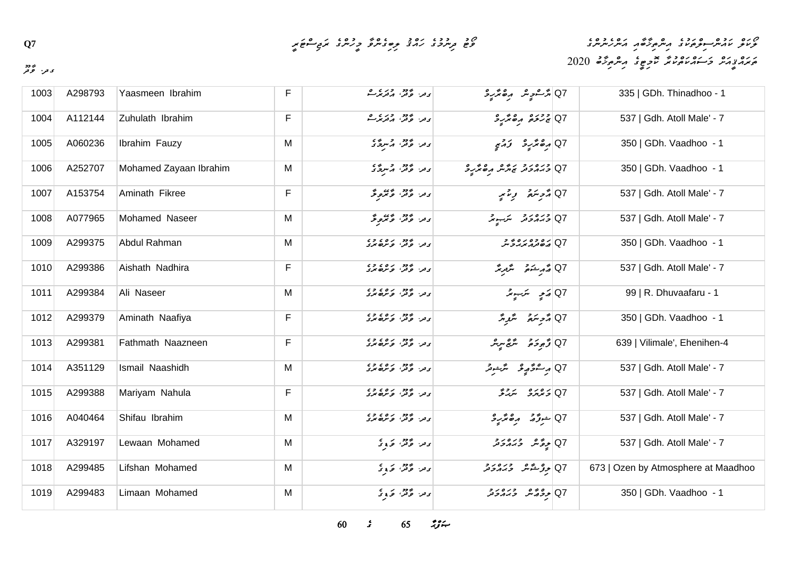*sCw7q7s5w7m< o<n9nOoAw7o< sCq;mAwBoEw7q<m; wBm;vB* م من المرة المرة المرة المرجع المرجع المرجع في 2020<br>مجم*د المريض المرجع المرجع المرجع المرجع المراجع المراجع الم*رجع

| 1003 | A298793 | Yaasmeen Ibrahim       | F | ى تەرەپ ئەرىمى ئ                              | Q7 مُرْ مُوبِسْ مِنْ مُرْبِرِدْ             | 335   GDh. Thinadhoo - 1            |
|------|---------|------------------------|---|-----------------------------------------------|---------------------------------------------|-------------------------------------|
| 1004 | A112144 | Zuhulath Ibrahim       | F | ى قرز ئەقىرى ئەركى ئىس                        | Q7 <i>يحركو مەمگرى</i> گ                    | 537   Gdh. Atoll Male' - 7          |
| 1005 | A060236 | Ibrahim Fauzy          | M | ى قرار ئۇقرا ئەسرىگە ئ                        | Q7 مەھ <i>مگىي</i> ئۇرىم                    | 350   GDh. Vaadhoo - 1              |
| 1006 | A252707 | Mohamed Zayaan Ibrahim | M | دىن ئۆتى، مەسىرى                              | Q7 درەرد رومۇ مەھرىرى                       | 350   GDh. Vaadhoo - 1              |
| 1007 | A153754 | Aminath Fikree         | F | دىن گەنتى گەنتى گە                            | Q7 م <i>ُّ حِينَهُ وي</i> نَّمِ             | 537   Gdh. Atoll Male' - 7          |
| 1008 | A077965 | Mohamed Naseer         | M |                                               | Q7 <i>ۇنەۋەقى مۇسوم</i> ۇ                   | 537   Gdh. Atoll Male' - 7          |
| 1009 | A299375 | Abdul Rahman           | M | وتر گردو ده ده ده<br>وتر گرفر، گرمن مورد      | Q7 كەھ <i>ىرە بىردۇ</i> بىر                 | 350   GDh. Vaadhoo - 1              |
| 1010 | A299386 | Aishath Nadhira        | F | و در ه ده ده و ده<br>و در گوتر، گوش ه بری     | Q7 م <i>ەُم</i> ھۇر مە <i>ھەبەت</i> ە       | 537   Gdh. Atoll Male' - 7          |
| 1011 | A299384 | Ali Naseer             | M | وتر ود ده ده.<br>دنر وتر وتره برد             | Q7 <i>ھَ۔ جِستہ پر</i>                      | 99   R. Dhuvaafaru - 1              |
| 1012 | A299379 | Aminath Naafiya        | F | و در دو ده ده.<br>د در و در و ره برو          | Q7 مُتَّحِسَّعَ سَمْدِيَّة                  | 350   GDh. Vaadhoo - 1              |
| 1013 | A299381 | Fathmath Naazneen      | F | وتر وده ده ده ده<br>وتر وتر وتر <i>ه بر</i> د | Q7 <i>ۇ<sub>م</sub>وڭۇ ش</i> ۇمېرى <i>گ</i> | 639   Vilimale', Ehenihen-4         |
| 1014 | A351129 | Ismail Naashidh        | M | و در دو ده ده ده.<br>د در گردن کویژه مورد     | Q7 <sub>م</sub> رےد <i>و پو</i> ٹ مگرسونٹر  | 537   Gdh. Atoll Male' - 7          |
| 1015 | A299388 | Mariyam Nahula         | F | وتر ود ره ده.<br>دنر ونر وتره برد             | Q7 <i>كَ بُرْمَرْ بِّي سُرْ</i> تَرُ        | 537   Gdh. Atoll Male' - 7          |
| 1016 | A040464 | Shifau Ibrahim         | M | وتر ود ده ده.<br>دنر وتر وتره برد             | Q7 شو <i>ڈھ م</i> ھ <i>مگرد</i> و           | 537   Gdh. Atoll Male' - 7          |
| 1017 | A329197 | Lewaan Mohamed         | M | ى قرار ئەھىمى ئىق ئىق ئى                      | Q7 بِرِءٌ شَرِ دَيَ <i>رُ دُون</i> رَ       | 537   Gdh. Atoll Male' - 7          |
| 1018 | A299485 | Lifshan Mohamed        | M | ى قرار ئەھىمى ئىقى ئىقى ئىق                   | Q7 دۇشگىر ئ <i>ېگەدى</i> ر                  | 673   Ozen by Atmosphere at Maadhoo |
| 1019 | A299483 | Limaan Mohamed         | M | ى قرار ئەقىرى ئى ئى ئى ئى                     | Q7 <i>ودهٔ شهر دیمو</i> نر                  | 350   GDh. Vaadhoo - 1              |

*60 sC 65 nNw?mS*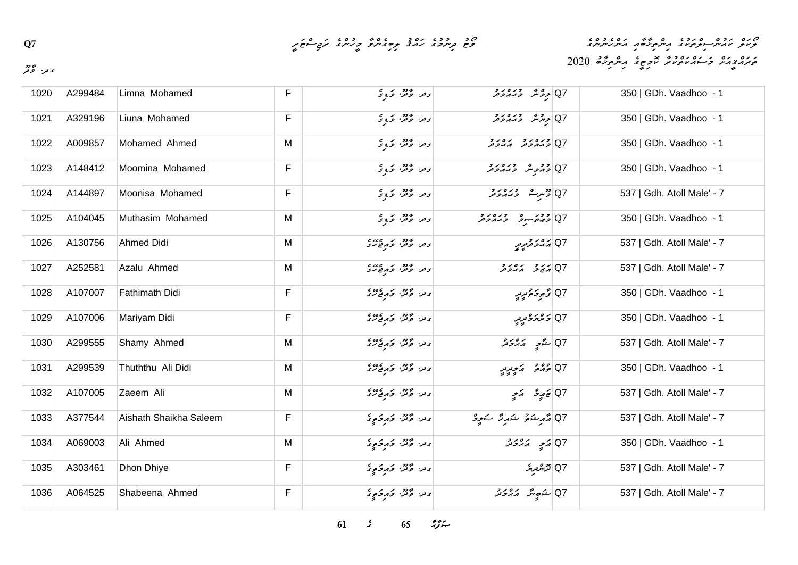*sCw7q7s5w7m< o<n9nOoAw7o< sCq;mAwBoEw7q<m; wBm;vB* م من المرة المرة المرة المرجع المرجع المرجع في 2020<br>مجم*د المريض المرجع المرجع المرجع المرجع المراجع المراجع الم*رجع

| 1020 | A299484 | Limna Mohamed          | F            | ى قراشى ئەلگە ئەلگەنى كەنتى كەنتى كەنتى كەنتى كەنتى كەنتى كەنتى كەنتى كەنتى كەنتى كەنتى كەنتى كەنتى كەنتى كەنت | Q7 موڤانتر ف <i>ائ</i> روگر               | 350   GDh. Vaadhoo - 1     |
|------|---------|------------------------|--------------|----------------------------------------------------------------------------------------------------------------|-------------------------------------------|----------------------------|
| 1021 | A329196 | Liuna Mohamed          | F            | ى قرار ئەھىمى ئىس ئى                                                                                           | Q7 م <sub>وم</sub> رتگر ك <i>اندگان</i> د | 350   GDh. Vaadhoo - 1     |
| 1022 | A009857 | Mohamed Ahmed          | M            | دى گەنزى ئى                                                                                                    | Q7 <i>בגמכת הפניק</i>                     | 350   GDh. Vaadhoo - 1     |
| 1023 | A148412 | Moomina Mohamed        | $\mathsf{F}$ | ى قراشى ئەراكىيە ئ                                                                                             | Q7 دُمُ <i>دِيمُ</i> دُيَمُ دَرَ          | 350   GDh. Vaadhoo - 1     |
| 1024 | A144897 | Moonisa Mohamed        | $\mathsf F$  | دى گەن گەنى                                                                                                    | Q7 تۆس <i>رىگە ئەنگەدى</i> گە             | 537   Gdh. Atoll Male' - 7 |
| 1025 | A104045 | Muthasim Mohamed       | M            | دى گەنز، ئ                                                                                                     | $07 - 22 - 22$                            | 350   GDh. Vaadhoo - 1     |
| 1026 | A130756 | <b>Ahmed Didi</b>      | M            | ومر محمق حکم می دی.<br>دمر حکمر حکم می مری                                                                     | Q7 كەندى قرىرىر                           | 537   Gdh. Atoll Male' - 7 |
| 1027 | A252581 | Azalu Ahmed            | M            | ومر کومر عدد عدد عدد ا                                                                                         | Q7 كەنچ قەر كەش <b>ر</b> قىر              | 537   Gdh. Atoll Male' - 7 |
| 1028 | A107007 | Fathimath Didi         | $\mathsf{F}$ | ومر محمر می در در در در استان<br>در محمد استان                                                                 | Q7 <i>وُّ مِوحَ مُ</i> وْمِدِرِ           | 350   GDh. Vaadhoo - 1     |
| 1029 | A107006 | Mariyam Didi           | F            | ومر محمق که وی دی<br>ومر گرمل که وی دی                                                                         | Q7 كەنگە <i>كە</i> ردىر                   | 350   GDh. Vaadhoo - 1     |
| 1030 | A299555 | Shamy Ahmed            | M            | ومر محمق که ورود<br>ومرحمق که وروز                                                                             | Q7 گەم كەنگە <i>قىلى</i>                  | 537   Gdh. Atoll Male' - 7 |
| 1031 | A299539 | Thuththu Ali Didi      | M            | ومر محمد عدد عدد<br>ومرحمد المحمد و                                                                            | Q7 <i>ووه. هنو</i> پرېږ                   | 350   GDh. Vaadhoo - 1     |
| 1032 | A107005 | Zaeem Ali              | M            | ومر کومر عدد عدد عدد ا                                                                                         | Q7 <i>کام وی</i> کام کام                  | 537   Gdh. Atoll Male' - 7 |
| 1033 | A377544 | Aishath Shaikha Saleem | F            | رى ئەدە بەرىمى كەن                                                                                             | Q7 مٌ مِـ شَمَعٌ صَمِرتٌ سَمْوِدٌ         | 537   Gdh. Atoll Male' - 7 |
| 1034 | A069003 | Ali Ahmed              | M            | ى قىز ئۇقىرا ئەم قام قام ئ                                                                                     | Q7 <i>كەبى كەنگەن</i> گە                  | 350   GDh. Vaadhoo - 1     |
| 1035 | A303461 | Dhon Dhiye             | $\mathsf F$  | <br>  دىن ئۆتىر، ئۆمرۈم <sub>ۇ</sub> د                                                                         | Q7 قريروبر                                | 537   Gdh. Atoll Male' - 7 |
| 1036 | A064525 | Shabeena Ahmed         | F            | <sub>وفر:</sub> و <sup>ود</sup> ، وكرومي                                                                       | Q7 ش <i>ومگر مذکرد</i>                    | 537   Gdh. Atoll Male' - 7 |

 $61$  *s*  $65$  *n***<sub>3</sub>** *n*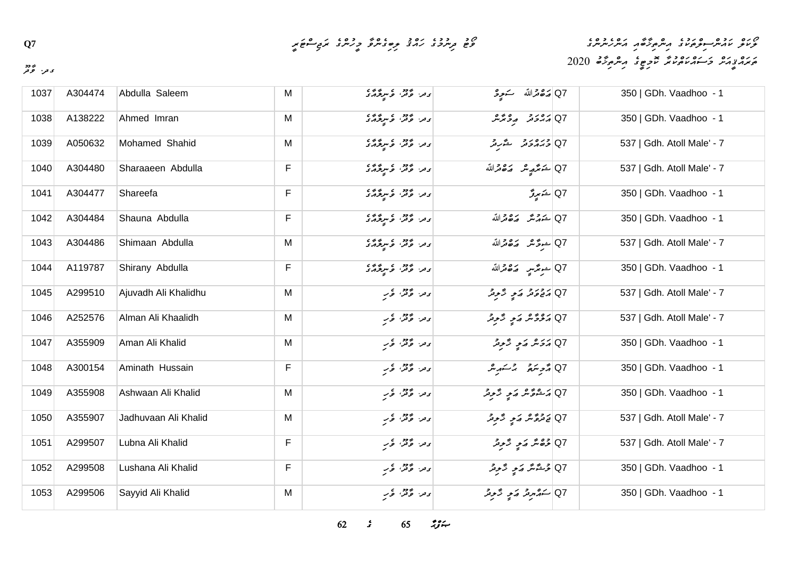*sCw7q7s5w7m< o<n9nOoAw7o< sCq;mAwBoEw7q<m; wBm;vB* م من المرة المرة المرة المرجع المرجع المرجع في 2020<br>مجم*د المريض المرجع المرجع المرجع المرجع المراجع المراجع الم*رجع

| 1037 | A304474 | Abdulla Saleem       | M            | رىر ئۇقر، ئ <i>ۇسرىگە</i> ر | Q7 \$&قرالله كود\$                             | 350   GDh. Vaadhoo - 1     |
|------|---------|----------------------|--------------|-----------------------------|------------------------------------------------|----------------------------|
| 1038 | A138222 | Ahmed Imran          | M            | ى تەرەپ ئەس ئەلىمى          | Q7 <i>كەندى مەۋىگى</i> ر                       | 350   GDh. Vaadhoo - 1     |
| 1039 | A050632 | Mohamed Shahid       | M            | دىن ئۇنى، ئۇسىرچە ئ         | Q7 <i>وُبَهُ دُوَ مَدْ بِ</i> مُدَّرِ مِرْ     | 537   Gdh. Atoll Male' - 7 |
| 1040 | A304480 | Sharaaeen Abdulla    | F            | ى تەرەپچە ئەس ئەمەر         | Q7 خەتمە ھەممەللە                              | 537   Gdh. Atoll Male' - 7 |
| 1041 | A304477 | Shareefa             | F            | ى تەرەپچە ئەس ئەمەر         | Q7 شەمرى <del>گ</del>                          | 350   GDh. Vaadhoo - 1     |
| 1042 | A304484 | Shauna Abdulla       | F            | ى تەرەپچە ئەس ئەمەر         | Q7 شَوَ <i>مْتَر وَهُ</i> قَرَاللّه            | 350   GDh. Vaadhoo - 1     |
| 1043 | A304486 | Shimaan Abdulla      | M            | ى تەرەپ ئەس ئەلەر           | Q7 حو <i>دُّ شَرُّ هُدَ</i> اللَّه             | 537   Gdh. Atoll Male' - 7 |
| 1044 | A119787 | Shirany Abdulla      | F            | ى تەرەپچە ئەستەم ئە         | Q7 شومَدَسِي صَ <b>صَدَ</b> اللّه              | 350   GDh. Vaadhoo - 1     |
| 1045 | A299510 | Ajuvadh Ali Khalidhu | M            | د مرد عمر عمر               | Q7 كەنقەقەتقە كەنچە مەشرىقى                    | 537   Gdh. Atoll Male' - 7 |
| 1046 | A252576 | Alman Ali Khaalidh   | M            | ى قراء ھى تى بىر            | Q7 كەنۇبۇ <i>ئەگى</i> ئۇيىتى                   | 537   Gdh. Atoll Male' - 7 |
| 1047 | A355909 | Aman Ali Khalid      | M            | ى قرار ئەدەر ئەر            | Q7 كەن ئەگە بەر ئەرىتى                         | 350   GDh. Vaadhoo - 1     |
| 1048 | A300154 | Aminath Hussain      | F            | ى قرار ئەدەر ئەب            | Q7 م <i>ۇجەنىھى مەسىر مى</i> ر                 | 350   GDh. Vaadhoo - 1     |
| 1049 | A355908 | Ashwaan Ali Khalid   | M            | ى قراء ھى تى بىر            | Q7 كەشكە <i>گەنتى</i> ئۇ بۇ قىر                | 350   GDh. Vaadhoo - 1     |
| 1050 | A355907 | Jadhuvaan Ali Khalid | $\mathsf{M}$ | ى قراء ھى تى بىر            | Q7 <i>فَادَةٌ مَّرْ مَرِ</i> رَّمِ دُمَّ       | 537   Gdh. Atoll Male' - 7 |
| 1051 | A299507 | Lubna Ali Khalid     | F            | ى قرار ئەدەر كى ب           | Q7   قِرْظَ شَرِ مِنْ تَرْمِثْرُ               | 537   Gdh. Atoll Male' - 7 |
| 1052 | A299508 | Lushana Ali Khalid   | F            | ى قرار ئەدەر كى ب           | Q7 تُرْحَمَّتَر <sub>م</sub> َرْمٍ رَّمْوِيْرُ | 350   GDh. Vaadhoo - 1     |
| 1053 | A299506 | Sayyid Ali Khalid    | M            | ى قرار ئەدەر كى ب           | Q7 <i>سەھەرىۋ مەي</i> ش <i>ەمە</i>             | 350   GDh. Vaadhoo - 1     |

 $62$  *s*  $65$  *n***<sub>3</sub>** *n*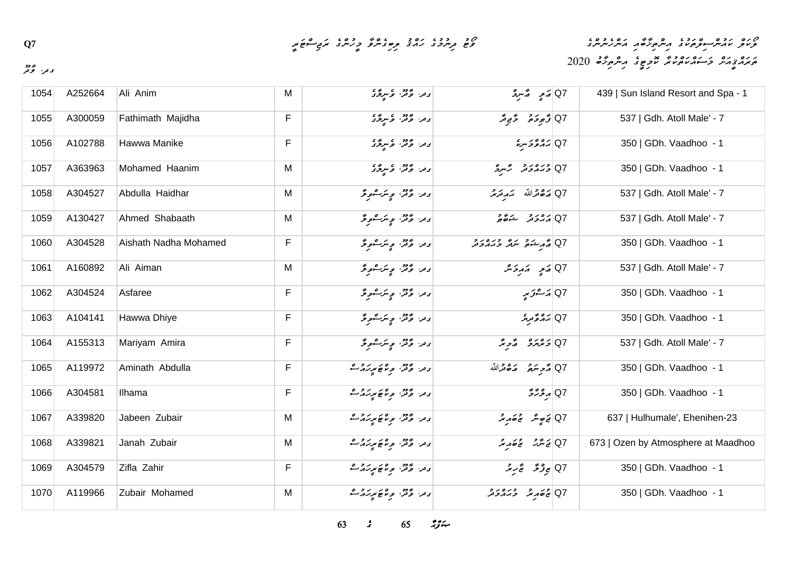*sCw7q7s5w7m< o<n9nOoAw7o< sCq;mAwBoEw7q<m; wBm;vB* م من المرة المرة المرة المرجع المرجع المرجع في 2020<br>مجم*د المريض المرجع المرجع المرجع المرجع المراجع المراجع الم*رجع

| 1054 | A252664 | Ali Anim              | M            | ى تىر بەردە كەسىرىگەنى                            | Q7  <i>ړې پ</i> ر پو                      | 439   Sun Island Resort and Spa - 1 |
|------|---------|-----------------------|--------------|---------------------------------------------------|-------------------------------------------|-------------------------------------|
| 1055 | A300059 | Fathimath Majidha     | F            | ى تىر بەلىقى ئەسرىتى ئى                           | Q7 <i>وَّجِوحَةْ</i> وَّمِع <i>ِ مَ</i> ّ | 537   Gdh. Atoll Male' - 7          |
| 1056 | A102788 | Hawwa Manike          | F            | ى تىر بەردە كەسىرىگەنى                            | Q7 ئەرمۇ ئەس <sup>ى</sup> ر               | 350   GDh. Vaadhoo - 1              |
| 1057 | A363963 | Mohamed Haanim        | M            | ى تەربىچ ئەس ئەركىمى ئە                           | Q7 <i>وَيَدْوُ</i> وَيْرَ كَسْرَةُ        | 350   GDh. Vaadhoo - 1              |
| 1058 | A304527 | Abdulla Haidhar       | M            | ا دىر اڭ <sup>ود</sup> ا ب <sub>و</sub> سكرسىمونى | Q7 كەھەراللە <i>مەمەم</i> كە              | 537   Gdh. Atoll Male' - 7          |
| 1059 | A130427 | Ahmed Shabaath        | M            | ى قرار ئۇقتۇر بويىتى سىرىگى ئى                    | $Q7 = 22.2$                               | 537   Gdh. Atoll Male' - 7          |
| 1060 | A304528 | Aishath Nadha Mohamed | F            | دىن ئۇتۇ، ئ <sub>ۆ</sub> سكەن ئىس ئ               | Q7 مەم شەھ سىقى ئەم ئەرى                  | 350   GDh. Vaadhoo - 1              |
| 1061 | A160892 | Ali Aiman             | M            | ى قرار ئۇقتۇر بويىتى سىرىگى ئى                    | Q7 <i>مَجِ مَدِخ</i> َسَ                  | 537   Gdh. Atoll Male' - 7          |
| 1062 | A304524 | Asfaree               | F            | ى قرار ئۇقتۇر بويىتى سىرىگى ئى                    | Q7   پر <u>ه</u> ورسيه                    | 350   GDh. Vaadhoo - 1              |
| 1063 | A104141 | Hawwa Dhiye           | F            | ى قرار ئۇقتۇر بويىتى سىرىگى ئى                    | Q7   ئەۋ <sub>ە</sub> ئەرىر               | 350   GDh. Vaadhoo - 1              |
| 1064 | A155313 | Mariyam Amira         | $\mathsf{F}$ | ى قرار ئۇقتۇر بويىتى سىرىگى ئى                    | Q7 <i>وَ بُرْدَةْ</i> مُجَمَّد            | 537   Gdh. Atoll Male' - 7          |
| 1065 | A119972 | Aminath Abdulla       | F            | ىمىن ئۇقرا ئۆتكە ئەركىمى كە                       | Q7 مُرْحِ سَرَةٌ      مَرْهُ قَرْاللّه    | 350   GDh. Vaadhoo - 1              |
| 1066 | A304581 | <b>Ilhama</b>         | F            | ى تىر ئەدە ئەس ھەم بەر مەت                        | Q7 م <i>ورُدَّة</i>                       | 350   GDh. Vaadhoo - 1              |
| 1067 | A339820 | Jabeen Zubair         | M            | ى تىر ئەدە ئەس ھەم بەر مەت                        | Q7 <i>فَہِمْہ مُحَمَّدِ</i>               | 637   Hulhumale', Ehenihen-23       |
| 1068 | A339821 | Janah Zubair          | M            | ىمىز ئۇتىر، مەنھ مېرىر مەت                        | Q7 <i>فَيَ مَرَّزْ بِمَ فَهُ مِ</i> مَرْ  | 673   Ozen by Atmosphere at Maadhoo |
| 1069 | A304579 | Zifla Zahir           | $\mathsf F$  | ىمىن ئۇقرا ئۆتكە ئەركىمى كە                       | Q7 <sub>م</sub> حوثة گاريز                | 350   GDh. Vaadhoo - 1              |
| 1070 | A119966 | Zubair Mohamed        | M            | ىمىز ئۇتر، ئۇ ھەككەر ئەرگ                         | Q7 ج ھَ <i>۾ جُر دو دو</i>                | 350   GDh. Vaadhoo - 1              |

 $63$  *s*  $65$  *n***<sub>3</sub>** *n***<sub>3</sub>** *n***<sub>1</sub>**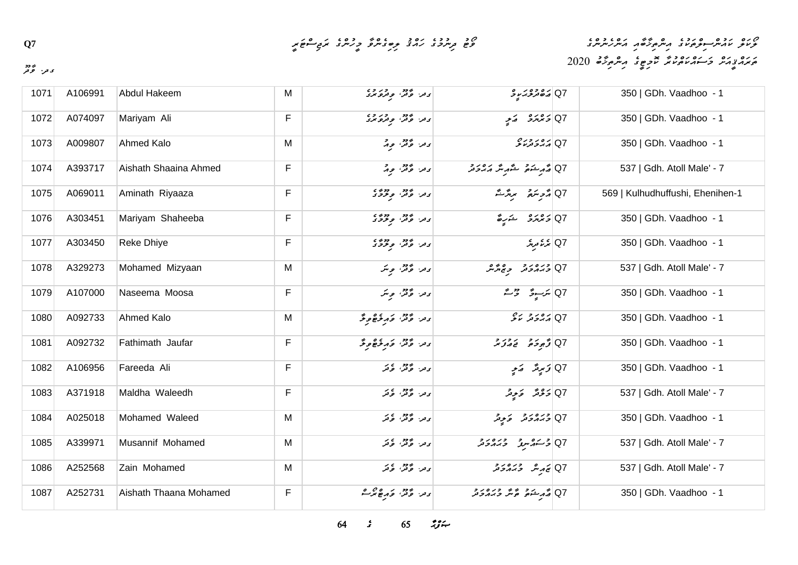*sCw7q7s5w7m< o<n9nOoAw7o< sCq;mAwBoEw7q<m; wBm;vB* م من المرة المرة المرة المرجع المرجع في المركبة 2020<br>مجم*د المريض المربوط المربع المرجع في المراجع المركبة* 

| 1071 | A106991 | Abdul Hakeem           | M           | دىر. ئۇنز، ئ <i>ۆتۈپر</i> دى<br>دىر. ئۇنز، ئۆت <i>رۈپر</i> ى  | Q7 <i>مەھىرى بىر</i> 3                       | 350   GDh. Vaadhoo - 1           |
|------|---------|------------------------|-------------|---------------------------------------------------------------|----------------------------------------------|----------------------------------|
| 1072 | A074097 | Mariyam Ali            | F           | ړی په دو.<br>دی وګڼ ویرو برد                                  | Q7 <i>5 پر<sub>م</sub>رڈ م</i> َ پر          | 350   GDh. Vaadhoo - 1           |
| 1073 | A009807 | Ahmed Kalo             | M           | ى تىر بەدە بەر                                                | Q7 كەبرى قەرىم تۈ                            | 350   GDh. Vaadhoo - 1           |
| 1074 | A393717 | Aishath Shaaina Ahmed  | $\mathsf F$ | ى تىر بەدە بەر                                                | Q7 مەم شەقر شەر <i>مەدە</i> ر                | 537   Gdh. Atoll Male' - 7       |
| 1075 | A069011 | Aminath Riyaaza        | $\mathsf F$ | ومر· ح <sup>ود</sup> و <i>وه و.</i><br>ومن حكمر <i>و و</i> وى | Q7 أَمُّ حِسَمٌ مَسَمَّدٌ مَمَّ              | 569   Kulhudhuffushi, Ehenihen-1 |
| 1076 | A303451 | Mariyam Shaheeba       | F           | وتر کوتر، م <i>وتوی</i><br>وتر، کوتر، م <i>وتوی</i>           | $6\%$ $2\%$ $2\%$ $2\%$                      | 350   GDh. Vaadhoo - 1           |
| 1077 | A303450 | <b>Reke Dhiye</b>      | F           | ومر· ح <sup>ود</sup> و <i>وه و.</i><br>ومن حكمر <i>و و</i> وى | Q7 برنڈ مرمز                                 | 350   GDh. Vaadhoo - 1           |
| 1078 | A329273 | Mohamed Mizyaan        | M           | ى قراڭ ھۆش ھەمىگ                                              | Q7 <i>ڈیزور ڈی وی مر</i> مر                  | 537   Gdh. Atoll Male' - 7       |
| 1079 | A107000 | Naseema Moosa          | F           | ى قراڭ ھۆشى ھەمىك                                             | Q7   سَرَسِرتُ       تَرْ سُرُ               | 350   GDh. Vaadhoo - 1           |
| 1080 | A092733 | Ahmed Kalo             | M           | ى مراج تەن ئەم ئۇغ ئ                                          | Q7 كەندى تەنزىي                              | 350   GDh. Vaadhoo - 1           |
| 1081 | A092732 | Fathimath Jaufar       | F           | ى مراج تەرىخ ھەم ئى                                           | Q7 تَ <i>مِوحَمْ فَمَدْتَ</i> كَّرَ          | 350   GDh. Vaadhoo - 1           |
| 1082 | A106956 | Fareeda Ali            | F           | ى تىر ، گۆش ، كە تىر                                          | Q7 <i>وَم</i> ِعَرٌ <i>ەَم</i> ِ             | 350   GDh. Vaadhoo - 1           |
| 1083 | A371918 | Maldha Waleedh         | $\mathsf F$ | ى تىر بە ئەتەر كەتىر                                          | Q7 ك <sup>ر</sup> وْتَر ك <sup>ە</sup> مِرىر | 537   Gdh. Atoll Male' - 7       |
| 1084 | A025018 | Mohamed Waleed         | M           | ى تىر ، گۆش ، كەنتى                                           | Q7 <i>\$نەۋەتى ق</i> ويتر                    | 350   GDh. Vaadhoo - 1           |
| 1085 | A339971 | Musannif Mohamed       | M           | ړیں <sup>۔</sup> ح <sup>29</sup> تی ح <sup>و</sup> تر         | Q7 ۇسەھسىر ئىمەد قىر                         | 537   Gdh. Atoll Male' - 7       |
| 1086 | A252568 | Zain Mohamed           | M           | ړند <sup>.</sup> څ <sup>ود.</sup> څنر                         | Q7 يَومِسْ وَيَرْوَوْرَ                      | 537   Gdh. Atoll Male' - 7       |
| 1087 | A252731 | Aishath Thaana Mohamed | F           | ى مەدەبىرە ئەرەبىر                                            | Q7 مەم شىم قىم ئەمەدىر                       | 350   GDh. Vaadhoo - 1           |

 $64$  *s*  $65$  *n***<sub>3</sub>** *n*